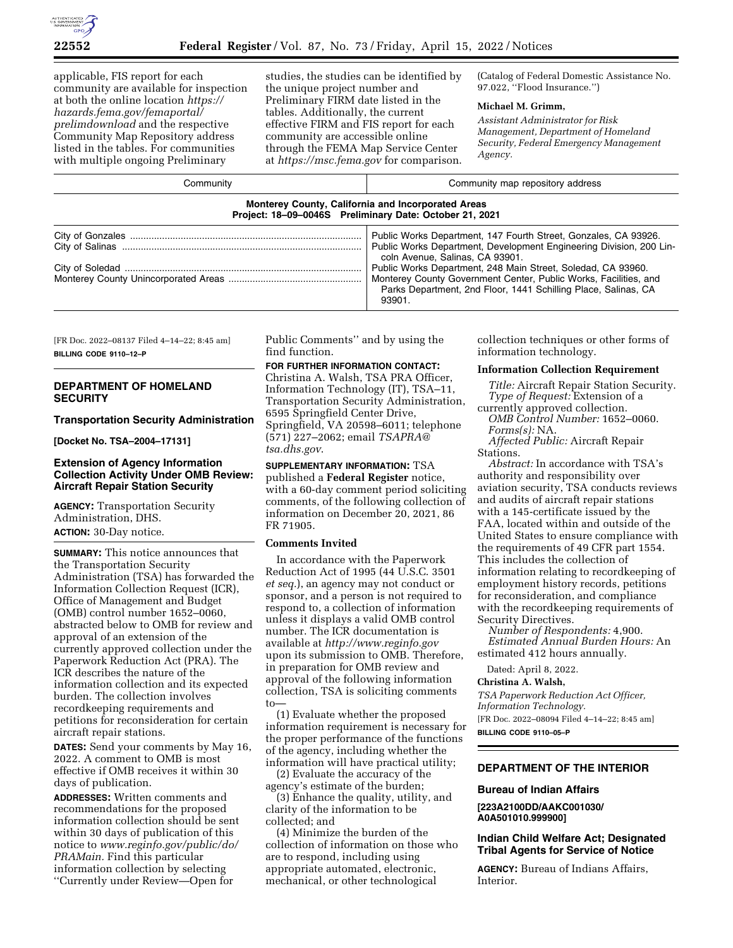

applicable, FIS report for each community are available for inspection at both the online location *[https://](https://hazards.fema.gov/femaportal/prelimdownload) [hazards.fema.gov/femaportal/](https://hazards.fema.gov/femaportal/prelimdownload) [prelimdownload](https://hazards.fema.gov/femaportal/prelimdownload)* and the respective Community Map Repository address listed in the tables. For communities with multiple ongoing Preliminary

studies, the studies can be identified by the unique project number and Preliminary FIRM date listed in the tables. Additionally, the current effective FIRM and FIS report for each community are accessible online through the FEMA Map Service Center at *<https://msc.fema.gov>*for comparison.

(Catalog of Federal Domestic Assistance No. 97.022, ''Flood Insurance.'')

### **Michael M. Grimm,**

*Assistant Administrator for Risk Management, Department of Homeland Security, Federal Emergency Management Agency.* 

| Community                                               | Community map repository address                                                                                                                                                                                                                                                                                                                                                          |  |  |
|---------------------------------------------------------|-------------------------------------------------------------------------------------------------------------------------------------------------------------------------------------------------------------------------------------------------------------------------------------------------------------------------------------------------------------------------------------------|--|--|
| Project: 18-09-0046S Preliminary Date: October 21, 2021 | <b>Monterey County, California and Incorporated Areas</b>                                                                                                                                                                                                                                                                                                                                 |  |  |
|                                                         | Public Works Department, 147 Fourth Street, Gonzales, CA 93926.<br>Public Works Department, Development Engineering Division, 200 Lin-<br>coln Avenue, Salinas, CA 93901.<br>Public Works Department, 248 Main Street, Soledad, CA 93960.<br>Monterey County Government Center, Public Works, Facilities, and<br>Parks Department, 2nd Floor, 1441 Schilling Place, Salinas, CA<br>93901. |  |  |

[FR Doc. 2022–08137 Filed 4–14–22; 8:45 am] **BILLING CODE 9110–12–P** 

## **DEPARTMENT OF HOMELAND SECURITY**

# **Transportation Security Administration**

**[Docket No. TSA–2004–17131]** 

## **Extension of Agency Information Collection Activity Under OMB Review: Aircraft Repair Station Security**

**AGENCY:** Transportation Security Administration, DHS. **ACTION:** 30-Day notice.

**SUMMARY:** This notice announces that the Transportation Security Administration (TSA) has forwarded the Information Collection Request (ICR), Office of Management and Budget (OMB) control number 1652–0060, abstracted below to OMB for review and approval of an extension of the currently approved collection under the Paperwork Reduction Act (PRA). The ICR describes the nature of the information collection and its expected burden. The collection involves recordkeeping requirements and petitions for reconsideration for certain aircraft repair stations.

**DATES:** Send your comments by May 16, 2022. A comment to OMB is most effective if OMB receives it within 30 days of publication.

**ADDRESSES:** Written comments and recommendations for the proposed information collection should be sent within 30 days of publication of this notice to *[www.reginfo.gov/public/do/](http://www.reginfo.gov/public/do/PRAMain) [PRAMain.](http://www.reginfo.gov/public/do/PRAMain)* Find this particular information collection by selecting ''Currently under Review—Open for

Public Comments'' and by using the find function.

# **FOR FURTHER INFORMATION CONTACT:**

Christina A. Walsh, TSA PRA Officer, Information Technology (IT), TSA–11, Transportation Security Administration, 6595 Springfield Center Drive, Springfield, VA 20598–6011; telephone (571) 227–2062; email *[TSAPRA@](mailto:TSAPRA@tsa.dhs.gov) [tsa.dhs.gov](mailto:TSAPRA@tsa.dhs.gov)*.

**SUPPLEMENTARY INFORMATION:** TSA published a **Federal Register** notice, with a 60-day comment period soliciting comments, of the following collection of information on December 20, 2021, 86 FR 71905.

## **Comments Invited**

In accordance with the Paperwork Reduction Act of 1995 (44 U.S.C. 3501 *et seq.*), an agency may not conduct or sponsor, and a person is not required to respond to, a collection of information unless it displays a valid OMB control number. The ICR documentation is available at *<http://www.reginfo.gov>*  upon its submission to OMB. Therefore, in preparation for OMB review and approval of the following information collection, TSA is soliciting comments to—

(1) Evaluate whether the proposed information requirement is necessary for the proper performance of the functions of the agency, including whether the information will have practical utility;

(2) Evaluate the accuracy of the agency's estimate of the burden;

(3) Enhance the quality, utility, and clarity of the information to be collected; and

(4) Minimize the burden of the collection of information on those who are to respond, including using appropriate automated, electronic, mechanical, or other technological

collection techniques or other forms of information technology.

### **Information Collection Requirement**

*Title:* Aircraft Repair Station Security. *Type of Request:* Extension of a currently approved collection. *OMB Control Number:* 1652–0060.

*Forms(s):* NA. *Affected Public:* Aircraft Repair

Stations.

*Abstract:* In accordance with TSA's authority and responsibility over aviation security, TSA conducts reviews and audits of aircraft repair stations with a 145-certificate issued by the FAA, located within and outside of the United States to ensure compliance with the requirements of 49 CFR part 1554. This includes the collection of information relating to recordkeeping of employment history records, petitions for reconsideration, and compliance with the recordkeeping requirements of Security Directives.

*Number of Respondents:* 4,900. *Estimated Annual Burden Hours:* An estimated 412 hours annually.

Dated: April 8, 2022.

### **Christina A. Walsh,**

*TSA Paperwork Reduction Act Officer, Information Technology.*  [FR Doc. 2022–08094 Filed 4–14–22; 8:45 am] **BILLING CODE 9110–05–P** 

## **DEPARTMENT OF THE INTERIOR**

## **Bureau of Indian Affairs**

**[223A2100DD/AAKC001030/ A0A501010.999900]** 

## **Indian Child Welfare Act; Designated Tribal Agents for Service of Notice**

**AGENCY:** Bureau of Indians Affairs, **Interior**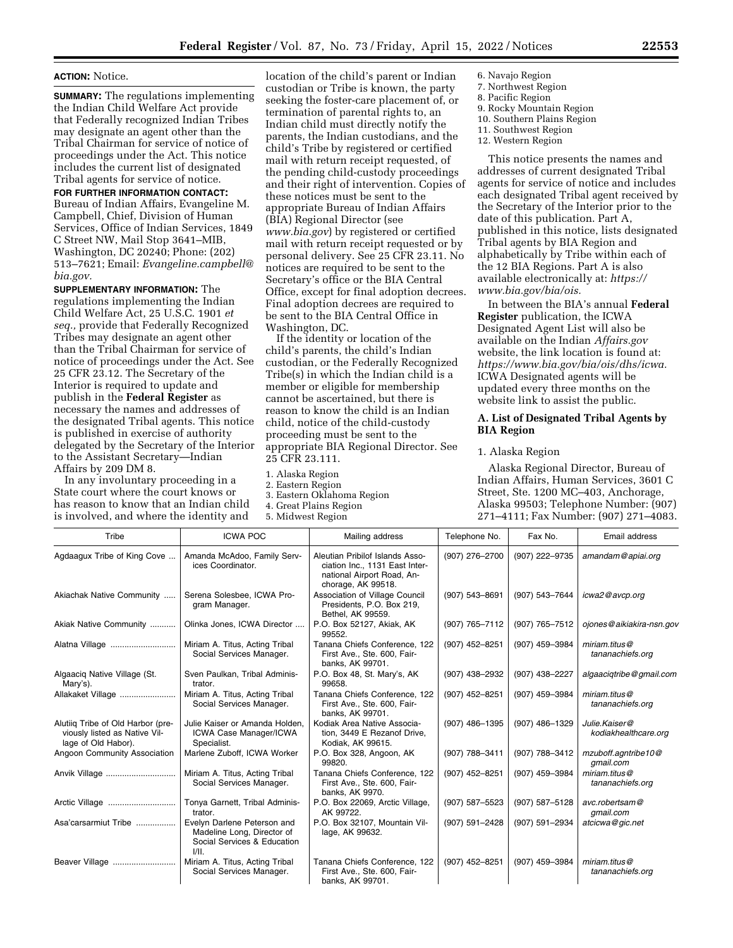## **ACTION:** Notice.

**SUMMARY:** The regulations implementing the Indian Child Welfare Act provide that Federally recognized Indian Tribes may designate an agent other than the Tribal Chairman for service of notice of proceedings under the Act. This notice includes the current list of designated Tribal agents for service of notice.

### **FOR FURTHER INFORMATION CONTACT:**

Bureau of Indian Affairs, Evangeline M. Campbell, Chief, Division of Human Services, Office of Indian Services, 1849 C Street NW, Mail Stop 3641–MIB, Washington, DC 20240; Phone: (202) 513–7621; Email: *[Evangeline.campbell@](mailto:Evangeline.campbell@bia.gov) [bia.gov.](mailto:Evangeline.campbell@bia.gov)* 

**SUPPLEMENTARY INFORMATION:** The regulations implementing the Indian Child Welfare Act, 25 U.S.C. 1901 *et seq.,* provide that Federally Recognized Tribes may designate an agent other than the Tribal Chairman for service of notice of proceedings under the Act. See 25 CFR 23.12. The Secretary of the Interior is required to update and publish in the **Federal Register** as necessary the names and addresses of the designated Tribal agents. This notice is published in exercise of authority delegated by the Secretary of the Interior to the Assistant Secretary—Indian Affairs by 209 DM 8.

In any involuntary proceeding in a State court where the court knows or has reason to know that an Indian child is involved, and where the identity and

location of the child's parent or Indian custodian or Tribe is known, the party seeking the foster-care placement of, or termination of parental rights to, an Indian child must directly notify the parents, the Indian custodians, and the child's Tribe by registered or certified mail with return receipt requested, of the pending child-custody proceedings and their right of intervention. Copies of these notices must be sent to the appropriate Bureau of Indian Affairs (BIA) Regional Director (see *[www.bia.gov](http://www.bia.gov)*) by registered or certified mail with return receipt requested or by personal delivery. See 25 CFR 23.11. No notices are required to be sent to the Secretary's office or the BIA Central Office, except for final adoption decrees. Final adoption decrees are required to be sent to the BIA Central Office in Washington, DC.

If the identity or location of the child's parents, the child's Indian custodian, or the Federally Recognized Tribe(s) in which the Indian child is a member or eligible for membership cannot be ascertained, but there is reason to know the child is an Indian child, notice of the child-custody proceeding must be sent to the appropriate BIA Regional Director. See 25 CFR 23.111.

1. Alaska Region

- 2. Eastern Region
- 3. Eastern Oklahoma Region
- 4. Great Plains Region
- 5. Midwest Region
- 6. Navajo Region 7. Northwest Region 8. Pacific Region 9. Rocky Mountain Region
- 10. Southern Plains Region
- 11. Southwest Region
- 12. Western Region

This notice presents the names and addresses of current designated Tribal agents for service of notice and includes each designated Tribal agent received by the Secretary of the Interior prior to the date of this publication. Part A, published in this notice, lists designated Tribal agents by BIA Region and alphabetically by Tribe within each of the 12 BIA Regions. Part A is also available electronically at: *[https://](https://www.bia.gov/bia/ois) [www.bia.gov/bia/ois.](https://www.bia.gov/bia/ois)* 

In between the BIA's annual **Federal Register** publication, the ICWA Designated Agent List will also be available on the Indian *Affairs.gov*  website, the link location is found at: *[https://www.bia.gov/bia/ois/dhs/icwa.](https://www.bia.gov/bia/ois/dhs/icwa)*  ICWA Designated agents will be updated every three months on the website link to assist the public.

## **A. List of Designated Tribal Agents by BIA Region**

## 1. Alaska Region

Alaska Regional Director, Bureau of Indian Affairs, Human Services, 3601 C Street, Ste. 1200 MC–403, Anchorage, Alaska 99503; Telephone Number: (907) 271–4111; Fax Number: (907) 271–4083.

| Tribe                                                                                     | <b>ICWA POC</b>                                                                                  | Mailing address                                                                                                       | Telephone No.  | Fax No.        | Email address                         |
|-------------------------------------------------------------------------------------------|--------------------------------------------------------------------------------------------------|-----------------------------------------------------------------------------------------------------------------------|----------------|----------------|---------------------------------------|
| Agdaagux Tribe of King Cove                                                               | Amanda McAdoo, Family Serv-<br>ices Coordinator.                                                 | Aleutian Pribilof Islands Asso-<br>ciation Inc., 1131 East Inter-<br>national Airport Road, An-<br>chorage, AK 99518. | (907) 276-2700 | (907) 222-9735 | amandam@apiai.org                     |
| Akiachak Native Community                                                                 | Serena Solesbee, ICWA Pro-<br>gram Manager.                                                      | Association of Village Council<br>Presidents, P.O. Box 219,<br>Bethel, AK 99559.                                      | (907) 543-8691 | (907) 543-7644 | icwa2@avcp.org                        |
| Akiak Native Community                                                                    | Olinka Jones, ICWA Director                                                                      | P.O. Box 52127, Akiak, AK<br>99552.                                                                                   | (907) 765-7112 | (907) 765-7512 | ojones@aikiakira-nsn.gov              |
| Alatna Village                                                                            | Miriam A. Titus, Acting Tribal<br>Social Services Manager.                                       | Tanana Chiefs Conference, 122<br>First Ave., Ste. 600, Fair-<br>banks, AK 99701.                                      | (907) 452-8251 | (907) 459-3984 | miriam.titus@<br>tananachiefs.org     |
| Algaaciq Native Village (St.<br>Mary's).                                                  | Sven Paulkan, Tribal Adminis-<br>trator.                                                         | P.O. Box 48, St. Mary's, AK<br>99658.                                                                                 | (907) 438-2932 | (907) 438-2227 | algaaciqtribe@gmail.com               |
| Allakaket Village                                                                         | Miriam A. Titus, Acting Tribal<br>Social Services Manager.                                       | Tanana Chiefs Conference, 122<br>First Ave., Ste. 600, Fair-<br>banks, AK 99701.                                      | (907) 452-8251 | (907) 459-3984 | miriam.titus@<br>tananachiefs.org     |
| Alutiig Tribe of Old Harbor (pre-<br>viously listed as Native Vil-<br>lage of Old Habor). | Julie Kaiser or Amanda Holden.<br><b>ICWA Case Manager/ICWA</b><br>Specialist.                   | Kodiak Area Native Associa-<br>tion, 3449 E Rezanof Drive,<br>Kodiak, AK 99615.                                       | (907) 486-1395 | (907) 486-1329 | Julie.Kaiser@<br>kodiakhealthcare.org |
| Angoon Community Association                                                              | Marlene Zuboff, ICWA Worker                                                                      | P.O. Box 328, Angoon, AK<br>99820.                                                                                    | (907) 788-3411 | (907) 788-3412 | mzuboff.agntribe10@<br>gmail.com      |
| Anvik Village                                                                             | Miriam A. Titus, Acting Tribal<br>Social Services Manager.                                       | Tanana Chiefs Conference, 122<br>First Ave., Ste. 600, Fair-<br>banks, AK 9970.                                       | (907) 452-8251 | (907) 459-3984 | miriam.titus@<br>tananachiefs.org     |
|                                                                                           | Tonya Garnett, Tribal Adminis-<br>trator.                                                        | P.O. Box 22069, Arctic Village,<br>AK 99722.                                                                          | (907) 587-5523 | (907) 587-5128 | avc.robertsam@<br>qmail.com           |
| Asa'carsarmiut Tribe                                                                      | Evelyn Darlene Peterson and<br>Madeline Long, Director of<br>Social Services & Education<br>VII. | P.O. Box 32107, Mountain Vil-<br>lage, AK 99632.                                                                      | (907) 591-2428 | (907) 591-2934 | atcicwa@gic.net                       |
| Beaver Village                                                                            | Miriam A. Titus, Acting Tribal<br>Social Services Manager.                                       | Tanana Chiefs Conference, 122<br>First Ave., Ste. 600, Fair-<br>banks, AK 99701.                                      | (907) 452-8251 | (907) 459-3984 | miriam.titus@<br>tananachiefs.org     |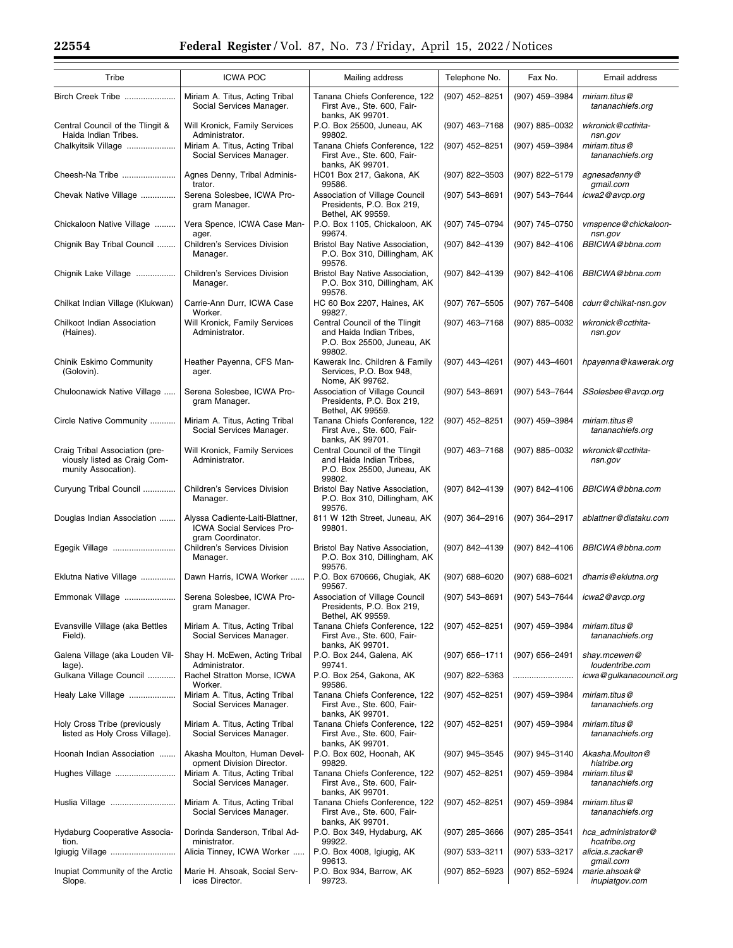$\equiv$ 

| Tribe                                                                                 | <b>ICWA POC</b>                                                                   | Mailing address                                                                                    | Telephone No.    | Fax No.            | Email address                      |
|---------------------------------------------------------------------------------------|-----------------------------------------------------------------------------------|----------------------------------------------------------------------------------------------------|------------------|--------------------|------------------------------------|
| Birch Creek Tribe                                                                     | Miriam A. Titus, Acting Tribal<br>Social Services Manager.                        | Tanana Chiefs Conference, 122<br>First Ave., Ste. 600, Fair-<br>banks, AK 99701.                   | (907) 452-8251   | (907) 459-3984     | miriam.titus@<br>tananachiefs.org  |
| Central Council of the Tlingit &<br>Haida Indian Tribes.                              | Will Kronick, Family Services<br>Administrator.                                   | P.O. Box 25500, Juneau, AK<br>99802.                                                               | (907) 463-7168   | (907) 885-0032     | wkronick@ccthita-<br>nsn.gov       |
| Chalkyitsik Village                                                                   | Miriam A. Titus, Acting Tribal<br>Social Services Manager.                        | Tanana Chiefs Conference, 122<br>First Ave., Ste. 600, Fair-<br>banks, AK 99701.                   | (907) 452-8251   | (907) 459-3984     | miriam.titus@<br>tananachiefs.org  |
| Cheesh-Na Tribe                                                                       | Agnes Denny, Tribal Adminis-<br>trator.                                           | HC01 Box 217, Gakona, AK<br>99586.                                                                 | (907) 822-3503   | (907) 822-5179     | agnesadenny@<br>gmail.com          |
| Chevak Native Village                                                                 | Serena Solesbee, ICWA Pro-<br>gram Manager.                                       | Association of Village Council<br>Presidents, P.O. Box 219,<br>Bethel, AK 99559.                   | (907) 543-8691   | (907) 543-7644     | icwa2@avcp.org                     |
| Chickaloon Native Village                                                             | Vera Spence, ICWA Case Man-<br>ager.                                              | P.O. Box 1105, Chickaloon, AK<br>99674.                                                            | (907) 745-0794   | (907) 745-0750     | vmspence@chickaloon-<br>nsn.gov    |
| Chignik Bay Tribal Council                                                            | Children's Services Division<br>Manager.                                          | Bristol Bay Native Association,<br>P.O. Box 310, Dillingham, AK<br>99576.                          | (907) 842-4139   | (907) 842-4106     | BBICWA@bbna.com                    |
| Chignik Lake Village                                                                  | <b>Children's Services Division</b><br>Manager.                                   | Bristol Bay Native Association,<br>P.O. Box 310, Dillingham, AK<br>99576.                          | (907) 842-4139   | (907) 842-4106     | BBICWA@bbna.com                    |
| Chilkat Indian Village (Klukwan)                                                      | Carrie-Ann Durr, ICWA Case<br>Worker.                                             | HC 60 Box 2207, Haines, AK<br>99827.                                                               | (907) 767-5505   | (907) 767-5408     | cdurr@chilkat-nsn.gov              |
| Chilkoot Indian Association<br>(Haines).                                              | Will Kronick, Family Services<br>Administrator.                                   | Central Council of the Tlingit<br>and Haida Indian Tribes,<br>P.O. Box 25500, Juneau, AK<br>99802. | (907) 463-7168   | $(907)$ 885-0032   | wkronick@ccthita-<br>nsn.gov       |
| Chinik Eskimo Community<br>(Golovin).                                                 | Heather Payenna, CFS Man-<br>ager.                                                | Kawerak Inc. Children & Family<br>Services, P.O. Box 948,<br>Nome, AK 99762.                       | (907) 443-4261   | (907) 443-4601     | hpayenna@kawerak.org               |
| Chuloonawick Native Village                                                           | Serena Solesbee, ICWA Pro-<br>gram Manager.                                       | Association of Village Council<br>Presidents, P.O. Box 219,<br>Bethel, AK 99559.                   | (907) 543-8691   | (907) 543-7644     | SSolesbee@avcp.org                 |
| Circle Native Community                                                               | Miriam A. Titus, Acting Tribal<br>Social Services Manager.                        | Tanana Chiefs Conference, 122<br>First Ave., Ste. 600, Fair-<br>banks, AK 99701.                   | (907) 452-8251   | (907) 459-3984     | miriam.titus@<br>tananachiefs.org  |
| Craig Tribal Association (pre-<br>viously listed as Craig Com-<br>munity Assocation). | Will Kronick, Family Services<br>Administrator.                                   | Central Council of the Tlingit<br>and Haida Indian Tribes,<br>P.O. Box 25500, Juneau, AK<br>99802. | (907) 463-7168   | $(907)$ 885-0032   | wkronick@ccthita-<br>nsn.gov       |
| Curyung Tribal Council                                                                | Children's Services Division<br>Manager.                                          | Bristol Bay Native Association,<br>P.O. Box 310, Dillingham, AK<br>99576.                          | (907) 842-4139   | (907) 842-4106     | BBICWA@bbna.com                    |
| Douglas Indian Association                                                            | Alyssa Cadiente-Laiti-Blattner,<br>ICWA Social Services Pro-<br>gram Coordinator. | 811 W 12th Street, Juneau, AK<br>99801.                                                            | (907) 364-2916   | (907) 364-2917     | ablattner@diataku.com              |
| Egegik Village                                                                        | Children's Services Division<br>Manager.                                          | Bristol Bay Native Association,<br>P.O. Box 310, Dillingham, AK<br>99576.                          | (907) 842-4139   | (907) 842-4106     | BBICWA@bbna.com                    |
| Eklutna Native Village                                                                | Dawn Harris, ICWA Worker                                                          | P.O. Box 670666, Chugiak, AK<br>99567.                                                             | (907) 688-6020   | $(907)$ 688-6021   | dharris@eklutna.org                |
| Emmonak Village                                                                       | Serena Solesbee, ICWA Pro-<br>gram Manager.                                       | Association of Village Council<br>Presidents, P.O. Box 219,<br>Bethel, AK 99559.                   | (907) 543-8691   | (907) 543-7644     | icwa2@avcp.org                     |
| Evansville Village (aka Bettles<br>Field).                                            | Miriam A. Titus, Acting Tribal<br>Social Services Manager.                        | Tanana Chiefs Conference, 122<br>First Ave., Ste. 600, Fair-<br>banks, AK 99701.                   | (907) 452-8251   | (907) 459-3984     | miriam.titus@<br>tananachiefs.org  |
| Galena Village (aka Louden Vil-<br>lage).                                             | Shay H. McEwen, Acting Tribal<br>Administrator.                                   | P.O. Box 244, Galena, AK<br>99741.                                                                 | (907) 656–1711   | (907) 656-2491     | shay.mcewen@<br>loudentribe.com    |
| Gulkana Village Council                                                               | Rachel Stratton Morse, ICWA<br>Worker.                                            | P.O. Box 254, Gakona, AK<br>99586.                                                                 | (907) 822-5363   |                    | icwa@gulkanacouncil.org            |
| Healy Lake Village                                                                    | Miriam A. Titus, Acting Tribal<br>Social Services Manager.                        | Tanana Chiefs Conference, 122<br>First Ave., Ste. 600, Fair-<br>banks, AK 99701.                   | (907) 452-8251   | (907) 459-3984     | miriam.titus@<br>tananachiefs.org  |
| Holy Cross Tribe (previously<br>listed as Holy Cross Village).                        | Miriam A. Titus, Acting Tribal<br>Social Services Manager.                        | Tanana Chiefs Conference, 122<br>First Ave., Ste. 600, Fair-<br>banks, AK 99701.                   | (907) 452-8251   | (907) 459-3984     | miriam.titus@<br>tananachiefs.org  |
| Hoonah Indian Association                                                             | Akasha Moulton, Human Devel-<br>opment Division Director.                         | P.O. Box 602, Hoonah, AK<br>99829.                                                                 | (907) 945-3545   | (907) 945-3140     | Akasha.Moulton@<br>hiatribe.org    |
| Hughes Village                                                                        | Miriam A. Titus, Acting Tribal<br>Social Services Manager.                        | Tanana Chiefs Conference, 122<br>First Ave., Ste. 600, Fair-<br>banks, AK 99701.                   | (907) 452-8251   | (907) 459-3984     | miriam.titus@<br>tananachiefs.org  |
| Huslia Village                                                                        | Miriam A. Titus, Acting Tribal<br>Social Services Manager.                        | Tanana Chiefs Conference, 122<br>First Ave., Ste. 600, Fair-<br>banks, AK 99701.                   | (907) 452-8251   | (907) 459-3984     | miriam.titus@<br>tananachiefs.org  |
| Hydaburg Cooperative Associa-<br>tion.                                                | Dorinda Sanderson, Tribal Ad-<br>ministrator.                                     | P.O. Box 349, Hydaburg, AK<br>99922.                                                               | (907) 285-3666   | (907) 285-3541     | hca_administrator@<br>hcatribe.org |
| Igiugig Village                                                                       | Alicia Tinney, ICWA Worker                                                        | P.O. Box 4008, Igiugig, AK<br>99613.                                                               | $(907)$ 533-3211 | $(907) 533 - 3217$ | alicia.s.zackar@<br>gmail.com      |
| Inupiat Community of the Arctic<br>Slope.                                             | Marie H. Ahsoak, Social Serv-<br>ices Director.                                   | P.O. Box 934, Barrow, AK<br>99723.                                                                 | (907) 852–5923   | (907) 852-5924     | marie.ahsoak@<br>inupiatgov.com    |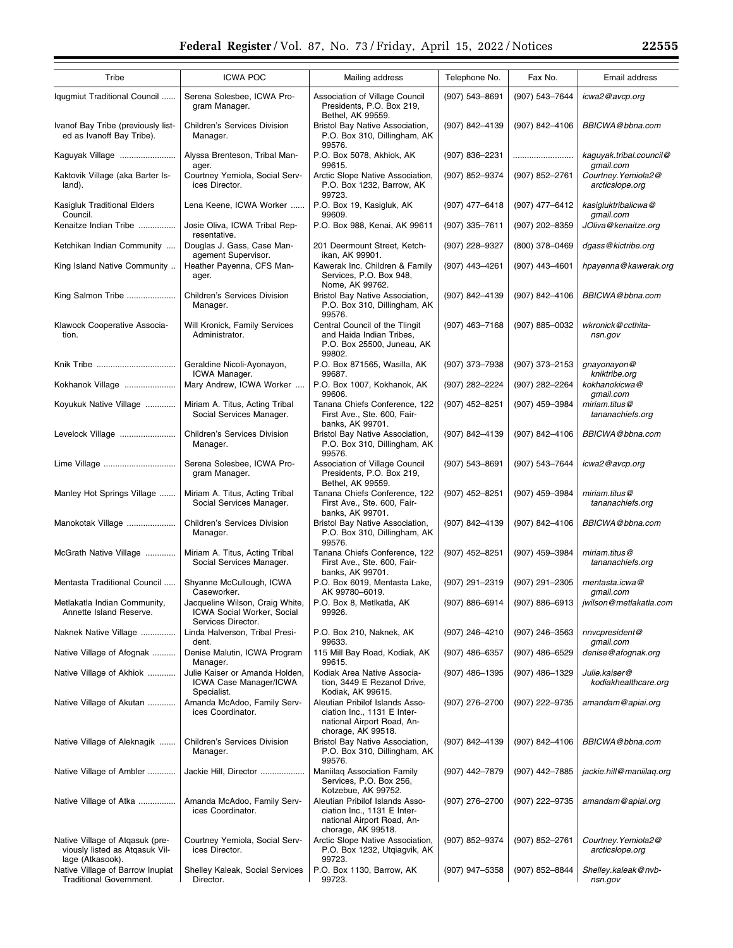| Tribe                                                                                 | <b>ICWA POC</b>                                                                     | Mailing address                                                                                                    | Telephone No.    | Fax No.          | Email address                          |
|---------------------------------------------------------------------------------------|-------------------------------------------------------------------------------------|--------------------------------------------------------------------------------------------------------------------|------------------|------------------|----------------------------------------|
| Iqugmiut Traditional Council                                                          | Serena Solesbee, ICWA Pro-                                                          | Association of Village Council                                                                                     | (907) 543-8691   | (907) 543-7644   | icwa2@avcp.org                         |
|                                                                                       | gram Manager.                                                                       | Presidents, P.O. Box 219,<br>Bethel, AK 99559.                                                                     |                  |                  |                                        |
| Ivanof Bay Tribe (previously list-<br>ed as Ivanoff Bay Tribe).                       | Children's Services Division<br>Manager.                                            | Bristol Bay Native Association,<br>P.O. Box 310, Dillingham, AK<br>99576.                                          | (907) 842-4139   | (907) 842-4106   | BBICWA@bbna.com                        |
| Kaguyak Village                                                                       | Alyssa Brenteson, Tribal Man-<br>ager.                                              | P.O. Box 5078, Akhiok, AK<br>99615.                                                                                | (907) 836-2231   |                  | kaguyak.tribal.council@<br>qmail.com   |
| Kaktovik Village (aka Barter Is-<br>land).                                            | Courtney Yemiola, Social Serv-<br>ices Director.                                    | Arctic Slope Native Association,<br>P.O. Box 1232, Barrow, AK<br>99723.                                            | (907) 852-9374   | (907) 852-2761   | Courtney. Yemiola2@<br>arcticslope.org |
| Kasigluk Traditional Elders<br>Council.                                               | Lena Keene, ICWA Worker                                                             | P.O. Box 19, Kasigluk, AK<br>99609.                                                                                | (907) 477-6418   | (907) 477-6412   | kasigluktribalicwa@<br>gmail.com       |
| Kenaitze Indian Tribe                                                                 | Josie Oliva, ICWA Tribal Rep-<br>resentative.                                       | P.O. Box 988, Kenai, AK 99611                                                                                      | $(907)$ 335-7611 | (907) 202-8359   | JOliva@kenaitze.org                    |
| Ketchikan Indian Community                                                            | Douglas J. Gass, Case Man-<br>agement Supervisor.                                   | 201 Deermount Street, Ketch-<br>ikan, AK 99901.                                                                    | (907) 228-9327   | (800) 378-0469   | dgass@kictribe.org                     |
| King Island Native Community                                                          | Heather Payenna, CFS Man-<br>ager.                                                  | Kawerak Inc. Children & Family<br>Services, P.O. Box 948,<br>Nome, AK 99762.                                       | (907) 443-4261   | (907) 443-4601   | hpayenna@kawerak.org                   |
| King Salmon Tribe                                                                     | <b>Children's Services Division</b><br>Manager.                                     | Bristol Bay Native Association,<br>P.O. Box 310, Dillingham, AK<br>99576.                                          | (907) 842-4139   | (907) 842-4106   | BBICWA@bbna.com                        |
| Klawock Cooperative Associa-<br>tion.                                                 | Will Kronick, Family Services<br>Administrator.                                     | Central Council of the Tlingit<br>and Haida Indian Tribes,<br>P.O. Box 25500, Juneau, AK<br>99802.                 | (907) 463-7168   | (907) 885-0032   | wkronick@ccthita-<br>nsn.gov           |
| Knik Tribe                                                                            | Geraldine Nicoli-Ayonayon,<br>ICWA Manager.                                         | P.O. Box 871565, Wasilla, AK<br>99687.                                                                             | (907) 373-7938   | (907) 373-2153   | gnayonayon@<br>kniktribe.org           |
| Kokhanok Village                                                                      | Mary Andrew, ICWA Worker                                                            | P.O. Box 1007, Kokhanok, AK<br>99606.                                                                              | (907) 282-2224   | (907) 282-2264   | kokhanokicwa@<br>gmail.com             |
| Koyukuk Native Village                                                                | Miriam A. Titus, Acting Tribal<br>Social Services Manager.                          | Tanana Chiefs Conference, 122<br>First Ave., Ste. 600, Fair-<br>banks, AK 99701.                                   | (907) 452-8251   | (907) 459-3984   | miriam.titus@<br>tananachiefs.org      |
| Levelock Village                                                                      | Children's Services Division<br>Manager.                                            | Bristol Bay Native Association,<br>P.O. Box 310, Dillingham, AK<br>99576.                                          | (907) 842-4139   | (907) 842-4106   | BBICWA@bbna.com                        |
| Lime Village                                                                          | Serena Solesbee, ICWA Pro-<br>gram Manager.                                         | Association of Village Council<br>Presidents, P.O. Box 219,<br>Bethel, AK 99559.                                   | (907) 543-8691   | (907) 543-7644   | icwa2@avcp.org                         |
| Manley Hot Springs Village                                                            | Miriam A. Titus, Acting Tribal<br>Social Services Manager.                          | Tanana Chiefs Conference, 122<br>First Ave., Ste. 600, Fair-<br>banks, AK 99701.                                   | (907) 452-8251   | (907) 459-3984   | miriam.titus@<br>tananachiefs.org      |
| Manokotak Village                                                                     | <b>Children's Services Division</b><br>Manager.                                     | Bristol Bay Native Association,<br>P.O. Box 310, Dillingham, AK<br>99576.                                          | (907) 842-4139   | (907) 842-4106   | BBICWA@bbna.com                        |
| McGrath Native Village                                                                | Miriam A. Titus, Acting Tribal<br>Social Services Manager.                          | Tanana Chiefs Conference, 122<br>First Ave., Ste. 600, Fair-<br>banks, AK 99701.                                   | (907) 452-8251   | (907) 459-3984   | miriam.titus@<br>tananachiefs.org      |
| Mentasta Traditional Council                                                          | Shyanne McCullough, ICWA<br>Caseworker.                                             | P.O. Box 6019, Mentasta Lake,<br>AK 99780-6019.                                                                    | (907) 291-2319   | (907) 291-2305   | mentasta.icwa@<br>qmail.com            |
| Metlakatla Indian Community,<br>Annette Island Reserve.                               | Jacqueline Wilson, Craig White,<br>ICWA Social Worker, Social<br>Services Director. | P.O. Box 8, Metlkatla, AK<br>99926.                                                                                | (907) 886-6914   | (907) 886-6913   | jwilson@metlakatla.com                 |
| Naknek Native Village                                                                 | Linda Halverson, Tribal Presi-<br>dent.                                             | P.O. Box 210, Naknek, AK<br>99633.                                                                                 | (907) 246-4210   | (907) 246-3563   | nnvcpresident@<br>gmail.com            |
| Native Village of Afognak                                                             | Denise Malutin, ICWA Program<br>Manager.                                            | 115 Mill Bay Road, Kodiak, AK<br>99615.                                                                            | (907) 486-6357   | (907) 486-6529   | denise@afognak.org                     |
| Native Village of Akhiok                                                              | Julie Kaiser or Amanda Holden,<br><b>ICWA Case Manager/ICWA</b><br>Specialist.      | Kodiak Area Native Associa-<br>tion, 3449 E Rezanof Drive,<br>Kodiak, AK 99615.                                    | (907) 486-1395   | (907) 486-1329   | Julie.kaiser@<br>kodiakhealthcare.org  |
| Native Village of Akutan                                                              | Amanda McAdoo, Family Serv-<br>ices Coordinator.                                    | Aleutian Pribilof Islands Asso-<br>ciation Inc., 1131 E Inter-<br>national Airport Road, An-<br>chorage, AK 99518. | (907) 276-2700   | (907) 222-9735   | amandam@apiai.org                      |
| Native Village of Aleknagik                                                           | Children's Services Division<br>Manager.                                            | Bristol Bay Native Association,<br>P.O. Box 310, Dillingham, AK<br>99576.                                          | (907) 842-4139   | (907) 842-4106   | BBICWA@bbna.com                        |
| Native Village of Ambler                                                              | Jackie Hill, Director                                                               | Maniilag Association Family<br>Services, P.O. Box 256,<br>Kotzebue, AK 99752.                                      | (907) 442-7879   | (907) 442-7885   | jackie.hill@maniilag.org               |
| Native Village of Atka                                                                | Amanda McAdoo, Family Serv-<br>ices Coordinator.                                    | Aleutian Pribilof Islands Asso-<br>ciation Inc., 1131 E Inter-<br>national Airport Road, An-<br>chorage, AK 99518. | (907) 276-2700   | (907) 222-9735   | amandam@apiai.org                      |
| Native Village of Atgasuk (pre-<br>viously listed as Atgasuk Vil-<br>lage (Atkasook). | Courtney Yemiola, Social Serv-<br>ices Director.                                    | Arctic Slope Native Association,<br>P.O. Box 1232, Utgiagvik, AK<br>99723.                                         | (907) 852-9374   | $(907)$ 852-2761 | Courtney.Yemiola2@<br>arcticslope.org  |
| Native Village of Barrow Inupiat<br>Traditional Government.                           | Shelley Kaleak, Social Services<br>Director.                                        | P.O. Box 1130, Barrow, AK<br>99723.                                                                                | (907) 947-5358   | (907) 852-8844   | Shelley.kaleak@nvb-<br>nsn.gov         |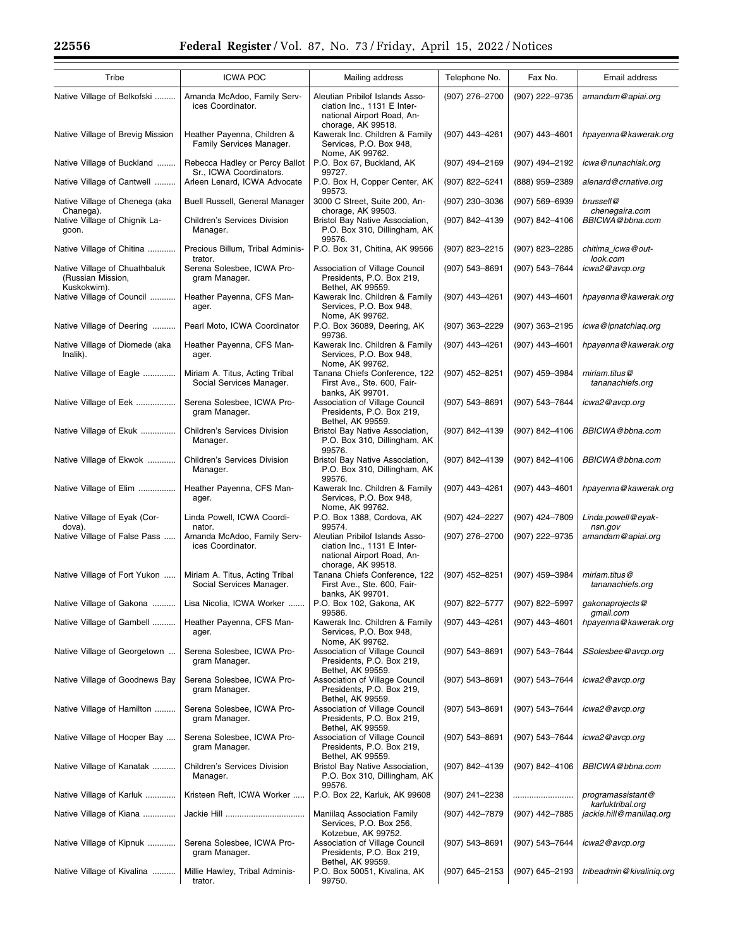| Tribe                                                             | <b>ICWA POC</b>                                            | Mailing address                                                                                                    | Telephone No.      | Fax No.            | Email address                         |
|-------------------------------------------------------------------|------------------------------------------------------------|--------------------------------------------------------------------------------------------------------------------|--------------------|--------------------|---------------------------------------|
| Native Village of Belkofski                                       | Amanda McAdoo, Family Serv-<br>ices Coordinator.           | Aleutian Pribilof Islands Asso-<br>ciation Inc., 1131 E Inter-<br>national Airport Road, An-<br>chorage, AK 99518. | (907) 276-2700     | (907) 222-9735     | amandam@apiai.org                     |
| Native Village of Brevig Mission                                  | Heather Payenna, Children &<br>Family Services Manager.    | Kawerak Inc. Children & Family<br>Services, P.O. Box 948,<br>Nome, AK 99762.                                       | (907) 443-4261     | (907) 443-4601     | hpayenna@kawerak.org                  |
| Native Village of Buckland                                        | Rebecca Hadley or Percy Ballot<br>Sr., ICWA Coordinators.  | P.O. Box 67, Buckland, AK<br>99727.                                                                                | (907) 494-2169     | (907) 494-2192     | icwa@nunachiak.org                    |
| Native Village of Cantwell                                        | Arleen Lenard, ICWA Advocate                               | P.O. Box H, Copper Center, AK<br>99573.                                                                            | (907) 822-5241     | (888) 959-2389     | alenard@crnative.org                  |
| Native Village of Chenega (aka<br>Chanega).                       | Buell Russell, General Manager                             | 3000 C Street, Suite 200, An-<br>chorage, AK 99503.                                                                | (907) 230-3036     | $(907) 569 - 6939$ | brussell@<br>chenegaira.com           |
| Native Village of Chignik La-<br>goon.                            | <b>Children's Services Division</b><br>Manager.            | Bristol Bay Native Association,<br>P.O. Box 310, Dillingham, AK<br>99576.                                          | (907) 842-4139     | (907) 842-4106     | BBICWA@bbna.com                       |
| Native Village of Chitina                                         | Precious Billum, Tribal Adminis-<br>trator.                | P.O. Box 31, Chitina, AK 99566                                                                                     | (907) 823-2215     | (907) 823-2285     | chitima_icwa@out-<br>look.com         |
| Native Village of Chuathbaluk<br>(Russian Mission,<br>Kuskokwim). | Serena Solesbee, ICWA Pro-<br>gram Manager.                | Association of Village Council<br>Presidents, P.O. Box 219,<br>Bethel, AK 99559.                                   | (907) 543-8691     | (907) 543-7644     | icwa2@avcp.org                        |
| Native Village of Council                                         | Heather Payenna, CFS Man-<br>ager.                         | Kawerak Inc. Children & Family<br>Services, P.O. Box 948,<br>Nome, AK 99762.                                       | (907) 443-4261     | (907) 443-4601     | hpayenna@kawerak.org                  |
| Native Village of Deering                                         | Pearl Moto, ICWA Coordinator                               | P.O. Box 36089, Deering, AK<br>99736.                                                                              | (907) 363-2229     | (907) 363-2195     | icwa@ipnatchiag.org                   |
| Native Village of Diomede (aka<br>Inalik).                        | Heather Payenna, CFS Man-<br>ager.                         | Kawerak Inc. Children & Family<br>Services, P.O. Box 948,<br>Nome, AK 99762.                                       | (907) 443-4261     | (907) 443-4601     | hpayenna@kawerak.org                  |
| Native Village of Eagle                                           | Miriam A. Titus, Acting Tribal<br>Social Services Manager. | Tanana Chiefs Conference, 122<br>First Ave., Ste. 600, Fair-<br>banks. AK 99701.                                   | (907) 452-8251     | (907) 459-3984     | miriam.titus@<br>tananachiefs.org     |
| Native Village of Eek                                             | Serena Solesbee, ICWA Pro-<br>gram Manager.                | Association of Village Council<br>Presidents, P.O. Box 219,<br>Bethel, AK 99559.                                   | (907) 543-8691     | (907) 543-7644     | icwa2@avcp.org                        |
| Native Village of Ekuk                                            | Children's Services Division<br>Manager.                   | Bristol Bay Native Association,<br>P.O. Box 310, Dillingham, AK<br>99576.                                          | (907) 842-4139     | (907) 842-4106     | BBICWA@bbna.com                       |
| Native Village of Ekwok                                           | Children's Services Division<br>Manager.                   | Bristol Bay Native Association,<br>P.O. Box 310, Dillingham, AK<br>99576.                                          | (907) 842-4139     | (907) 842-4106     | BBICWA@bbna.com                       |
| Native Village of Elim                                            | Heather Payenna, CFS Man-<br>ager.                         | Kawerak Inc. Children & Family<br>Services, P.O. Box 948,<br>Nome, AK 99762.                                       | (907) 443-4261     | (907) 443-4601     | hpayenna@kawerak.org                  |
| Native Village of Eyak (Cor-<br>dova).                            | Linda Powell, ICWA Coordi-<br>nator.                       | P.O. Box 1388, Cordova, AK<br>99574.                                                                               | (907) 424-2227     | (907) 424-7809     | Linda.powell@eyak-<br>nsn.gov         |
| Native Village of False Pass                                      | Amanda McAdoo, Family Serv-<br>ices Coordinator.           | Aleutian Pribilof Islands Asso-<br>ciation Inc., 1131 E Inter-<br>national Airport Road, An-<br>chorage, AK 99518. | (907) 276-2700     | (907) 222-9735     | amandam@apiai.org                     |
| Native Village of Fort Yukon                                      | Miriam A. Titus, Acting Tribal<br>Social Services Manager. | Tanana Chiefs Conference, 122<br>First Ave., Ste. 600, Fair-<br>banks, AK 99701.                                   | (907) 452-8251     | (907) 459-3984     | miriam.titus@<br>tananachiefs.org     |
| Native Village of Gakona                                          | Lisa Nicolia, ICWA Worker                                  | P.O. Box 102, Gakona, AK<br>99586.                                                                                 | (907) 822-5777     | (907) 822-5997     | gakonaprojects@<br>gmail.com          |
| Native Village of Gambell                                         | Heather Payenna, CFS Man-<br>ager.                         | Kawerak Inc. Children & Family<br>Services, P.O. Box 948,<br>Nome, AK 99762.                                       | (907) 443-4261     | (907) 443-4601     | hpayenna@kawerak.org                  |
| Native Village of Georgetown                                      | Serena Solesbee, ICWA Pro-<br>gram Manager.                | Association of Village Council<br>Presidents, P.O. Box 219,<br>Bethel, AK 99559.                                   | (907) 543-8691     | (907) 543-7644     | SSolesbee@avcp.org                    |
| Native Village of Goodnews Bay                                    | Serena Solesbee, ICWA Pro-<br>gram Manager.                | Association of Village Council<br>Presidents, P.O. Box 219,<br>Bethel, AK 99559.                                   | (907) 543–8691     | (907) 543-7644     | icwa2@avcp.org                        |
| Native Village of Hamilton                                        | Serena Solesbee, ICWA Pro-<br>gram Manager.                | Association of Village Council<br>Presidents, P.O. Box 219,<br>Bethel, AK 99559.                                   | (907) 543-8691     | (907) 543-7644     | icwa2@avcp.org                        |
| Native Village of Hooper Bay                                      | Serena Solesbee, ICWA Pro-<br>gram Manager.                | Association of Village Council<br>Presidents, P.O. Box 219,<br>Bethel, AK 99559.                                   | (907) 543-8691     | (907) 543-7644     | icwa2@avcp.org                        |
| Native Village of Kanatak                                         | Children's Services Division<br>Manager.                   | Bristol Bay Native Association,<br>P.O. Box 310, Dillingham, AK<br>99576.                                          | (907) 842–4139     | (907) 842-4106     | BBICWA@bbna.com                       |
| Native Village of Karluk                                          | Kristeen Reft, ICWA Worker                                 | P.O. Box 22, Karluk, AK 99608                                                                                      | (907) 241-2238     |                    | programassistant@<br>karluktribal.org |
| Native Village of Kiana                                           |                                                            | <b>Maniilag Association Family</b><br>Services, P.O. Box 256,<br>Kotzebue, AK 99752.                               | (907) 442-7879     | (907) 442-7885     | jackie.hill@maniilaq.org              |
| Native Village of Kipnuk                                          | Serena Solesbee, ICWA Pro-<br>gram Manager.                | Association of Village Council<br>Presidents, P.O. Box 219,<br>Bethel, AK 99559.                                   | $(907) 543 - 8691$ | (907) 543-7644     | icwa2@avcp.org                        |
| Native Village of Kivalina                                        | Millie Hawley, Tribal Adminis-<br>trator.                  | P.O. Box 50051, Kivalina, AK<br>99750.                                                                             | (907) 645-2153     | (907) 645-2193     | tribeadmin@kivaliniq.org              |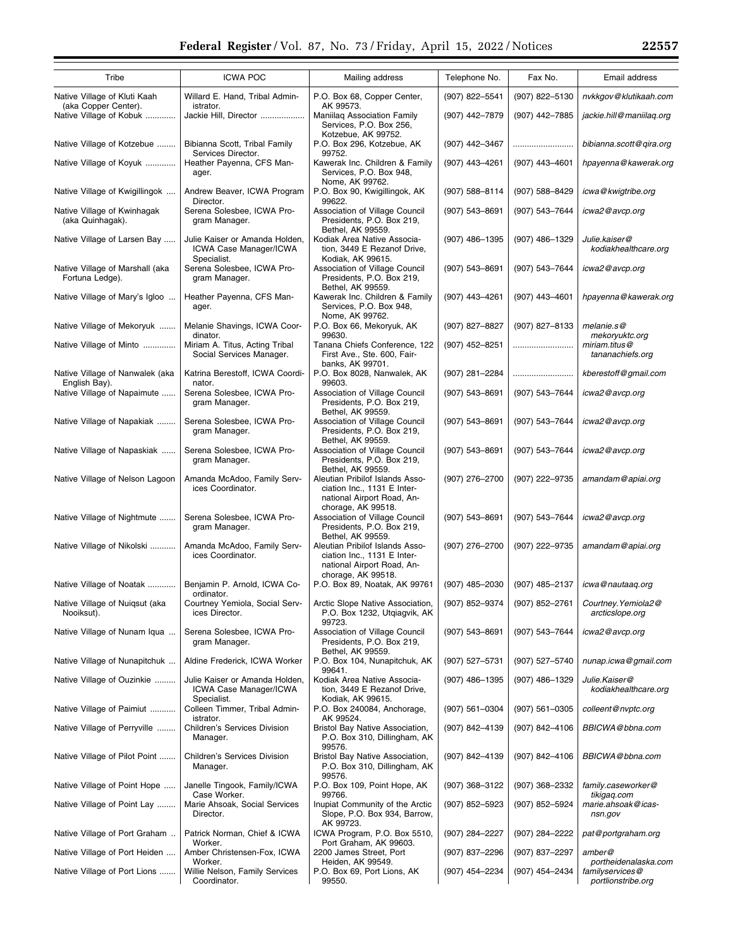| Tribe                                                | <b>ICWA POC</b>                                                                | Mailing address                                                                                                    | Telephone No.      | Fax No.            | Email address                          |
|------------------------------------------------------|--------------------------------------------------------------------------------|--------------------------------------------------------------------------------------------------------------------|--------------------|--------------------|----------------------------------------|
| Native Village of Kluti Kaah<br>(aka Copper Center). | Willard E. Hand, Tribal Admin-<br>istrator.                                    | P.O. Box 68, Copper Center,<br>AK 99573.                                                                           | (907) 822-5541     | (907) 822-5130     | nvkkgov@klutikaah.com                  |
| Native Village of Kobuk                              | Jackie Hill, Director                                                          | <b>Maniilaq Association Family</b><br>Services, P.O. Box 256,<br>Kotzebue, AK 99752.                               | (907) 442-7879     | (907) 442-7885     | jackie.hill@maniilaq.org               |
| Native Village of Kotzebue                           | Bibianna Scott, Tribal Family<br>Services Director.                            | P.O. Box 296, Kotzebue, AK<br>99752.                                                                               | (907) 442-3467     |                    | bibianna.scott@qira.org                |
| Native Village of Koyuk                              | Heather Payenna, CFS Man-<br>ager.                                             | Kawerak Inc. Children & Family<br>Services, P.O. Box 948,<br>Nome, AK 99762.                                       | (907) 443-4261     | (907) 443-4601     | hpayenna@kawerak.org                   |
| Native Village of Kwigillingok                       | Andrew Beaver, ICWA Program<br>Director.                                       | P.O. Box 90, Kwigillingok, AK<br>99622.                                                                            | $(907) 588 - 8114$ | (907) 588-8429     | icwa@kwigtribe.org                     |
| Native Village of Kwinhagak<br>(aka Quinhagak).      | Serena Solesbee, ICWA Pro-<br>gram Manager.                                    | Association of Village Council<br>Presidents, P.O. Box 219,<br>Bethel, AK 99559.                                   | (907) 543-8691     | (907) 543-7644     | icwa2@avcp.org                         |
| Native Village of Larsen Bay                         | Julie Kaiser or Amanda Holden,<br><b>ICWA Case Manager/ICWA</b><br>Specialist. | Kodiak Area Native Associa-<br>tion, 3449 E Rezanof Drive,<br>Kodiak, AK 99615.                                    | (907) 486-1395     | (907) 486-1329     | Julie.kaiser@<br>kodiakhealthcare.org  |
| Native Village of Marshall (aka<br>Fortuna Ledge).   | Serena Solesbee, ICWA Pro-<br>gram Manager.                                    | Association of Village Council<br>Presidents, P.O. Box 219,<br>Bethel, AK 99559.                                   | (907) 543-8691     | (907) 543-7644     | icwa2@avcp.org                         |
| Mative Village of Mary's Igloo                       | Heather Payenna, CFS Man-<br>ager.                                             | Kawerak Inc. Children & Family<br>Services, P.O. Box 948,<br>Nome, AK 99762.                                       | (907) 443-4261     | (907) 443-4601     | hpayenna@kawerak.org                   |
| Native Village of Mekoryuk                           | Melanie Shavings, ICWA Coor-<br>dinator.                                       | P.O. Box 66, Mekoryuk, AK<br>99630.                                                                                | (907) 827-8827     | (907) 827-8133     | melanie.s@<br>mekoryuktc.org           |
| Native Village of Minto                              | Miriam A. Titus, Acting Tribal<br>Social Services Manager.                     | Tanana Chiefs Conference, 122<br>First Ave., Ste. 600, Fair-<br>banks, AK 99701.                                   | (907) 452-8251     |                    | miriam.titus@<br>tananachiefs.org      |
| Native Village of Nanwalek (aka<br>English Bay).     | Katrina Berestoff, ICWA Coordi-<br>nator.                                      | P.O. Box 8028, Nanwalek, AK<br>99603.                                                                              | (907) 281-2284     |                    | kberestoff@gmail.com                   |
| Native Village of Napaimute                          | Serena Solesbee, ICWA Pro-<br>gram Manager.                                    | Association of Village Council<br>Presidents, P.O. Box 219,<br>Bethel, AK 99559.                                   | (907) 543-8691     | (907) 543-7644     | icwa2@avcp.org                         |
| Native Village of Napakiak                           | Serena Solesbee, ICWA Pro-<br>gram Manager.                                    | Association of Village Council<br>Presidents, P.O. Box 219,<br>Bethel, AK 99559.                                   | (907) 543-8691     | (907) 543-7644     | icwa2@avcp.org                         |
| Native Village of Napaskiak                          | Serena Solesbee, ICWA Pro-<br>gram Manager.                                    | Association of Village Council<br>Presidents, P.O. Box 219,<br>Bethel, AK 99559.                                   | (907) 543-8691     | (907) 543-7644     | icwa2@avcp.org                         |
| Native Village of Nelson Lagoon                      | Amanda McAdoo, Family Serv-<br>ices Coordinator.                               | Aleutian Pribilof Islands Asso-<br>ciation Inc., 1131 E Inter-<br>national Airport Road, An-<br>chorage, AK 99518. | (907) 276-2700     | (907) 222-9735     | amandam@apiai.org                      |
| Native Village of Nightmute                          | Serena Solesbee, ICWA Pro-<br>gram Manager.                                    | Association of Village Council<br>Presidents, P.O. Box 219,<br>Bethel, AK 99559.                                   | (907) 543-8691     | (907) 543-7644     | icwa2@avcp.org                         |
| Native Village of Nikolski                           | Amanda McAdoo, Family Serv-<br>ices Coordinator.                               | Aleutian Pribilof Islands Asso-<br>ciation Inc., 1131 E Inter-<br>national Airport Road, An-<br>chorage, AK 99518. | (907) 276-2700     | (907) 222-9735     | amandam@apiai.org                      |
| Native Village of Noatak                             | Benjamin P. Arnold, ICWA Co-<br>ordinator.                                     | P.O. Box 89, Noatak, AK 99761                                                                                      | (907) 485-2030     | (907) 485-2137     | icwa@nautaaq.org                       |
| Native Village of Nuiqsut (aka<br>Nooiksut).         | Courtney Yemiola, Social Serv-<br>ices Director.                               | Arctic Slope Native Association,<br>P.O. Box 1232, Utgiagvik, AK<br>99723.                                         | (907) 852-9374     | (907) 852-2761     | Courtney. Yemiola2@<br>arcticslope.org |
| Native Village of Nunam Iqua                         | Serena Solesbee, ICWA Pro-<br>gram Manager.                                    | Association of Village Council<br>Presidents, P.O. Box 219,<br>Bethel, AK 99559.                                   | (907) 543-8691     | (907) 543-7644     | icwa2@avcp.org                         |
| Native Village of Nunapitchuk                        | Aldine Frederick, ICWA Worker                                                  | P.O. Box 104, Nunapitchuk, AK<br>99641.                                                                            | (907) 527-5731     | (907) 527-5740     | nunap.icwa@gmail.com                   |
| Native Village of Ouzinkie                           | Julie Kaiser or Amanda Holden,<br><b>ICWA Case Manager/ICWA</b><br>Specialist. | Kodiak Area Native Associa-<br>tion, 3449 E Rezanof Drive,<br>Kodiak, AK 99615.                                    | (907) 486-1395     | (907) 486-1329     | Julie.Kaiser@<br>kodiakhealthcare.org  |
| Native Village of Paimiut                            | Colleen Timmer, Tribal Admin-<br>istrator.                                     | P.O. Box 240084, Anchorage,<br>AK 99524.                                                                           | $(907) 561 - 0304$ | $(907) 561 - 0305$ | colleent@nvptc.org                     |
| Native Village of Perryville                         | Children's Services Division<br>Manager.                                       | Bristol Bay Native Association,<br>P.O. Box 310, Dillingham, AK<br>99576.                                          | (907) 842-4139     | (907) 842-4106     | BBICWA@bbna.com                        |
| Native Village of Pilot Point                        | Children's Services Division<br>Manager.                                       | Bristol Bay Native Association,<br>P.O. Box 310, Dillingham, AK<br>99576.                                          | (907) 842-4139     | (907) 842-4106     | BBICWA@bbna.com                        |
| Native Village of Point Hope                         | Janelle Tingook, Family/ICWA<br>Case Worker.                                   | P.O. Box 109, Point Hope, AK<br>99766.                                                                             | $(907)$ 368-3122   | (907) 368-2332     | family.caseworker@<br>tikigaq.com      |
| Native Village of Point Lay                          | Marie Ahsoak, Social Services<br>Director.                                     | Inupiat Community of the Arctic<br>Slope, P.O. Box 934, Barrow,<br>AK 99723.                                       | $(907)$ 852-5923   | (907) 852-5924     | marie.ahsoak@icas-<br>nsn.gov          |
| Native Village of Port Graham                        | Patrick Norman, Chief & ICWA<br>Worker.                                        | ICWA Program, P.O. Box 5510,<br>Port Graham, AK 99603.                                                             | (907) 284-2227     | (907) 284-2222     | pat@portgraham.org                     |
| Native Village of Port Heiden                        | Amber Christensen-Fox, ICWA<br>Worker.                                         | 2200 James Street, Port<br>Heiden, AK 99549.                                                                       | (907) 837-2296     | (907) 837-2297     | amber@<br>portheidenalaska.com         |
| Native Village of Port Lions                         | Willie Nelson, Family Services<br>Coordinator.                                 | P.O. Box 69, Port Lions, AK<br>99550.                                                                              | (907) 454-2234     | (907) 454-2434     | familyservices@<br>portlionstribe.org  |

2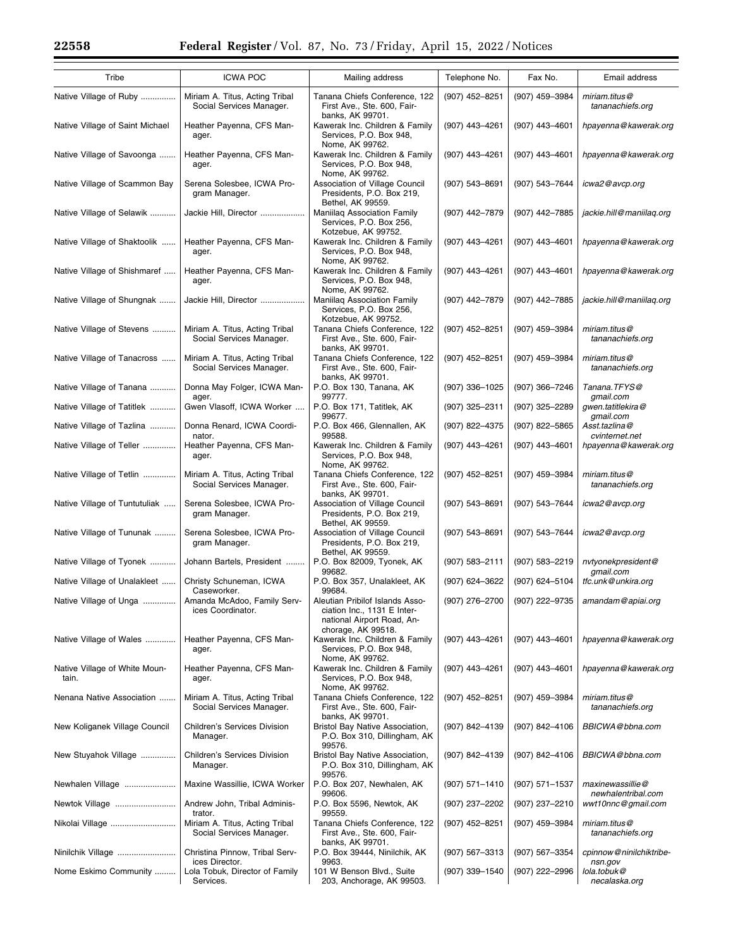| Tribe                                  | <b>ICWA POC</b>                                            | Mailing address                                                                                     | Telephone No.      | Fax No.            | Email address                          |
|----------------------------------------|------------------------------------------------------------|-----------------------------------------------------------------------------------------------------|--------------------|--------------------|----------------------------------------|
| Native Village of Ruby                 | Miriam A. Titus, Acting Tribal<br>Social Services Manager. | Tanana Chiefs Conference, 122<br>First Ave., Ste. 600, Fair-                                        | (907) 452-8251     | (907) 459-3984     | miriam.titus@<br>tananachiefs.org      |
| Native Village of Saint Michael        | Heather Payenna, CFS Man-<br>ager.                         | banks, AK 99701.<br>Kawerak Inc. Children & Family<br>Services, P.O. Box 948,                       | (907) 443-4261     | (907) 443-4601     | hpayenna@kawerak.org                   |
| Native Village of Savoonga             | Heather Payenna, CFS Man-<br>ager.                         | Nome, AK 99762.<br>Kawerak Inc. Children & Family<br>Services, P.O. Box 948,                        | (907) 443-4261     | (907) 443-4601     | hpayenna@kawerak.org                   |
| Native Village of Scammon Bay          | Serena Solesbee, ICWA Pro-<br>gram Manager.                | Nome, AK 99762.<br>Association of Village Council<br>Presidents, P.O. Box 219,<br>Bethel, AK 99559. | (907) 543-8691     | (907) 543-7644     | icwa2@avcp.org                         |
| Native Village of Selawik              | Jackie Hill, Director                                      | Maniilag Association Family<br>Services, P.O. Box 256,                                              | (907) 442-7879     | (907) 442-7885     | jackie.hill@maniilaq.org               |
| Native Village of Shaktoolik           | Heather Payenna, CFS Man-<br>ager.                         | Kotzebue, AK 99752.<br>Kawerak Inc. Children & Family<br>Services, P.O. Box 948,<br>Nome, AK 99762. | (907) 443-4261     | (907) 443-4601     | hpayenna@kawerak.org                   |
| Native Village of Shishmaref           | Heather Payenna, CFS Man-<br>ager.                         | Kawerak Inc. Children & Family<br>Services, P.O. Box 948,<br>Nome, AK 99762.                        | (907) 443-4261     | (907) 443-4601     | hpayenna@kawerak.org                   |
| Native Village of Shungnak             | Jackie Hill, Director                                      | Maniilaq Association Family<br>Services, P.O. Box 256,<br>Kotzebue, AK 99752.                       | (907) 442-7879     | (907) 442-7885     | jackie.hill@maniilaq.org               |
| Native Village of Stevens              | Miriam A. Titus, Acting Tribal<br>Social Services Manager. | Tanana Chiefs Conference, 122<br>First Ave., Ste. 600, Fair-<br>banks, AK 99701.                    | (907) 452-8251     | (907) 459-3984     | miriam.titus@<br>tananachiefs.org      |
| Native Village of Tanacross            | Miriam A. Titus, Acting Tribal<br>Social Services Manager. | Tanana Chiefs Conference, 122<br>First Ave., Ste. 600, Fair-<br>banks, AK 99701.                    | (907) 452-8251     | (907) 459-3984     | miriam.titus@<br>tananachiefs.org      |
| Native Village of Tanana               | Donna May Folger, ICWA Man-<br>ager.                       | P.O. Box 130, Tanana, AK<br>99777.                                                                  | (907) 336-1025     | (907) 366-7246     | Tanana.TFYS@<br>gmail.com              |
| Native Village of Tatitlek             | Gwen Vlasoff, ICWA Worker                                  | P.O. Box 171, Tatitlek, AK<br>99677.                                                                | (907) 325-2311     | (907) 325-2289     | gwen.tatitlekira@<br>gmail.com         |
| Native Village of Tazlina              | Donna Renard, ICWA Coordi-                                 | P.O. Box 466, Glennallen, AK<br>99588.                                                              | (907) 822-4375     | (907) 822-5865     | Asst.tazlina@<br>cvinternet.net        |
| Native Village of Teller               | nator.<br>Heather Payenna, CFS Man-<br>ager.               | Kawerak Inc. Children & Family<br>Services, P.O. Box 948,<br>Nome, AK 99762.                        | (907) 443-4261     | (907) 443-4601     | hpayenna@kawerak.org                   |
| Native Village of Tetlin               | Miriam A. Titus, Acting Tribal<br>Social Services Manager. | Tanana Chiefs Conference, 122<br>First Ave., Ste. 600, Fair-<br>banks, AK 99701.                    | (907) 452-8251     | (907) 459-3984     | miriam.titus@<br>tananachiefs.org      |
| Native Village of Tuntutuliak          | Serena Solesbee, ICWA Pro-<br>gram Manager.                | Association of Village Council<br>Presidents, P.O. Box 219,<br>Bethel, AK 99559.                    | (907) 543-8691     | (907) 543-7644     | icwa2@avcp.org                         |
| Native Village of Tununak              | Serena Solesbee, ICWA Pro-<br>gram Manager.                | Association of Village Council<br>Presidents, P.O. Box 219,<br>Bethel, AK 99559.                    | $(907) 543 - 8691$ | (907) 543-7644     | icwa2@avcp.org                         |
| Native Village of Tyonek               | Johann Bartels, President                                  | P.O. Box 82009, Tyonek, AK<br>99682.                                                                | $(907) 583 - 2111$ | (907) 583-2219     | nvtyonekpresident@<br>gmail.com        |
| Native Village of Unalakleet           | Christy Schuneman, ICWA<br>Caseworker.                     | P.O. Box 357, Unalakleet, AK<br>99684.                                                              | (907) 624-3622     | (907) 624-5104     | tfc.unk@unkira.org                     |
| Native Village of Unga                 | Amanda McAdoo, Family Serv-<br>ices Coordinator.           | Aleutian Pribilof Islands Asso-<br>ciation Inc., 1131 E Inter-<br>national Airport Road, An-        | (907) 276-2700     | (907) 222-9735     | amandam@apiai.org                      |
| Native Village of Wales                | Heather Payenna, CFS Man-<br>ager.                         | chorage, AK 99518.<br>Kawerak Inc. Children & Family<br>Services, P.O. Box 948,<br>Nome, AK 99762.  | (907) 443-4261     | (907) 443-4601     | hpayenna@kawerak.org                   |
| Native Village of White Moun-<br>tain. | Heather Payenna, CFS Man-<br>ager.                         | Kawerak Inc. Children & Family<br>Services, P.O. Box 948,<br>Nome, AK 99762.                        | (907) 443-4261     | $(907)$ 443-4601   | hpayenna@kawerak.org                   |
| Nenana Native Association              | Miriam A. Titus, Acting Tribal<br>Social Services Manager. | Tanana Chiefs Conference, 122<br>First Ave., Ste. 600, Fair-<br>banks, AK 99701.                    | (907) 452-8251     | (907) 459-3984     | miriam.titus@<br>tananachiefs.org      |
| New Koliganek Village Council          | Children's Services Division<br>Manager.                   | Bristol Bay Native Association,<br>P.O. Box 310, Dillingham, AK<br>99576.                           | (907) 842-4139     | (907) 842-4106     | BBICWA@bbna.com                        |
| New Stuyahok Village                   | Children's Services Division<br>Manager.                   | Bristol Bay Native Association,<br>P.O. Box 310, Dillingham, AK<br>99576.                           | (907) 842-4139     | (907) 842-4106     | BBICWA@bbna.com                        |
| Newhalen Village                       | Maxine Wassillie, ICWA Worker                              | P.O. Box 207, Newhalen, AK<br>99606.                                                                | $(907) 571 - 1410$ | (907) 571-1537     | maxinewassillie@<br>newhalentribal.com |
| Newtok Village                         | Andrew John, Tribal Adminis-<br>trator.                    | P.O. Box 5596, Newtok, AK<br>99559.                                                                 | (907) 237-2202     | (907) 237-2210     | wwt10nnc@gmail.com                     |
| Nikolai Village                        | Miriam A. Titus, Acting Tribal<br>Social Services Manager. | Tanana Chiefs Conference, 122<br>First Ave., Ste. 600, Fair-<br>banks, AK 99701.                    | (907) 452-8251     | (907) 459-3984     | miriam.titus@<br>tananachiefs.org      |
| Ninilchik Village                      | Christina Pinnow, Tribal Serv-<br>ices Director.           | P.O. Box 39444, Ninilchik, AK<br>9963.                                                              | (907) 567-3313     | $(907) 567 - 3354$ | cpinnow @ ninilchiktribe-<br>nsn.gov   |
| Nome Eskimo Community                  | Lola Tobuk, Director of Family<br>Services.                | 101 W Benson Blvd., Suite<br>203, Anchorage, AK 99503.                                              | (907) 339-1540     | (907) 222-2996     | lola.tobuk@<br>necalaska.org           |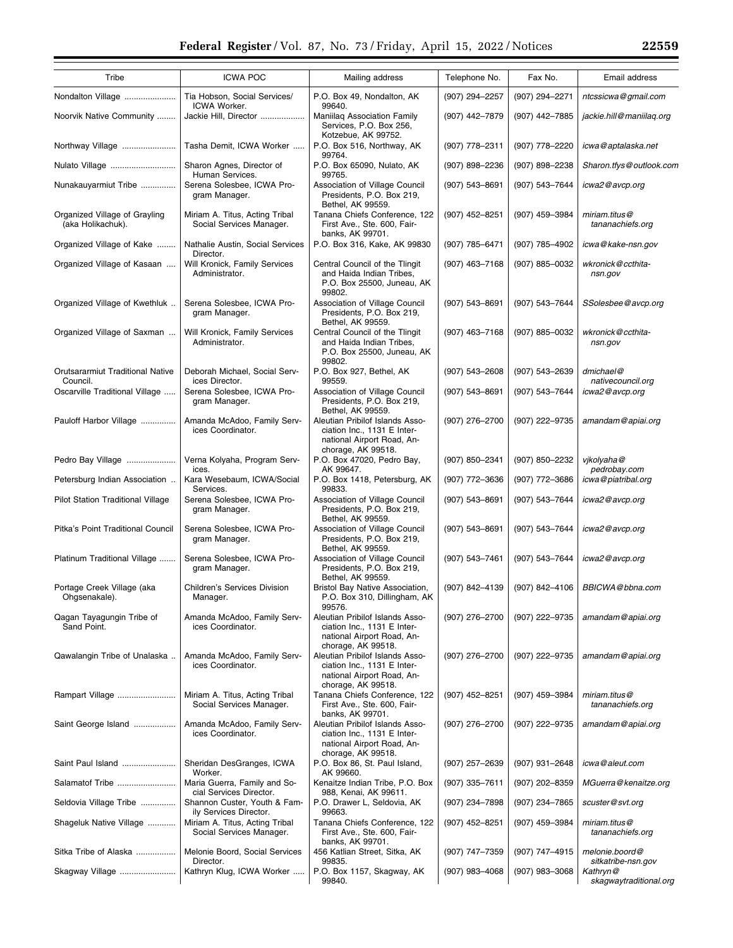| Tribe                                               | <b>ICWA POC</b>                                              | Mailing address                                                                                                    | Telephone No.    | Fax No.          | Email address                        |
|-----------------------------------------------------|--------------------------------------------------------------|--------------------------------------------------------------------------------------------------------------------|------------------|------------------|--------------------------------------|
| Nondalton Village                                   | Tia Hobson, Social Services/<br>ICWA Worker.                 | P.O. Box 49, Nondalton, AK<br>99640.                                                                               | (907) 294-2257   | (907) 294-2271   | ntcssicwa@gmail.com                  |
| Noorvik Native Community                            | Jackie Hill, Director                                        | Maniilag Association Family<br>Services, P.O. Box 256,<br>Kotzebue, AK 99752.                                      | (907) 442-7879   | (907) 442-7885   | jackie.hill@maniilaq.org             |
| Northway Village                                    | Tasha Demit, ICWA Worker                                     | P.O. Box 516, Northway, AK<br>99764.                                                                               | (907) 778-2311   | (907) 778-2220   | icwa@aptalaska.net                   |
| Nulato Village                                      | Sharon Agnes, Director of<br>Human Services.                 | P.O. Box 65090, Nulato, AK<br>99765.                                                                               | (907) 898-2236   | (907) 898-2238   | Sharon.tfys@outlook.com              |
| Nunakauyarmiut Tribe                                | Serena Solesbee, ICWA Pro-<br>gram Manager.                  | Association of Village Council<br>Presidents, P.O. Box 219,<br>Bethel, AK 99559.                                   | (907) 543-8691   | (907) 543-7644   | icwa2@avcp.org                       |
| Organized Village of Grayling<br>(aka Holikachuk).  | Miriam A. Titus, Acting Tribal<br>Social Services Manager.   | Tanana Chiefs Conference, 122<br>First Ave., Ste. 600, Fair-<br>banks, AK 99701.                                   | (907) 452-8251   | (907) 459-3984   | miriam.titus@<br>tananachiefs.org    |
| Organized Village of Kake                           | Nathalie Austin, Social Services                             | P.O. Box 316, Kake, AK 99830                                                                                       | (907) 785-6471   | (907) 785-4902   | icwa@kake-nsn.gov                    |
| Organized Village of Kasaan                         | Director.<br>Will Kronick, Family Services<br>Administrator. | Central Council of the Tlingit<br>and Haida Indian Tribes,<br>P.O. Box 25500, Juneau, AK<br>99802.                 | (907) 463-7168   | (907) 885-0032   | wkronick@ccthita-<br>nsn.gov         |
| Organized Village of Kwethluk                       | Serena Solesbee, ICWA Pro-<br>gram Manager.                  | Association of Village Council<br>Presidents, P.O. Box 219,<br>Bethel, AK 99559.                                   | (907) 543-8691   | (907) 543-7644   | SSolesbee@avcp.org                   |
| Organized Village of Saxman                         | Will Kronick, Family Services<br>Administrator.              | Central Council of the Tlingit<br>and Haida Indian Tribes,<br>P.O. Box 25500, Juneau, AK<br>99802.                 | (907) 463-7168   | (907) 885-0032   | wkronick@ccthita-<br>nsn.gov         |
| <b>Orutsararmiut Traditional Native</b><br>Council. | Deborah Michael, Social Serv-<br>ices Director.              | P.O. Box 927, Bethel, AK<br>99559.                                                                                 | (907) 543-2608   | (907) 543-2639   | dmichael@<br>nativecouncil.org       |
| Oscarville Traditional Village                      | Serena Solesbee, ICWA Pro-<br>gram Manager.                  | Association of Village Council<br>Presidents, P.O. Box 219,<br>Bethel, AK 99559.                                   | (907) 543-8691   | (907) 543-7644   | icwa2@avcp.org                       |
| Pauloff Harbor Village                              | Amanda McAdoo, Family Serv-<br>ices Coordinator.             | Aleutian Pribilof Islands Asso-<br>ciation Inc., 1131 E Inter-<br>national Airport Road, An-<br>chorage, AK 99518. | (907) 276-2700   | (907) 222-9735   | amandam@apiai.org                    |
| Pedro Bay Village                                   | Verna Kolyaha, Program Serv-<br>ices.                        | P.O. Box 47020, Pedro Bay,<br>AK 99647.                                                                            | (907) 850-2341   | (907) 850-2232   | vjkolyaha@<br>pedrobay.com           |
| Petersburg Indian Association                       | Kara Wesebaum, ICWA/Social<br>Services.                      | P.O. Box 1418, Petersburg, AK<br>99833.                                                                            | (907) 772-3636   | (907) 772-3686   | icwa@piatribal.org                   |
| Pilot Station Traditional Village                   | Serena Solesbee, ICWA Pro-<br>gram Manager.                  | Association of Village Council<br>Presidents, P.O. Box 219,<br>Bethel, AK 99559.                                   | (907) 543-8691   | (907) 543-7644   | icwa2@avcp.org                       |
| Pitka's Point Traditional Council                   | Serena Solesbee, ICWA Pro-<br>gram Manager.                  | Association of Village Council<br>Presidents, P.O. Box 219,<br>Bethel, AK 99559.                                   | (907) 543-8691   | (907) 543-7644   | icwa2@avcp.org                       |
| Platinum Traditional Village                        | Serena Solesbee, ICWA Pro-<br>gram Manager.                  | Association of Village Council<br>Presidents, P.O. Box 219,<br>Bethel, AK 99559.                                   | (907) 543-7461   | (907) 543-7644   | icwa2@avcp.org                       |
| Portage Creek Village (aka<br>Ohgsenakale).         | Children's Services Division<br>Manager.                     | Bristol Bay Native Association,<br>P.O. Box 310, Dillingham, AK<br>99576.                                          | (907) 842-4139   | (907) 842-4106   | BBICWA@bbna.com                      |
| Qagan Tayagungin Tribe of<br>Sand Point.            | Amanda McAdoo, Family Serv-<br>ices Coordinator.             | Aleutian Pribilof Islands Asso-<br>ciation Inc., 1131 E Inter-<br>national Airport Road, An-<br>chorage, AK 99518. | (907) 276-2700   | (907) 222-9735   | amandam@apiai.org                    |
| Qawalangin Tribe of Unalaska                        | Amanda McAdoo, Family Serv-<br>ices Coordinator.             | Aleutian Pribilof Islands Asso-<br>ciation Inc., 1131 E Inter-<br>national Airport Road, An-<br>chorage, AK 99518. | (907) 276-2700   | (907) 222-9735   | amandam@apiai.org                    |
| Rampart Village                                     | Miriam A. Titus, Acting Tribal<br>Social Services Manager.   | Tanana Chiefs Conference, 122<br>First Ave., Ste. 600, Fair-<br>banks, AK 99701.                                   | (907) 452-8251   | $(907)$ 459-3984 | miriam.titus@<br>tananachiefs.org    |
| Saint George Island                                 | Amanda McAdoo, Family Serv-<br>ices Coordinator.             | Aleutian Pribilof Islands Asso-<br>ciation Inc., 1131 E Inter-<br>national Airport Road, An-<br>chorage, AK 99518. | (907) 276-2700   | (907) 222-9735   | amandam@apiai.org                    |
| Saint Paul Island                                   | Sheridan DesGranges, ICWA<br>Worker.                         | P.O. Box 86, St. Paul Island,<br>AK 99660.                                                                         | (907) 257-2639   | (907) 931-2648   | icwa@aleut.com                       |
| Salamatof Tribe                                     | Maria Guerra, Family and So-<br>cial Services Director.      | Kenaitze Indian Tribe, P.O. Box<br>988, Kenai, AK 99611.                                                           | (907) 335-7611   | $(907)$ 202-8359 | MGuerra@kenaitze.org                 |
| Seldovia Village Tribe                              | Shannon Custer, Youth & Fam-<br>ily Services Director.       | P.O. Drawer L, Seldovia, AK<br>99663.                                                                              | (907) 234-7898   | (907) 234-7865   | scuster@svt.org                      |
| Shageluk Native Village                             | Miriam A. Titus, Acting Tribal<br>Social Services Manager.   | Tanana Chiefs Conference, 122<br>First Ave., Ste. 600, Fair-<br>banks, AK 99701.                                   | (907) 452-8251   | (907) 459-3984   | miriam.titus@<br>tananachiefs.org    |
| Sitka Tribe of Alaska                               | Melonie Boord, Social Services<br>Director.                  | 456 Katlian Street, Sitka, AK<br>99835.                                                                            | (907) 747-7359   | (907) 747-4915   | melonie.boord@<br>sitkatribe-nsn.gov |
| Skagway Village                                     | Kathryn Klug, ICWA Worker                                    | P.O. Box 1157, Skagway, AK<br>99840.                                                                               | $(907)$ 983-4068 | $(907)$ 983-3068 | Kathryn@<br>skagwaytraditional.org   |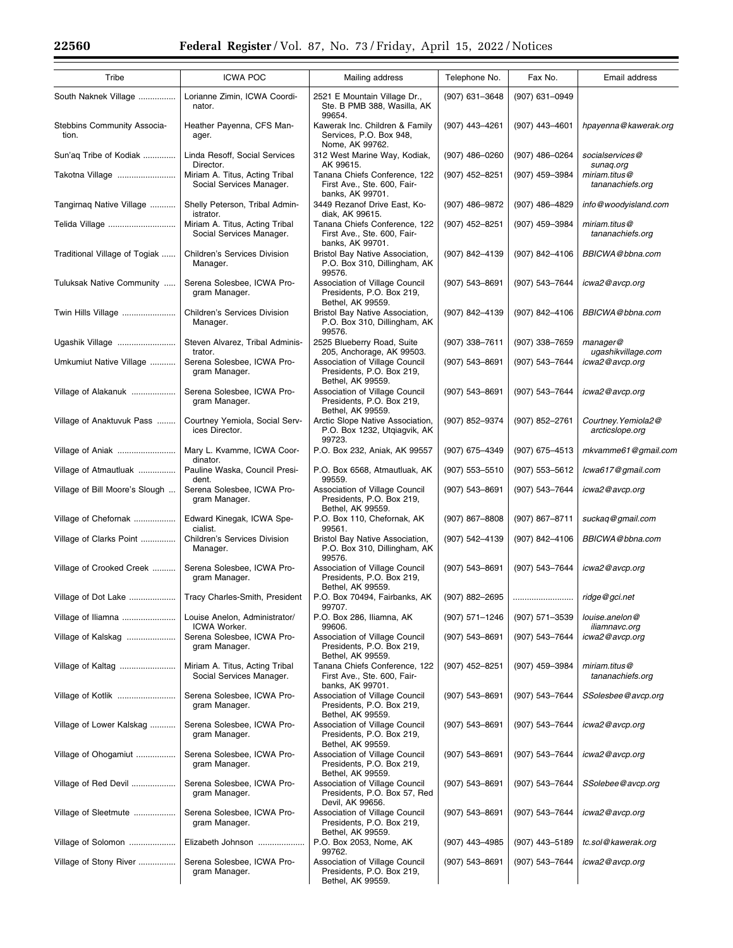Ξ

| Tribe                                                 | <b>ICWA POC</b>                                            | Mailing address                                                                         | Telephone No.      | Fax No.            | Email address                          |
|-------------------------------------------------------|------------------------------------------------------------|-----------------------------------------------------------------------------------------|--------------------|--------------------|----------------------------------------|
| South Naknek Village                                  | Lorianne Zimin, ICWA Coordi-<br>nator.                     | 2521 E Mountain Village Dr.,<br>Ste. B PMB 388, Wasilla, AK<br>99654.                   | (907) 631-3648     | (907) 631-0949     |                                        |
| Stebbins Community Associa-<br>tion.                  | Heather Payenna, CFS Man-<br>ager.                         | Kawerak Inc. Children & Family<br>Services, P.O. Box 948,<br>Nome, AK 99762.            | (907) 443-4261     | (907) 443-4601     | hpayenna@kawerak.org                   |
| Sun'ag Tribe of Kodiak                                | Linda Resoff, Social Services<br>Director.                 | 312 West Marine Way, Kodiak,<br>AK 99615.                                               | (907) 486-0260     | $(907)$ 486-0264   | socialservices@<br>sunaq.org           |
| Takotna Village                                       | Miriam A. Titus, Acting Tribal<br>Social Services Manager. | Tanana Chiefs Conference, 122<br>First Ave., Ste. 600, Fair-<br>banks, AK 99701.        | (907) 452-8251     | (907) 459-3984     | miriam.titus@<br>tananachiefs.org      |
| Tangirnag Native Village                              | Shelly Peterson, Tribal Admin-<br>istrator.                | 3449 Rezanof Drive East, Ko-<br>diak, AK 99615.                                         | (907) 486-9872     | (907) 486-4829     | info@woodyisland.com                   |
| Telida Village                                        | Miriam A. Titus, Acting Tribal<br>Social Services Manager. | Tanana Chiefs Conference, 122<br>First Ave., Ste. 600, Fair-<br>banks, AK 99701.        | (907) 452-8251     | (907) 459-3984     | miriam.titus@<br>tananachiefs.org      |
| Traditional Village of Togiak                         | Children's Services Division<br>Manager.                   | Bristol Bay Native Association,<br>P.O. Box 310, Dillingham, AK<br>99576.               | (907) 842-4139     | (907) 842-4106     | BBICWA@bbna.com                        |
| Tuluksak Native Community                             | Serena Solesbee, ICWA Pro-<br>gram Manager.                | Association of Village Council<br>Presidents, P.O. Box 219,<br>Bethel, AK 99559.        | (907) 543-8691     | (907) 543-7644     | icwa2@avcp.org                         |
| Twin Hills Village                                    | <b>Children's Services Division</b><br>Manager.            | Bristol Bay Native Association,<br>P.O. Box 310, Dillingham, AK<br>99576.               | (907) 842-4139     | (907) 842-4106     | BBICWA@bbna.com                        |
| Ugashik Village                                       | Steven Alvarez, Tribal Adminis-<br>trator.                 | 2525 Blueberry Road, Suite<br>205, Anchorage, AK 99503.                                 | (907) 338-7611     | (907) 338-7659     | $m$ anager@<br>ugashikvillage.com      |
| Umkumiut Native Village                               | Serena Solesbee, ICWA Pro-<br>gram Manager.                | Association of Village Council<br>Presidents, P.O. Box 219,<br>Bethel, AK 99559.        | (907) 543-8691     | (907) 543-7644     | icwa2@avcp.org                         |
| Village of Alakanuk                                   | Serena Solesbee, ICWA Pro-<br>gram Manager.                | Association of Village Council<br>Presidents, P.O. Box 219,<br>Bethel, AK 99559.        | (907) 543-8691     | (907) 543-7644     | icwa2@avcp.org                         |
| Village of Anaktuvuk Pass                             | Courtney Yemiola, Social Serv-<br>ices Director.           | Arctic Slope Native Association,<br>P.O. Box 1232, Utgiagvik, AK<br>99723.              | (907) 852-9374     | (907) 852-2761     | Courtney. Yemiola2@<br>arcticslope.org |
| Village of Aniak                                      | Mary L. Kvamme, ICWA Coor-<br>dinator.                     | P.O. Box 232, Aniak, AK 99557                                                           | (907) 675-4349     | (907) 675-4513     | mkvamme61@gmail.com                    |
| Village of Atmautluak                                 | Pauline Waska, Council Presi-<br>dent.                     | P.O. Box 6568, Atmautluak, AK<br>99559.                                                 | (907) 553-5510     | (907) 553-5612     | lcwa617@gmail.com                      |
| Village of Bill Moore's Slough                        | Serena Solesbee, ICWA Pro-<br>gram Manager.                | Association of Village Council<br>Presidents, P.O. Box 219,<br>Bethel, AK 99559.        | (907) 543-8691     | (907) 543-7644     | icwa2@avcp.org                         |
| Village of Chefornak                                  | Edward Kinegak, ICWA Spe-<br>cialist.                      | P.O. Box 110, Chefornak, AK<br>99561.                                                   | $(907)$ 867-8808   | $(907) 867 - 8711$ | suckaq@gmail.com                       |
| Village of Clarks Point                               | Children's Services Division<br>Manager.                   | Bristol Bay Native Association,<br>P.O. Box 310, Dillingham, AK<br>99576.               | (907) 542-4139     | (907) 842-4106     | BBICWA@bbna.com                        |
| Village of Crooked Creek                              | Serena Solesbee, ICWA Pro-<br>gram Manager.                | Association of Village Council<br>Presidents, P.O. Box 219,<br>Bethel, AK 99559.        | (907) 543-8691     | (907) 543-7644     | icwa2@avcp.org                         |
| Village of Dot Lake    Tracy Charles-Smith, President |                                                            | P.O. Box 70494, Fairbanks, AK<br>99707.                                                 | (907) 882-2695     |                    | ridge@gci.net                          |
| Village of Iliamna                                    | Louise Anelon, Administrator/<br>ICWA Worker.              | P.O. Box 286, Iliamna, AK<br>99606.                                                     | (907) 571-1246     | (907) 571-3539     | louise.anelon@<br>iliamnavc.org        |
| Village of Kalskag                                    | Serena Solesbee, ICWA Pro-<br>gram Manager.                | Association of Village Council<br>Presidents, P.O. Box 219,<br>Bethel, AK 99559.        | $(907) 543 - 8691$ | (907) 543-7644     | icwa2@avcp.org                         |
| Village of Kaltag                                     | Miriam A. Titus, Acting Tribal<br>Social Services Manager. | Tanana Chiefs Conference, 122<br>First Ave., Ste. 600, Fair-<br>banks, AK 99701.        | (907) 452-8251     | (907) 459-3984     | miriam.titus@<br>tananachiefs.org      |
| Village of Kotlik                                     | Serena Solesbee, ICWA Pro-<br>gram Manager.                | <b>Association of Village Council</b><br>Presidents, P.O. Box 219,<br>Bethel, AK 99559. | (907) 543-8691     | (907) 543-7644     | SSolesbee@avcp.org                     |
| Village of Lower Kalskag                              | Serena Solesbee, ICWA Pro-<br>gram Manager.                | Association of Village Council<br>Presidents, P.O. Box 219,<br>Bethel, AK 99559.        | (907) 543-8691     | (907) 543-7644     | icwa2@avcp.org                         |
| Village of Ohogamiut                                  | Serena Solesbee, ICWA Pro-<br>gram Manager.                | Association of Village Council<br>Presidents, P.O. Box 219,<br>Bethel, AK 99559.        | (907) 543-8691     | (907) 543-7644     | icwa2@avcp.org                         |
| Village of Red Devil                                  | Serena Solesbee, ICWA Pro-<br>gram Manager.                | Association of Village Council<br>Presidents, P.O. Box 57, Red<br>Devil, AK 99656.      | (907) 543-8691     | (907) 543-7644     | SSolebee@avcp.org                      |
| Village of Sleetmute                                  | Serena Solesbee, ICWA Pro-<br>gram Manager.                | Association of Village Council<br>Presidents, P.O. Box 219,<br>Bethel, AK 99559.        | (907) 543-8691     | (907) 543-7644     | icwa2@avcp.org                         |
| Village of Solomon                                    | Elizabeth Johnson                                          | P.O. Box 2053, Nome, AK<br>99762.                                                       | (907) 443-4985     | (907) 443-5189     | tc.sol@kawerak.org                     |
| Village of Stony River                                | Serena Solesbee, ICWA Pro-<br>gram Manager.                | Association of Village Council<br>Presidents, P.O. Box 219,<br>Bethel, AK 99559.        | (907) 543-8691     | (907) 543-7644     | icwa2@avcp.org                         |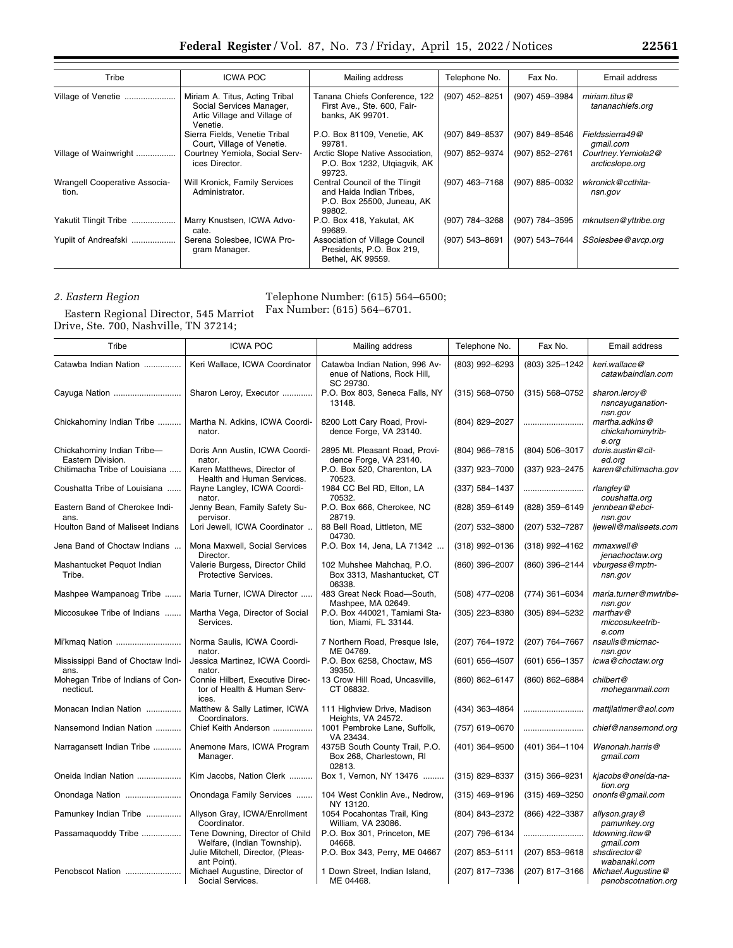| Tribe                                         | <b>ICWA POC</b>                                                                                        | Mailing address                                                                                    | Telephone No.  | Fax No.        | Email address                          |
|-----------------------------------------------|--------------------------------------------------------------------------------------------------------|----------------------------------------------------------------------------------------------------|----------------|----------------|----------------------------------------|
| Village of Venetie                            | Miriam A. Titus, Acting Tribal<br>Social Services Manager,<br>Artic Village and Village of<br>Venetie. | Tanana Chiefs Conference, 122<br>First Ave., Ste. 600, Fair-<br>banks, AK 99701.                   | (907) 452-8251 | (907) 459-3984 | miriam.titus@<br>tananachiefs.org      |
|                                               | Sierra Fields, Venetie Tribal<br>Court, Village of Venetie.                                            | P.O. Box 81109, Venetie, AK<br>99781.                                                              | (907) 849-8537 | (907) 849-8546 | Fieldssierra49@<br>qmail.com           |
| Village of Wainwright                         | Courtney Yemiola, Social Serv-<br>ices Director.                                                       | Arctic Slope Native Association,<br>P.O. Box 1232, Utgiagvik, AK<br>99723.                         | (907) 852-9374 | (907) 852-2761 | Courtney. Yemiola2@<br>arcticslope.org |
| <b>Wrangell Cooperative Associa-</b><br>tion. | Will Kronick, Family Services<br>Administrator.                                                        | Central Council of the Tlingit<br>and Haida Indian Tribes,<br>P.O. Box 25500, Juneau, AK<br>99802. | (907) 463-7168 | (907) 885-0032 | wkronick@ccthita-<br>nsn.gov           |
| Yakutit Tlingit Tribe                         | Marry Knustsen, ICWA Advo-<br>cate.                                                                    | P.O. Box 418, Yakutat, AK<br>99689.                                                                | (907) 784-3268 | (907) 784-3595 | mknutsen@yttribe.org                   |
| Yupiit of Andreafski                          | Serena Solesbee, ICWA Pro-<br>gram Manager.                                                            | Association of Village Council<br>Presidents, P.O. Box 219,<br>Bethel, AK 99559.                   | (907) 543-8691 | (907) 543-7644 | SSolesbee@avcp.org                     |

# *2. Eastern Region*

Telephone Number: (615) 564–6500; Fax Number: (615) 564–6701.

Eastern Regional Director, 545 Marriot Drive, Ste. 700, Nashville, TN 37214;

| Tribe                                           | <b>ICWA POC</b>                                                          | Mailing address                                                            | Telephone No.      | Fax No.            | Email address                                |
|-------------------------------------------------|--------------------------------------------------------------------------|----------------------------------------------------------------------------|--------------------|--------------------|----------------------------------------------|
| Catawba Indian Nation                           | Keri Wallace, ICWA Coordinator                                           | Catawba Indian Nation, 996 Av-<br>enue of Nations, Rock Hill,<br>SC 29730. | (803) 992-6293     | (803) 325-1242     | keri.wallace@<br>catawbaindian.com           |
| Cayuga Nation                                   | Sharon Leroy, Executor                                                   | P.O. Box 803, Seneca Falls, NY<br>13148.                                   | $(315) 568 - 0750$ | $(315) 568 - 0752$ | sharon.leroy@<br>nsncayuganation-<br>nsn.gov |
| Chickahominy Indian Tribe                       | Martha N. Adkins, ICWA Coordi-<br>nator.                                 | 8200 Lott Cary Road, Provi-<br>dence Forge, VA 23140.                      | (804) 829-2027     |                    | martha.adkins@<br>chickahominytrib-<br>e.org |
| Chickahominy Indian Tribe-<br>Eastern Division. | Doris Ann Austin, ICWA Coordi-<br>nator.                                 | 2895 Mt. Pleasant Road, Provi-<br>dence Forge, VA 23140.                   | (804) 966-7815     | (804) 506-3017     | doris.austin@cit-<br>ed.org                  |
| Chitimacha Tribe of Louisiana                   | Karen Matthews, Director of<br>Health and Human Services.                | P.O. Box 520, Charenton, LA<br>70523.                                      | (337) 923-7000     | (337) 923-2475     | karen@chitimacha.gov                         |
| Coushatta Tribe of Louisiana                    | Rayne Langley, ICWA Coordi-<br>nator.                                    | 1984 CC Bel RD, Elton, LA<br>70532.                                        | $(337) 584 - 1437$ |                    | $r$ langley@<br>coushatta.org                |
| Eastern Band of Cherokee Indi-<br>ans.          | Jenny Bean, Family Safety Su-<br>pervisor.                               | P.O. Box 666, Cherokee, NC<br>28719.                                       | (828) 359-6149     | (828) 359-6149     | jennbean@ebci-<br>nsn.gov                    |
| Houlton Band of Maliseet Indians                | Lori Jewell, ICWA Coordinator                                            | 88 Bell Road, Littleton, ME<br>04730.                                      | (207) 532-3800     | (207) 532-7287     | ljewell@maliseets.com                        |
| Jena Band of Choctaw Indians                    | Mona Maxwell, Social Services<br>Director.                               | P.O. Box 14, Jena, LA 71342                                                | $(318)$ 992-0136   | $(318)$ 992-4162   | mmaxwell@<br>jenachoctaw.org                 |
| Mashantucket Pequot Indian<br>Tribe.            | Valerie Burgess, Director Child<br>Protective Services.                  | 102 Muhshee Mahchag, P.O.<br>Box 3313, Mashantucket, CT<br>06338.          | (860) 396-2007     | (860) 396-2144     | vburgess@mptn-<br>nsn.gov                    |
| Mashpee Wampanoag Tribe                         | Maria Turner, ICWA Director                                              | 483 Great Neck Road-South,<br>Mashpee, MA 02649.                           | (508) 477-0208     | $(774)$ 361-6034   | maria.turner@mwtribe-<br>nsn.gov             |
| Miccosukee Tribe of Indians                     | Martha Vega, Director of Social<br>Services.                             | P.O. Box 440021, Tamiami Sta-<br>tion, Miami, FL 33144.                    | (305) 223-8380     | (305) 894-5232     | marthav@<br>miccosukeetrib-<br>e.com         |
| Mi'kmaq Nation                                  | Norma Saulis, ICWA Coordi-<br>nator.                                     | 7 Northern Road, Presque Isle,<br>ME 04769.                                | (207) 764-1972     | (207) 764-7667     | nsaulis@micmac-<br>nsn.gov                   |
| Mississippi Band of Choctaw Indi-<br>ans.       | Jessica Martinez, ICWA Coordi-<br>nator.                                 | P.O. Box 6258, Choctaw, MS<br>39350.                                       | $(601) 656 - 4507$ | (601) 656-1357     | icwa@choctaw.org                             |
| Mohegan Tribe of Indians of Con-<br>necticut.   | Connie Hilbert, Executive Direc-<br>tor of Health & Human Serv-<br>ices. | 13 Crow Hill Road, Uncasville,<br>CT 06832.                                | (860) 862-6147     | (860) 862-6884     | chilbert@<br>moheganmail.com                 |
| Monacan Indian Nation                           | Matthew & Sally Latimer, ICWA<br>Coordinators.                           | 111 Highview Drive, Madison<br>Heights, VA 24572.                          | (434) 363-4864     |                    | mattjlatimer@aol.com                         |
| Nansemond Indian Nation                         | Chief Keith Anderson                                                     | 1001 Pembroke Lane, Suffolk,<br>VA 23434.                                  | (757) 619-0670     |                    | chief@nansemond.org                          |
| Narragansett Indian Tribe                       | Anemone Mars, ICWA Program<br>Manager.                                   | 4375B South County Trail, P.O.<br>Box 268, Charlestown, RI<br>02813.       | (401) 364-9500     | $(401)$ 364-1104   | Wenonah.harris@<br>gmail.com                 |
| Oneida Indian Nation                            | Kim Jacobs, Nation Clerk                                                 | Box 1, Vernon, NY 13476                                                    | $(315)$ 829-8337   | $(315)$ 366-9231   | kjacobs@oneida-na-<br>tion.org               |
| Onondaga Nation                                 | Onondaga Family Services                                                 | 104 West Conklin Ave., Nedrow,<br>NY 13120.                                | $(315)$ 469-9196   | $(315)$ 469-3250   | ononfs@gmail.com                             |
| Pamunkey Indian Tribe                           | Allyson Gray, ICWA/Enrollment<br>Coordinator.                            | 1054 Pocahontas Trail, King<br>William, VA 23086.                          | (804) 843-2372     | (866) 422-3387     | allyson.gray@<br>pamunkey.org                |
| Passamaquoddy Tribe                             | Tene Downing, Director of Child<br>Welfare, (Indian Township).           | P.O. Box 301, Princeton, ME<br>04668.                                      | (207) 796-6134     |                    | tdowning.itcw@<br>qmail.com                  |
|                                                 | Julie Mitchell, Director, (Pleas-<br>ant Point).                         | P.O. Box 343, Perry, ME 04667                                              | (207) 853-5111     | $(207)$ 853-9618   | shsdirector@<br>wabanaki.com                 |
| Penobscot Nation                                | Michael Augustine, Director of<br>Social Services.                       | 1 Down Street, Indian Island,<br>ME 04468.                                 | (207) 817-7336     | (207) 817-3166     | Michael.Augustine@<br>penobscotnation.org    |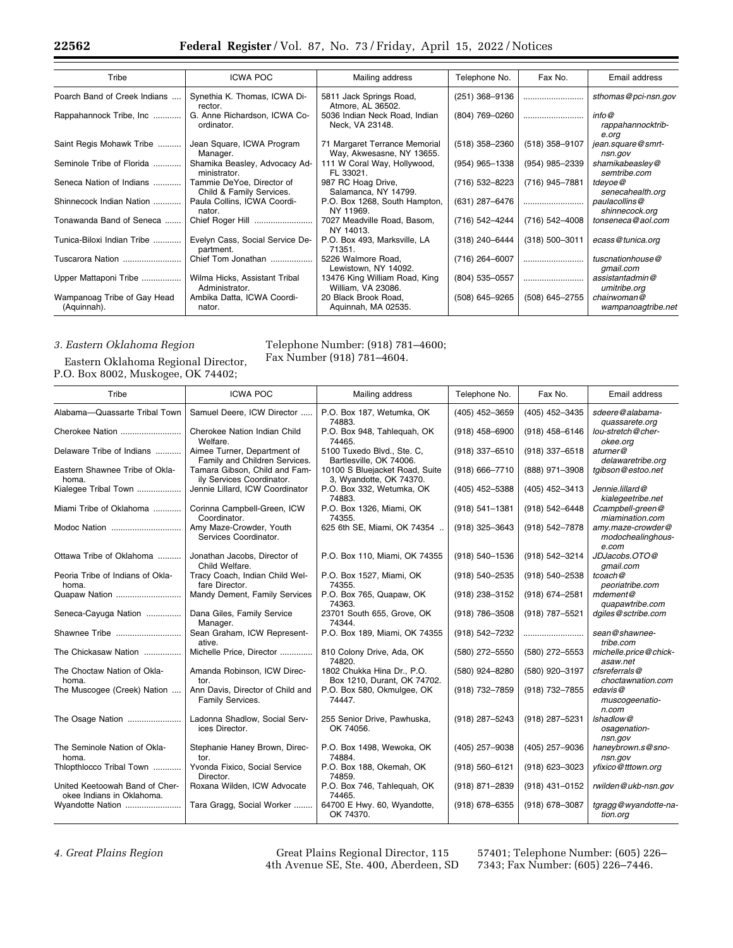| Tribe                                      | <b>ICWA POC</b>                                       | Mailing address                                            | Telephone No.    | Fax No.            | Email address                       |
|--------------------------------------------|-------------------------------------------------------|------------------------------------------------------------|------------------|--------------------|-------------------------------------|
| Poarch Band of Creek Indians               | Synethia K. Thomas, ICWA Di-<br>rector.               | 5811 Jack Springs Road,<br>Atmore, AL 36502.               | $(251)$ 368-9136 |                    | sthomas@pci-nsn.gov                 |
| Rappahannock Tribe, Inc                    | G. Anne Richardson, ICWA Co-<br>ordinator.            | 5036 Indian Neck Road, Indian<br>Neck, VA 23148.           | (804) 769-0260   |                    | info@<br>rappahannocktrib-<br>e.org |
| Saint Regis Mohawk Tribe                   | Jean Square, ICWA Program<br>Manager.                 | 71 Margaret Terrance Memorial<br>Way, Akwesasne, NY 13655. | $(518)$ 358-2360 | $(518)$ 358-9107   | jean.square@smrt-<br>nsn.gov        |
| Seminole Tribe of Florida                  | Shamika Beasley, Advocacy Ad-<br>ministrator.         | 111 W Coral Way, Hollywood,<br>FL 33021.                   | (954) 965-1338   | (954) 985-2339     | shamikabeasley@<br>semtribe.com     |
| Seneca Nation of Indians                   | Tammie DeYoe, Director of<br>Child & Family Services. | 987 RC Hoag Drive,<br>Salamanca, NY 14799.                 | (716) 532-8223   | (716) 945-7881     | tdeyoe@<br>senecahealth.org         |
| Shinnecock Indian Nation                   | Paula Collins, ICWA Coordi-<br>nator.                 | P.O. Box 1268, South Hampton,<br>NY 11969.                 | (631) 287-6476   |                    | paulacollins@<br>shinnecock.org     |
| Tonawanda Band of Seneca                   | Chief Roger Hill                                      | 7027 Meadville Road, Basom,<br>NY 14013.                   | (716) 542-4244   | (716) 542-4008     | tonseneca@aol.com                   |
| Tunica-Biloxi Indian Tribe                 | Evelyn Cass, Social Service De-<br>partment.          | P.O. Box 493, Marksville, LA<br>71351.                     | (318) 240-6444   | $(318) 500 - 3011$ | ecass@tunica.org                    |
| Tuscarora Nation                           | Chief Tom Jonathan                                    | 5226 Walmore Road.<br>Lewistown, NY 14092.                 | $(716)$ 264-6007 |                    | tuscnationhouse@<br>qmail.com       |
| Upper Mattaponi Tribe                      | Wilma Hicks, Assistant Tribal<br>Administrator.       | 13476 King William Road, King<br>William, VA 23086.        | $(804)$ 535-0557 |                    | assistantadmin@<br>umitribe.org     |
| Wampanoag Tribe of Gay Head<br>(Aquinnah). | Ambika Datta, ICWA Coordi-<br>nator.                  | 20 Black Brook Road,<br>Aguinnah, MA 02535.                | (508) 645-9265   | (508) 645-2755     | chairwoman@<br>wampanoagtribe.net   |

# *3. Eastern Oklahoma Region*

Eastern Oklahoma Regional Director, P.O. Box 8002, Muskogee, OK 74402;

Telephone Number: (918) 781–4600;

Fax Number (918) 781–4604.

| $1.8. \text{box}$ $0004, \text{m}$ $0004, \text{m}$         |                                                              |                                                           |                    |                  |                                                 |  |  |  |
|-------------------------------------------------------------|--------------------------------------------------------------|-----------------------------------------------------------|--------------------|------------------|-------------------------------------------------|--|--|--|
| Tribe                                                       | <b>ICWA POC</b>                                              | Mailing address                                           | Telephone No.      | Fax No.          | Email address                                   |  |  |  |
| Alabama-Quassarte Tribal Town                               | Samuel Deere, ICW Director                                   | P.O. Box 187, Wetumka, OK<br>74883.                       | (405) 452-3659     | (405) 452-3435   | sdeere@alabama-<br>quassarete.org               |  |  |  |
| Cherokee Nation                                             | Cherokee Nation Indian Child<br>Welfare.                     | P.O. Box 948, Tahlequah, OK<br>74465.                     | $(918)$ 458-6900   | $(918)$ 458-6146 | lou-stretch@cher-<br>okee.org                   |  |  |  |
| Delaware Tribe of Indians                                   | Aimee Turner, Department of<br>Family and Children Services. | 5100 Tuxedo Blvd., Ste. C,<br>Bartlesville, OK 74006.     | (918) 337-6510     | (918) 337-6518   | aturner@<br>delawaretribe.org                   |  |  |  |
| Eastern Shawnee Tribe of Okla-<br>homa.                     | Tamara Gibson, Child and Fam-<br>ily Services Coordinator.   | 10100 S Bluejacket Road, Suite<br>3, Wyandotte, OK 74370. | $(918) 666 - 7710$ | (888) 971-3908   | tgibson@estoo.net                               |  |  |  |
| Kialegee Tribal Town                                        | Jennie Lillard, ICW Coordinator                              | P.O. Box 332, Wetumka, OK<br>74883.                       | (405) 452-5388     | (405) 452-3413   | Jennie.lillard@<br>kialegeetribe.net            |  |  |  |
| Miami Tribe of Oklahoma                                     | Corinna Campbell-Green, ICW<br>Coordinator.                  | P.O. Box 1326, Miami, OK<br>74355.                        | $(918) 541 - 1381$ | (918) 542-6448   | Ccampbell-green@<br>miamination.com             |  |  |  |
| Modoc Nation                                                | Amy Maze-Crowder, Youth<br>Services Coordinator.             | 625 6th SE, Miami, OK 74354                               | (918) 325-3643     | (918) 542-7878   | amy.maze-crowder@<br>modochealinghous-<br>e.com |  |  |  |
| Ottawa Tribe of Oklahoma                                    | Jonathan Jacobs, Director of<br>Child Welfare.               | P.O. Box 110, Miami, OK 74355                             | (918) 540-1536     | (918) 542-3214   | JDJacobs.OTO@<br>qmail.com                      |  |  |  |
| Peoria Tribe of Indians of Okla-<br>homa.                   | Tracy Coach, Indian Child Wel-<br>fare Director.             | P.O. Box 1527, Miami, OK<br>74355.                        | (918) 540-2535     | (918) 540-2538   | tcoach@<br>peoriatribe.com                      |  |  |  |
|                                                             | Mandy Dement, Family Services                                | P.O. Box 765, Quapaw, OK<br>74363.                        | $(918)$ 238-3152   | (918) 674-2581   | mdement@<br>quapawtribe.com                     |  |  |  |
| Seneca-Cayuga Nation                                        | Dana Giles, Family Service<br>Manager.                       | 23701 South 655, Grove, OK<br>74344.                      | $(918)$ 786-3508   | (918) 787-5521   | dgiles@sctribe.com                              |  |  |  |
| Shawnee Tribe                                               | Sean Graham, ICW Represent-<br>ative.                        | P.O. Box 189, Miami, OK 74355                             | (918) 542-7232     |                  | sean@shawnee-<br>tribe.com                      |  |  |  |
| The Chickasaw Nation                                        | Michelle Price, Director                                     | 810 Colony Drive, Ada, OK<br>74820.                       | (580) 272-5550     | (580) 272-5553   | michelle.price@chick-<br>asaw.net               |  |  |  |
| The Choctaw Nation of Okla-<br>homa.                        | Amanda Robinson, ICW Direc-<br>tor.                          | 1802 Chukka Hina Dr., P.O.<br>Box 1210, Durant, OK 74702. | (580) 924-8280     | (580) 920-3197   | cfsreferrals@<br>choctawnation.com              |  |  |  |
| The Muscogee (Creek) Nation                                 | Ann Davis, Director of Child and<br>Family Services.         | P.O. Box 580, Okmulgee, OK<br>74447.                      | (918) 732-7859     | (918) 732-7855   | edavis@<br>muscogeenatio-<br>n.com              |  |  |  |
| The Osage Nation                                            | Ladonna Shadlow, Social Serv-<br>ices Director.              | 255 Senior Drive, Pawhuska,<br>OK 74056.                  | (918) 287-5243     | (918) 287-5231   | Ishadlow@<br>osagenation-<br>nsn.gov            |  |  |  |
| The Seminole Nation of Okla-<br>homa.                       | Stephanie Haney Brown, Direc-<br>tor.                        | P.O. Box 1498, Wewoka, OK<br>74884.                       | (405) 257-9038     | (405) 257-9036   | haneybrown.s@sno-<br>nsn.gov                    |  |  |  |
| Thlopthlocco Tribal Town                                    | Yvonda Fixico, Social Service<br>Director.                   | P.O. Box 188, Okemah, OK<br>74859.                        | (918) 560-6121     | (918) 623-3023   | yfixico@tttown.org                              |  |  |  |
| United Keetoowah Band of Cher-<br>okee Indians in Oklahoma. | Roxana Wilden, ICW Advocate                                  | P.O. Box 746, Tahlequah, OK<br>74465.                     | (918) 871-2839     | (918) 431-0152   | rwilden@ukb-nsn.gov                             |  |  |  |
| Wyandotte Nation                                            | Tara Gragg, Social Worker                                    | 64700 E Hwy. 60, Wyandotte,<br>OK 74370.                  | $(918)$ 678-6355   | (918) 678-3087   | tgragg@wyandotte-na-<br>tion.org                |  |  |  |

*4. Great Plains Region* Great Plains Regional Director, 115 4th Avenue SE, Ste. 400, Aberdeen, SD 57401; Telephone Number: (605) 226– 7343; Fax Number: (605) 226–7446.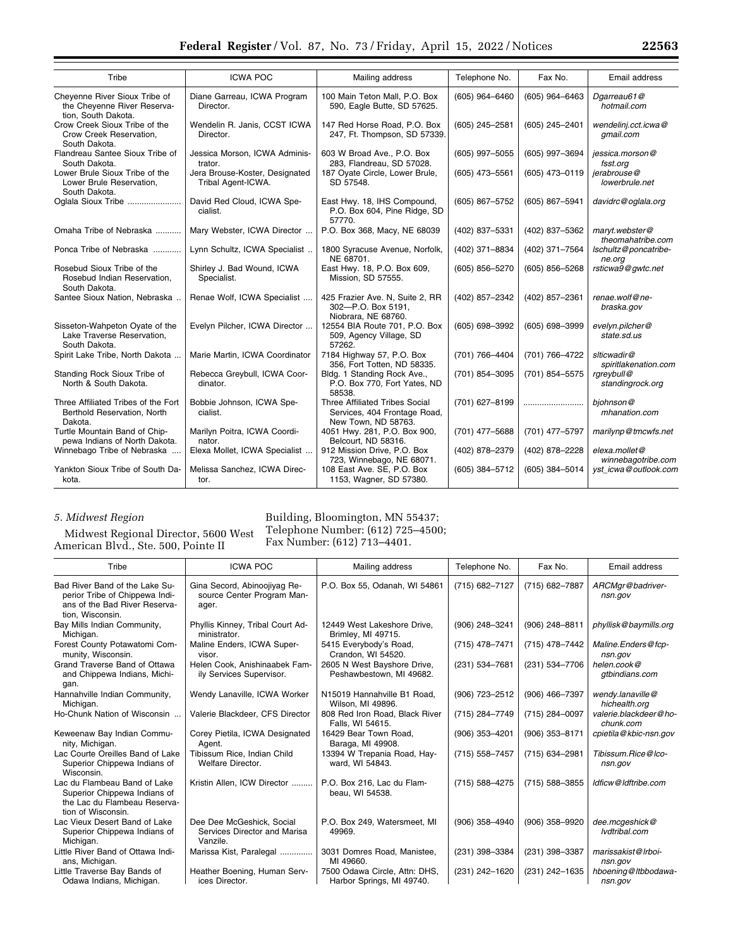| Tribe                                                                               | <b>ICWA POC</b>                                      | Mailing address                                                                       | Telephone No.    | Fax No.          | Email address                       |  |  |
|-------------------------------------------------------------------------------------|------------------------------------------------------|---------------------------------------------------------------------------------------|------------------|------------------|-------------------------------------|--|--|
| Cheyenne River Sioux Tribe of<br>the Chevenne River Reserva-<br>tion, South Dakota. | Diane Garreau, ICWA Program<br>Director.             | 100 Main Teton Mall, P.O. Box<br>590, Eagle Butte, SD 57625.                          | (605) 964-6460   | $(605)$ 964-6463 | Dgarreau61@<br>hotmail.com          |  |  |
| Crow Creek Sioux Tribe of the<br>Crow Creek Reservation.<br>South Dakota.           | Wendelin R. Janis, CCST ICWA<br>Director.            | 147 Red Horse Road, P.O. Box<br>247, Ft. Thompson, SD 57339.                          | $(605)$ 245-2581 | (605) 245-2401   | wendelinj.cct.icwa@<br>gmail.com    |  |  |
| Flandreau Santee Sioux Tribe of<br>South Dakota.                                    | Jessica Morson, ICWA Adminis-<br>trator.             | 603 W Broad Ave., P.O. Box<br>283, Flandreau, SD 57028.                               | (605) 997-5055   | (605) 997-3694   | jessica.morson@<br>fsst.org         |  |  |
| Lower Brule Sioux Tribe of the<br>Lower Brule Reservation,<br>South Dakota.         | Jera Brouse-Koster, Designated<br>Tribal Agent-ICWA. | 187 Oyate Circle, Lower Brule,<br>SD 57548.                                           | (605) 473-5561   | (605) 473-0119   | ierabrouse@<br>lowerbrule.net       |  |  |
| Oglala Sioux Tribe                                                                  | David Red Cloud, ICWA Spe-<br>cialist.               | East Hwy. 18, IHS Compound,<br>P.O. Box 604, Pine Ridge, SD<br>57770.                 | (605) 867-5752   | (605) 867-5941   | davidrc@oglala.org                  |  |  |
| Omaha Tribe of Nebraska                                                             | Mary Webster, ICWA Director                          | P.O. Box 368, Macy, NE 68039                                                          | (402) 837-5331   | (402) 837-5362   | marvt.webster@<br>theomahatribe.com |  |  |
| Ponca Tribe of Nebraska                                                             | Lynn Schultz, ICWA Specialist                        | 1800 Syracuse Avenue, Norfolk,<br>NE 68701.                                           | (402) 371-8834   | (402) 371-7564   | Ischultz@poncatribe-<br>ne.org      |  |  |
| Rosebud Sioux Tribe of the<br>Rosebud Indian Reservation,<br>South Dakota.          | Shirley J. Bad Wound, ICWA<br>Specialist.            | East Hwy. 18, P.O. Box 609,<br>Mission, SD 57555.                                     | (605) 856-5270   | (605) 856-5268   | rsticwa9@gwtc.net                   |  |  |
| Santee Sioux Nation, Nebraska.                                                      | Renae Wolf, ICWA Specialist                          | 425 Frazier Ave. N, Suite 2, RR<br>302-P.O. Box 5191.<br>Niobrara, NE 68760.          | (402) 857-2342   | (402) 857-2361   | renae.wolf@ne-<br>braska.gov        |  |  |
| Sisseton-Wahpeton Oyate of the<br>Lake Traverse Reservation,<br>South Dakota.       | Evelyn Pilcher, ICWA Director                        | 12554 BIA Route 701, P.O. Box<br>509, Agency Village, SD<br>57262.                    | (605) 698-3992   | (605) 698-3999   | evelyn.pilcher@<br>state.sd.us      |  |  |
| Spirit Lake Tribe, North Dakota                                                     | Marie Martin, ICWA Coordinator                       | 7184 Highway 57, P.O. Box<br>356, Fort Totten, ND 58335.                              | (701) 766-4404   | (701) 766-4722   | slticwadir@<br>spiritlakenation.com |  |  |
| Standing Rock Sioux Tribe of<br>North & South Dakota.                               | Rebecca Greybull, ICWA Coor-<br>dinator.             | Bldg. 1 Standing Rock Ave.,<br>P.O. Box 770, Fort Yates, ND<br>58538.                 | (701) 854-3095   | (701) 854-5575   | rgreybull@<br>standingrock.org      |  |  |
| Three Affiliated Tribes of the Fort<br>Berthold Reservation, North<br>Dakota.       | Bobbie Johnson, ICWA Spe-<br>cialist.                | Three Affiliated Tribes Social<br>Services, 404 Frontage Road,<br>New Town, ND 58763. | (701) 627-8199   |                  | biohnson@<br>mhanation.com          |  |  |
| Turtle Mountain Band of Chip-<br>pewa Indians of North Dakota.                      | Marilyn Poitra, ICWA Coordi-<br>nator.               | 4051 Hwy. 281, P.O. Box 900,<br>Belcourt, ND 58316.                                   | (701) 477-5688   | (701) 477-5797   | marilynp@tmcwfs.net                 |  |  |
| Winnebago Tribe of Nebraska                                                         | Elexa Mollet, ICWA Specialist                        | 912 Mission Drive, P.O. Box<br>723, Winnebago, NE 68071.                              | (402) 878-2379   | (402) 878-2228   | elexa.mollet@<br>winnebagotribe.com |  |  |
| Yankton Sioux Tribe of South Da-<br>kota.                                           | Melissa Sanchez, ICWA Direc-<br>tor.                 | 108 East Ave. SE, P.O. Box<br>1153, Wagner, SD 57380.                                 | (605) 384-5712   | $(605)$ 384-5014 | yst icwa@outlook.com                |  |  |

# *5. Midwest Region*

Midwest Regional Director, 5600 West American Blvd., Ste. 500, Pointe II

# Building, Bloomington, MN 55437; Telephone Number: (612) 725–4500; Fax Number: (612) 713–4401.

| Tribe                                                                                                                 | <b>ICWA POC</b>                                                       | Mailing address                                            | Telephone No.    | Fax No.          | Email address                      |
|-----------------------------------------------------------------------------------------------------------------------|-----------------------------------------------------------------------|------------------------------------------------------------|------------------|------------------|------------------------------------|
| Bad River Band of the Lake Su-<br>perior Tribe of Chippewa Indi-<br>ans of the Bad River Reserva-<br>tion, Wisconsin. | Gina Secord, Abinoojiyag Re-<br>source Center Program Man-<br>ager.   | P.O. Box 55, Odanah, WI 54861                              | (715) 682-7127   | (715) 682-7887   | ARCMgr@badriver-<br>nsn.gov        |
| Bay Mills Indian Community,<br>Michigan.                                                                              | Phyllis Kinney, Tribal Court Ad-<br>ministrator.                      | 12449 West Lakeshore Drive.<br>Brimley, MI 49715.          | (906) 248-3241   | (906) 248-8811   | phyllisk@baymills.org              |
| Forest County Potawatomi Com-<br>munity, Wisconsin.                                                                   | Maline Enders, ICWA Super-<br>visor.                                  | 5415 Everybody's Road,<br>Crandon, WI 54520.               | (715) 478-7471   | (715) 478-7442   | Maline.Enders@fcp-<br>nsn.gov      |
| Grand Traverse Band of Ottawa<br>and Chippewa Indians, Michi-<br>gan.                                                 | Helen Cook, Anishinaabek Fam-<br>ily Services Supervisor.             | 2605 N West Bayshore Drive,<br>Peshawbestown, MI 49682.    | (231) 534-7681   | (231) 534-7706   | helen.cook@<br>qtbindians.com      |
| Hannahville Indian Community,<br>Michigan.                                                                            | Wendy Lanaville, ICWA Worker                                          | N15019 Hannahville B1 Road,<br>Wilson, MI 49896.           | (906) 723-2512   | (906) 466-7397   | wendy.lanaville@<br>hichealth.org  |
| Ho-Chunk Nation of Wisconsin                                                                                          | Valerie Blackdeer, CFS Director                                       | 808 Red Iron Road, Black River<br>Falls, WI 54615.         | (715) 284-7749   | (715) 284-0097   | valerie.blackdeer@ho-<br>chunk.com |
| Keweenaw Bay Indian Commu-<br>nity, Michigan.                                                                         | Corey Pietila, ICWA Designated<br>Agent.                              | 16429 Bear Town Road.<br>Baraga, MI 49908.                 | (906) 353-4201   | (906) 353-8171   | cpietila@kbic-nsn.gov              |
| Lac Courte Oreilles Band of Lake<br>Superior Chippewa Indians of<br>Wisconsin.                                        | Tibissum Rice, Indian Child<br>Welfare Director.                      | 13394 W Trepania Road, Hay-<br>ward, WI 54843.             | (715) 558-7457   | (715) 634-2981   | Tibissum.Rice@lco-<br>nsn.gov      |
| Lac du Flambeau Band of Lake<br>Superior Chippewa Indians of<br>the Lac du Flambeau Reserva-<br>tion of Wisconsin.    | Kristin Allen, ICW Director                                           | P.O. Box 216, Lac du Flam-<br>beau, WI 54538.              | $(715)$ 588-4275 | $(715)$ 588-3855 | Idficw@Idftribe.com                |
| Lac Vieux Desert Band of Lake<br>Superior Chippewa Indians of<br>Michigan.                                            | Dee Dee McGeshick, Social<br>Services Director and Marisa<br>Vanzile. | P.O. Box 249, Watersmeet, MI<br>49969.                     | (906) 358-4940   | (906) 358-9920   | dee.mcgeshick@<br>Ivdtribal.com    |
| Little River Band of Ottawa Indi-<br>ans, Michigan.                                                                   | Marissa Kist, Paralegal                                               | 3031 Domres Road, Manistee,<br>MI 49660.                   | (231) 398-3384   | (231) 398-3387   | marissakist@Irboi-<br>nsn.gov      |
| Little Traverse Bay Bands of<br>Odawa Indians, Michigan.                                                              | Heather Boening, Human Serv-<br>ices Director.                        | 7500 Odawa Circle, Attn: DHS,<br>Harbor Springs, MI 49740. | (231) 242-1620   | (231) 242-1635   | hboening@Itbbodawa-<br>nsn.gov     |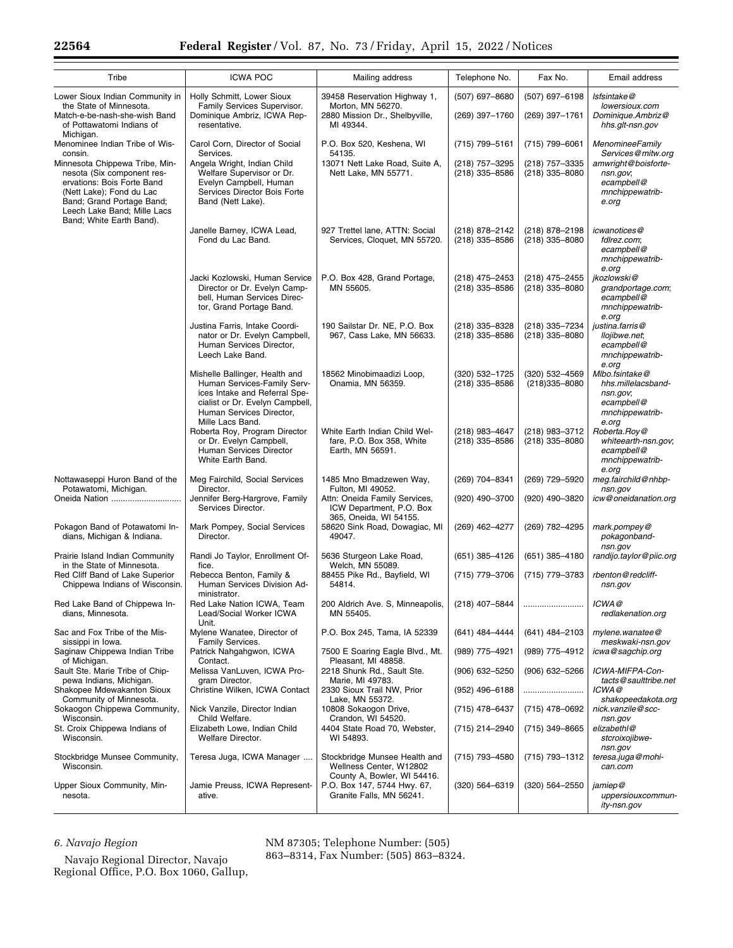| Tribe                                                                                                                                                                                                          | <b>ICWA POC</b>                                                                                                                                                                   | Mailing address                                                                                  | Telephone No.                      | Fax No.                             | Email address                                                                              |
|----------------------------------------------------------------------------------------------------------------------------------------------------------------------------------------------------------------|-----------------------------------------------------------------------------------------------------------------------------------------------------------------------------------|--------------------------------------------------------------------------------------------------|------------------------------------|-------------------------------------|--------------------------------------------------------------------------------------------|
| Lower Sioux Indian Community in<br>the State of Minnesota.<br>Match-e-be-nash-she-wish Band<br>of Pottawatomi Indians of<br>Michigan.                                                                          | Holly Schmitt, Lower Sioux<br>Family Services Supervisor.<br>Dominique Ambriz, ICWA Rep-<br>resentative.                                                                          | 39458 Reservation Highway 1,<br>Morton, MN 56270.<br>2880 Mission Dr., Shelbyville,<br>MI 49344. | (507) 697-8680<br>(269) 397-1760   | (507) 697-6198<br>(269) 397-1761    | Isfsintake@<br>lowersioux.com<br>Dominique.Ambriz@<br>hhs.glt-nsn.gov                      |
| Menominee Indian Tribe of Wis-<br>consin.                                                                                                                                                                      | Carol Corn, Director of Social<br>Services.                                                                                                                                       | P.O. Box 520, Keshena, WI<br>54135.                                                              | (715) 799-5161                     | (715) 799-6061                      | MenomineeFamily<br>Services@mitw.org                                                       |
| Minnesota Chippewa Tribe, Min-<br>nesota (Six component res-<br>ervations: Bois Forte Band<br>(Nett Lake); Fond du Lac<br>Band; Grand Portage Band;<br>Leech Lake Band; Mille Lacs<br>Band; White Earth Band). | Angela Wright, Indian Child<br>Welfare Supervisor or Dr.<br>Evelyn Campbell, Human<br>Services Director Bois Forte<br>Band (Nett Lake).                                           | 13071 Nett Lake Road, Suite A,<br>Nett Lake, MN 55771.                                           | (218) 757-3295<br>(218) 335-8586   | (218) 757-3335<br>$(218)$ 335-8080  | amwright@boisforte-<br>nsn.gov;<br>ecampbell@<br>mnchippewatrib-<br>e.org                  |
|                                                                                                                                                                                                                | Janelle Barney, ICWA Lead,<br>Fond du Lac Band.                                                                                                                                   | 927 Trettel lane, ATTN: Social<br>Services, Cloquet, MN 55720.                                   | (218) 878-2142<br>$(218)$ 335-8586 | (218) 878-2198<br>(218) 335-8080    | icwanotices@<br>fdlrez.com;<br>ecampbell@<br>mnchippewatrib-<br>e.org                      |
|                                                                                                                                                                                                                | Jacki Kozlowski, Human Service<br>Director or Dr. Evelyn Camp-<br>bell, Human Services Direc-<br>tor, Grand Portage Band.                                                         | P.O. Box 428, Grand Portage,<br>MN 55605.                                                        | (218) 475-2453<br>(218) 335-8586   | (218) 475-2455<br>(218) 335-8080    | jkozlowski@<br>grandportage.com;<br>ecampbell@<br>mnchippewatrib-<br>e.org                 |
|                                                                                                                                                                                                                | Justina Farris, Intake Coordi-<br>nator or Dr. Evelyn Campbell,<br>Human Services Director,<br>Leech Lake Band.                                                                   | 190 Sailstar Dr. NE, P.O. Box<br>967, Cass Lake, MN 56633.                                       | (218) 335-8328<br>(218) 335-8586   | (218) 335-7234<br>(218) 335-8080    | justina.farris@<br>llojibwe.net,<br>ecampbell@<br>mnchippewatrib-<br>e.org                 |
|                                                                                                                                                                                                                | Mishelle Ballinger, Health and<br>Human Services-Family Serv-<br>ices Intake and Referral Spe-<br>cialist or Dr. Evelyn Campbell,<br>Human Services Director.<br>Mille Lacs Band. | 18562 Minobimaadizi Loop,<br>Onamia, MN 56359.                                                   | (320) 532-1725<br>(218) 335-8586   | (320) 532-4569<br>$(218)335 - 8080$ | Mlbo.fsintake@<br>hhs.millelacsband-<br>nsn.gov;<br>ecampbell@<br>mnchippewatrib-<br>e.org |
|                                                                                                                                                                                                                | Roberta Roy, Program Director<br>or Dr. Evelyn Campbell,<br>Human Services Director<br>White Earth Band.                                                                          | White Earth Indian Child Wel-<br>fare, P.O. Box 358, White<br>Earth, MN 56591.                   | (218) 983-4647<br>(218) 335-8586   | (218) 983-3712<br>(218) 335-8080    | Roberta.Roy@<br>whiteearth-nsn.gov;<br>ecampbell@<br>mnchippewatrib-<br>e.org              |
| Nottawaseppi Huron Band of the<br>Potawatomi, Michigan.<br>Oneida Nation                                                                                                                                       | Meg Fairchild, Social Services<br>Director.<br>Jennifer Berg-Hargrove, Family                                                                                                     | 1485 Mno Bmadzewen Way,<br>Fulton, MI 49052.<br>Attn: Oneida Family Services,                    | (269) 704-8341<br>(920) 490-3700   | (269) 729-5920<br>(920) 490-3820    | meg.fairchild@nhbp-<br>nsn.gov<br>icw@oneidanation.org                                     |
|                                                                                                                                                                                                                | Services Director.                                                                                                                                                                | ICW Department, P.O. Box<br>365, Oneida, WI 54155.                                               |                                    |                                     |                                                                                            |
| Pokagon Band of Potawatomi In-<br>dians, Michigan & Indiana.                                                                                                                                                   | Mark Pompey, Social Services<br>Director.                                                                                                                                         | 58620 Sink Road, Dowagiac, MI<br>49047.                                                          | (269) 462-4277                     | (269) 782-4295                      | mark.pompey@<br>pokagonband-<br>nsn.gov                                                    |
| Prairie Island Indian Community<br>in the State of Minnesota.                                                                                                                                                  | Randi Jo Taylor, Enrollment Of-<br>fice.                                                                                                                                          | 5636 Sturgeon Lake Road,<br>Welch, MN 55089.                                                     | (651) 385-4126                     | $(651)$ 385-4180                    | randijo.taylor@piic.org                                                                    |
| Red Cliff Band of Lake Superior<br>Chippewa Indians of Wisconsin.                                                                                                                                              | Rebecca Benton, Family &<br>Human Services Division Ad-<br>ministrator.                                                                                                           | 88455 Pike Rd., Bayfield, WI<br>54814.                                                           | (715) 779-3706                     | (715) 779-3783                      | rbenton@redcliff-<br>nsn.gov                                                               |
| Red Lake Band of Chippewa In-<br>dians, Minnesota.                                                                                                                                                             | Red Lake Nation ICWA, Team<br>Lead/Social Worker ICWA<br>Unit.                                                                                                                    | 200 Aldrich Ave. S, Minneapolis,<br>MN 55405.                                                    | (218) 407-5844                     |                                     | ICWA@<br>redlakenation.org                                                                 |
| Sac and Fox Tribe of the Mis-<br>sissippi in Iowa.                                                                                                                                                             | Mylene Wanatee, Director of<br>Family Services.                                                                                                                                   | P.O. Box 245, Tama, IA 52339                                                                     | (641) 484-4444                     | (641) 484-2103                      | mylene.wanatee@<br>meskwaki-nsn.gov                                                        |
| Saginaw Chippewa Indian Tribe<br>of Michigan.                                                                                                                                                                  | Patrick Nahgahgwon, ICWA<br>Contact.                                                                                                                                              | 7500 E Soaring Eagle Blvd., Mt.<br>Pleasant, MI 48858.                                           | (989) 775-4921                     | (989) 775–4912                      | icwa@sagchip.org                                                                           |
| Sault Ste. Marie Tribe of Chip-<br>pewa Indians, Michigan.                                                                                                                                                     | Melissa VanLuven, ICWA Pro-<br>gram Director.                                                                                                                                     | 2218 Shunk Rd., Sault Ste.<br>Marie, MI 49783.                                                   | $(906)$ 632-5250                   | $(906)$ 632-5266                    | ICWA-MIFPA-Con-<br>tacts@saulttribe.net                                                    |
| Shakopee Mdewakanton Sioux<br>Community of Minnesota.                                                                                                                                                          | Christine Wilken, ICWA Contact                                                                                                                                                    | 2330 Sioux Trail NW, Prior<br>Lake, MN 55372.                                                    | (952) 496-6188                     |                                     | ICWA@<br>shakopeedakota.org                                                                |
| Sokaogon Chippewa Community,<br>Wisconsin.                                                                                                                                                                     | Nick Vanzile, Director Indian<br>Child Welfare.                                                                                                                                   | 10808 Sokaogon Drive,<br>Crandon, WI 54520.                                                      | (715) 478-6437                     | (715) 478-0692                      | nick.vanzile@scc-<br>nsn.gov                                                               |
| St. Croix Chippewa Indians of<br>Wisconsin.                                                                                                                                                                    | Elizabeth Lowe, Indian Child<br>Welfare Director.                                                                                                                                 | 4404 State Road 70, Webster,<br>WI 54893.                                                        | (715) 214-2940                     | (715) 349-8665                      | elizabethl@<br>stcroixojibwe-<br>nsn.gov                                                   |
| Stockbridge Munsee Community,<br>Wisconsin.                                                                                                                                                                    | Teresa Juga, ICWA Manager                                                                                                                                                         | Stockbridge Munsee Health and<br>Wellness Center, W12802<br>County A, Bowler, WI 54416.          | (715) 793-4580                     | (715) 793-1312                      | teresa.juga@mohi-<br>can.com                                                               |
| Upper Sioux Community, Min-<br>nesota.                                                                                                                                                                         | Jamie Preuss, ICWA Represent-<br>ative.                                                                                                                                           | P.O. Box 147, 5744 Hwy. 67,<br>Granite Falls, MN 56241.                                          | $(320) 564 - 6319$                 | (320) 564-2550                      | jamiep@<br>uppersiouxcommun-<br>ity-nsn.gov                                                |

# *6. Navajo Region*

Navajo Regional Director, Navajo Regional Office, P.O. Box 1060, Gallup, NM 87305; Telephone Number: (505)

863–8314, Fax Number: (505) 863–8324.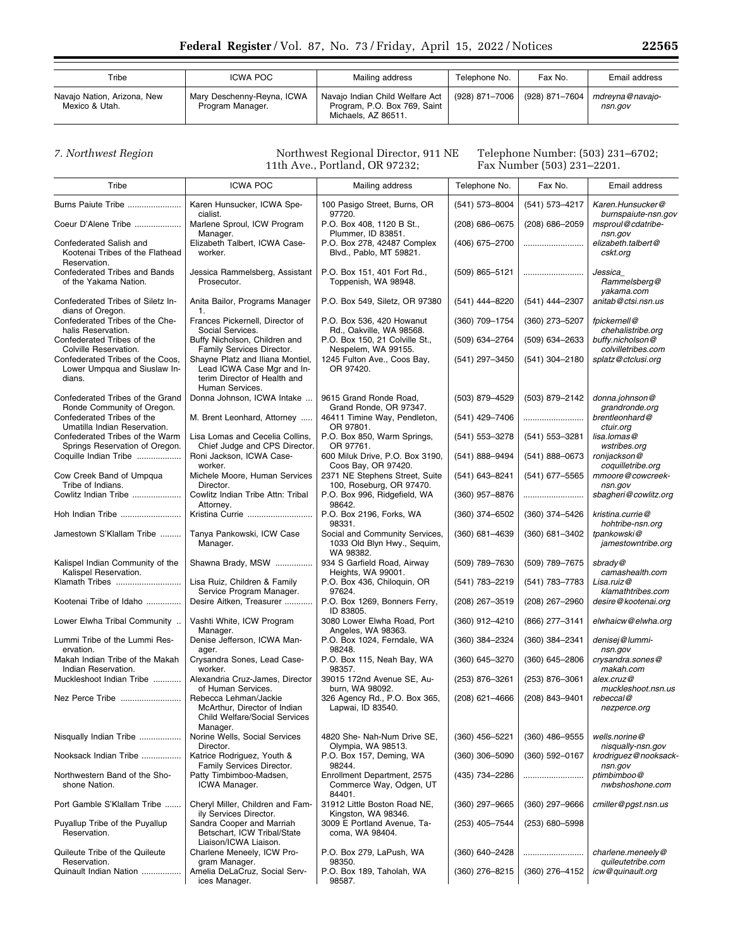| Tribe                                         | ICWA POC                                       | Mailing address                                                                          | Telephone No.                   | Fax No. | Email address              |
|-----------------------------------------------|------------------------------------------------|------------------------------------------------------------------------------------------|---------------------------------|---------|----------------------------|
| Navajo Nation, Arizona, New<br>Mexico & Utah. | Mary Deschenny-Reyna, ICWA<br>Program Manager. | Navajo Indian Child Welfare Act  <br>Program, P.O. Box 769, Saint<br>Michaels, AZ 86511. | (928) 871–7006   (928) 871–7604 |         | mdrevna@navaio-<br>nsn.gov |

*7. Northwest Region* Northwest Regional Director, 911 NE 11th Ave., Portland, OR 97232;

Telephone Number: (503) 231–6702; Fax Number (503) 231–2201.

| Tribe                                                                      | <b>ICWA POC</b>                                                                                                   | Mailing address                                                            | Telephone No.    | Fax No.            | Email address                           |
|----------------------------------------------------------------------------|-------------------------------------------------------------------------------------------------------------------|----------------------------------------------------------------------------|------------------|--------------------|-----------------------------------------|
| Burns Paiute Tribe                                                         | Karen Hunsucker, ICWA Spe-<br>cialist.                                                                            | 100 Pasigo Street, Burns, OR<br>97720.                                     | (541) 573-8004   | (541) 573-4217     | Karen.Hunsucker@<br>burnspaiute-nsn.gov |
| Coeur D'Alene Tribe                                                        | Marlene Sproul, ICW Program<br>Manager.                                                                           | P.O. Box 408, 1120 B St.,<br>Plummer, ID 83851.                            | $(208)$ 686-0675 | $(208)$ 686-2059   | msproul@cdatribe-<br>nsn.gov            |
| Confederated Salish and<br>Kootenai Tribes of the Flathead<br>Reservation. | Elizabeth Talbert, ICWA Case-<br>worker.                                                                          | P.O. Box 278, 42487 Complex<br>Blvd., Pablo, MT 59821.                     | (406) 675-2700   |                    | elizabeth.talbert@<br>cskt.org          |
| Confederated Tribes and Bands<br>of the Yakama Nation.                     | Jessica Rammelsberg, Assistant<br>Prosecutor.                                                                     | P.O. Box 151, 401 Fort Rd.,<br>Toppenish, WA 98948.                        | (509) 865-5121   |                    | Jessica<br>Rammelsberg@<br>yakama.com   |
| Confederated Tribes of Siletz In-<br>dians of Oregon.                      | Anita Bailor, Programs Manager<br>1.                                                                              | P.O. Box 549, Siletz, OR 97380                                             | (541) 444-8220   | (541) 444-2307     | anitab@ctsi.nsn.us                      |
| Confederated Tribes of the Che-<br>halis Reservation.                      | Frances Pickernell, Director of<br>Social Services.                                                               | P.O. Box 536, 420 Howanut<br>Rd., Oakville, WA 98568.                      | (360) 709-1754   | (360) 273-5207     | fpickernell@<br>chehalistribe.org       |
| Confederated Tribes of the<br>Colville Reservation.                        | Buffy Nicholson, Children and<br>Family Services Director.                                                        | P.O. Box 150, 21 Colville St.,<br>Nespelem, WA 99155.                      | (509) 634-2764   | (509) 634-2633     | buffy.nicholson@<br>colvilletribes.com  |
| Confederated Tribes of the Coos,<br>Lower Umpqua and Siuslaw In-<br>dians. | Shayne Platz and Iliana Montiel,<br>Lead ICWA Case Mgr and In-<br>terim Director of Health and<br>Human Services. | 1245 Fulton Ave., Coos Bay,<br>OR 97420.                                   | (541) 297-3450   | (541) 304-2180     | splatz@ctclusi.org                      |
| Confederated Tribes of the Grand<br>Ronde Community of Oregon.             | Donna Johnson, ICWA Intake                                                                                        | 9615 Grand Ronde Road,<br>Grand Ronde, OR 97347.                           | (503) 879-4529   | (503) 879-2142     | donna.johnson@<br>grandronde.org        |
| Confederated Tribes of the<br>Umatilla Indian Reservation.                 | M. Brent Leonhard, Attorney                                                                                       | 46411 Timine Way, Pendleton,<br>OR 97801.                                  | (541) 429-7406   |                    | brentleonhard@<br>ctuir.org             |
| Confederated Tribes of the Warm<br>Springs Reservation of Oregon.          | Lisa Lomas and Cecelia Collins.<br>Chief Judge and CPS Director.                                                  | P.O. Box 850, Warm Springs,<br>OR 97761.                                   | (541) 553-3278   | (541) 553-3281     | lisa.lomas@<br>wstribes.org             |
| Coquille Indian Tribe                                                      | Roni Jackson, ICWA Case-<br>worker.                                                                               | 600 Miluk Drive, P.O. Box 3190,<br>Coos Bay, OR 97420.                     | (541) 888-9494   | $(541) 888 - 0673$ | ronijackson@<br>coquilletribe.org       |
| Cow Creek Band of Umpqua<br>Tribe of Indians.                              | Michele Moore, Human Services<br>Director.                                                                        | 2371 NE Stephens Street, Suite<br>100, Roseburg, OR 97470.                 | (541) 643-8241   | (541) 677-5565     | mmoore@cowcreek-<br>nsn.gov             |
| Cowlitz Indian Tribe                                                       | Cowlitz Indian Tribe Attn: Tribal<br>Attorney.                                                                    | P.O. Box 996, Ridgefield, WA<br>98642.                                     | (360) 957-8876   |                    | sbagheri@cowlitz.org                    |
| Hoh Indian Tribe                                                           | Kristina Currie                                                                                                   | P.O. Box 2196, Forks, WA<br>98331.                                         | $(360)$ 374-6502 | (360) 374-5426     | kristina.currie@<br>hohtribe-nsn.org    |
| Jamestown S'Klallam Tribe                                                  | Tanya Pankowski, ICW Case<br>Manager.                                                                             | Social and Community Services,<br>1033 Old Blyn Hwy., Sequim,<br>WA 98382. | $(360)$ 681-4639 | $(360)$ 681-3402   | tpankowski@<br>jamestowntribe.org       |
| Kalispel Indian Community of the<br>Kalispel Reservation.                  | Shawna Brady, MSW                                                                                                 | 934 S Garfield Road, Airway<br>Heights, WA 99001.                          | (509) 789-7630   | (509) 789-7675     | sbrady@<br>camashealth.com              |
| Klamath Tribes                                                             | Lisa Ruiz, Children & Family<br>Service Program Manager.                                                          | P.O. Box 436, Chiloquin, OR<br>97624.                                      | (541) 783-2219   | (541) 783-7783     | Lisa.ruiz@<br>klamathtribes.com         |
| Kootenai Tribe of Idaho                                                    | Desire Aitken, Treasurer                                                                                          | P.O. Box 1269, Bonners Ferry,<br>ID 83805.                                 | (208) 267-3519   | (208) 267-2960     | desire@kootenai.org                     |
| Lower Elwha Tribal Community                                               | Vashti White, ICW Program<br>Manager.                                                                             | 3080 Lower Elwha Road, Port<br>Angeles, WA 98363.                          | (360) 912-4210   | (866) 277-3141     | elwhaicw@elwha.org                      |
| Lummi Tribe of the Lummi Res-<br>ervation.                                 | Denise Jefferson, ICWA Man-<br>ager.                                                                              | P.O. Box 1024, Ferndale, WA<br>98248.                                      | (360) 384-2324   | (360) 384-2341     | denisej@lummi-<br>nsn.gov               |
| Makah Indian Tribe of the Makah<br>Indian Reservation.                     | Crysandra Sones, Lead Case-<br>worker.                                                                            | P.O. Box 115, Neah Bay, WA<br>98357.                                       | (360) 645-3270   | $(360)$ 645-2806   | crysandra.sones@<br>makah.com           |
| Muckleshoot Indian Tribe                                                   | Alexandria Cruz-James, Director<br>of Human Services.                                                             | 39015 172nd Avenue SE, Au-<br>burn, WA 98092.                              | (253) 876-3261   | (253) 876-3061     | alex.cruz@<br>muckleshoot.nsn.us        |
| Nez Perce Tribe                                                            | Rebecca Lehman/Jackie<br>McArthur, Director of Indian<br><b>Child Welfare/Social Services</b><br>Manager.         | 326 Agency Rd., P.O. Box 365,<br>Lapwai, ID 83540.                         | $(208)$ 621-4666 | (208) 843-9401     | rebeccal@<br>nezperce.org               |
| Nisqually Indian Tribe                                                     | Norine Wells, Social Services<br>Director.                                                                        | 4820 She- Nah-Num Drive SE,<br>Olympia, WA 98513.                          | (360) 456-5221   | $(360)$ 486-9555   | wells.norine@<br>nisqually-nsn.gov      |
| Nooksack Indian Tribe                                                      | Katrice Rodriguez, Youth &<br>Family Services Director.                                                           | P.O. Box 157, Deming, WA<br>98244.                                         | $(360)$ 306-5090 | (360) 592-0167     | krodriguez@nooksack-<br>nsn.gov         |
| Northwestern Band of the Sho-<br>shone Nation.                             | Patty Timbimboo-Madsen,<br>ICWA Manager.                                                                          | Enrollment Department, 2575<br>Commerce Way, Odgen, UT<br>84401.           | (435) 734-2286   |                    | ptimbimboo@<br>nwbshoshone.com          |
| Port Gamble S'Klallam Tribe                                                | Cheryl Miller, Children and Fam-<br>ily Services Director.                                                        | 31912 Little Boston Road NE.<br>Kingston, WA 98346.                        | (360) 297-9665   | $(360)$ 297-9666   | cmiller@pgst.nsn.us                     |
| Puyallup Tribe of the Puyallup<br>Reservation.                             | Sandra Cooper and Marriah<br>Betschart, ICW Tribal/State<br>Liaison/ICWA Liaison.                                 | 3009 E Portland Avenue, Ta-<br>coma, WA 98404.                             | (253) 405-7544   | (253) 680-5998     |                                         |
| Quileute Tribe of the Quileute<br>Reservation.                             | Charlene Meneely, ICW Pro-<br>gram Manager.                                                                       | P.O. Box 279, LaPush, WA<br>98350.                                         | (360) 640-2428   |                    | charlene.meneely@<br>quileutetribe.com  |
| Quinault Indian Nation                                                     | Amelia DeLaCruz, Social Serv-<br>ices Manager.                                                                    | P.O. Box 189, Taholah, WA<br>98587.                                        | (360) 276-8215   | (360) 276-4152     | icw@guinault.org                        |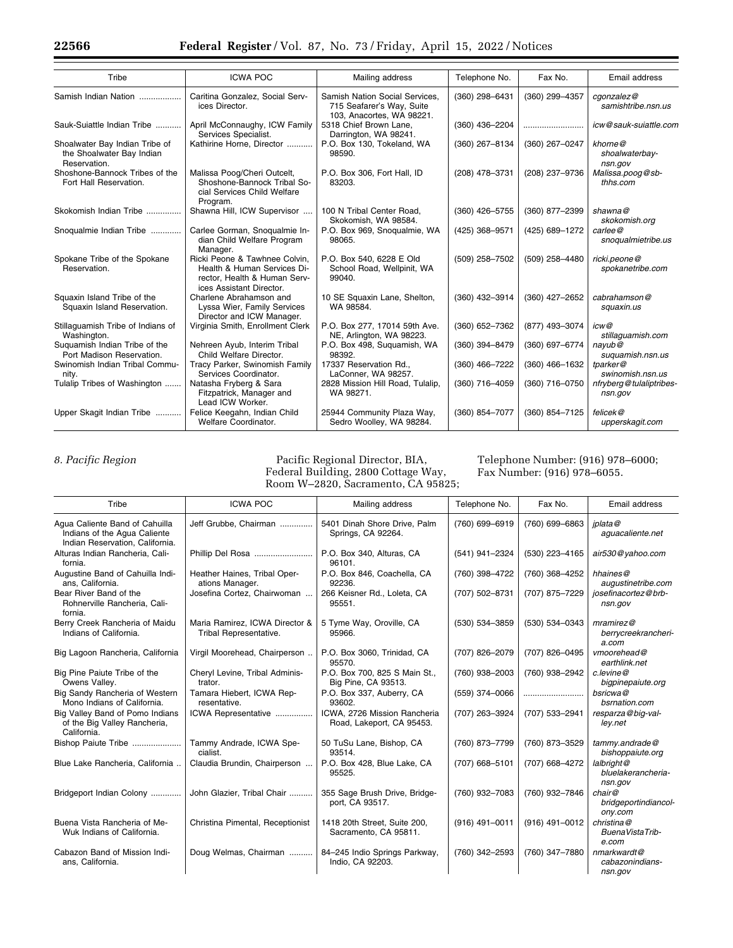| Tribe                                                                       | <b>ICWA POC</b>                                                                                                          | Mailing address                                                                          | Telephone No.  | Fax No.          | Email address                        |
|-----------------------------------------------------------------------------|--------------------------------------------------------------------------------------------------------------------------|------------------------------------------------------------------------------------------|----------------|------------------|--------------------------------------|
| Samish Indian Nation                                                        | Caritina Gonzalez, Social Serv-<br>ices Director.                                                                        | Samish Nation Social Services.<br>715 Seafarer's Way, Suite<br>103, Anacortes, WA 98221. | (360) 298-6431 | (360) 299-4357   | cgonzalez@<br>samishtribe.nsn.us     |
| Sauk-Suiattle Indian Tribe                                                  | April McConnaughy, ICW Family<br>Services Specialist.                                                                    | 5318 Chief Brown Lane.<br>Darrington, WA 98241.                                          | (360) 436-2204 |                  | icw@sauk-suiattle.com                |
| Shoalwater Bay Indian Tribe of<br>the Shoalwater Bay Indian<br>Reservation. | Kathirine Horne, Director                                                                                                | P.O. Box 130, Tokeland, WA<br>98590.                                                     | (360) 267-8134 | (360) 267-0247   | khorne@<br>shoalwaterbay-<br>nsn.gov |
| Shoshone-Bannock Tribes of the<br>Fort Hall Reservation.                    | Malissa Poog/Cheri Outcelt,<br>Shoshone-Bannock Tribal So-<br>cial Services Child Welfare<br>Program.                    | P.O. Box 306, Fort Hall, ID<br>83203.                                                    | (208) 478-3731 | (208) 237-9736   | Malissa.poog@sb-<br>thhs.com         |
| Skokomish Indian Tribe                                                      | Shawna Hill, ICW Supervisor                                                                                              | 100 N Tribal Center Road.<br>Skokomish, WA 98584.                                        | (360) 426-5755 | (360) 877-2399   | shawna@<br>skokomish.org             |
| Snoqualmie Indian Tribe                                                     | Carlee Gorman, Snoqualmie In-<br>dian Child Welfare Program<br>Manager.                                                  | P.O. Box 969, Snoqualmie, WA<br>98065.                                                   | (425) 368-9571 | (425) 689-1272   | carlee@<br>snoqualmietribe.us        |
| Spokane Tribe of the Spokane<br>Reservation.                                | Ricki Peone & Tawhnee Colvin.<br>Health & Human Services Di-<br>rector, Health & Human Serv-<br>ices Assistant Director. | P.O. Box 540, 6228 E Old<br>School Road, Wellpinit, WA<br>99040.                         | (509) 258-7502 | (509) 258-4480   | ricki.peone@<br>spokanetribe.com     |
| Squaxin Island Tribe of the<br>Squaxin Island Reservation.                  | Charlene Abrahamson and<br>Lyssa Wier, Family Services<br>Director and ICW Manager.                                      | 10 SE Squaxin Lane, Shelton,<br>WA 98584.                                                | (360) 432-3914 | (360) 427-2652   | cabrahamson@<br>squaxin.us           |
| Stillaguamish Tribe of Indians of<br>Washington.                            | Virginia Smith, Enrollment Clerk                                                                                         | P.O. Box 277, 17014 59th Ave.<br>NE, Arlington, WA 98223.                                | (360) 652-7362 | (877) 493-3074   | icw@<br>stillaquamish.com            |
| Suguamish Indian Tribe of the<br>Port Madison Reservation.                  | Nehreen Ayub, Interim Tribal<br>Child Welfare Director.                                                                  | P.O. Box 498, Suguamish, WA<br>98392.                                                    | (360) 394-8479 | (360) 697-6774   | navub@<br>suquamish.nsn.us           |
| Swinomish Indian Tribal Commu-<br>nity.                                     | Tracy Parker, Swinomish Family<br>Services Coordinator.                                                                  | 17337 Reservation Rd.,<br>LaConner, WA 98257.                                            | (360) 466-7222 | $(360)$ 466-1632 | tparker@<br>swinomish.nsn.us         |
| Tulalip Tribes of Washington                                                | Natasha Fryberg & Sara<br>Fitzpatrick, Manager and<br>Lead ICW Worker.                                                   | 2828 Mission Hill Road, Tulalip,<br>WA 98271.                                            | (360) 716-4059 | (360) 716-0750   | nfryberg@tulaliptribes-<br>nsn.gov   |
| Upper Skagit Indian Tribe                                                   | Felice Keegahn, Indian Child<br>Welfare Coordinator.                                                                     | 25944 Community Plaza Way,<br>Sedro Woolley, WA 98284.                                   | (360) 854-7077 | (360) 854-7125   | felicek@<br>upperskagit.com          |

*8. Pacific Region* Pacific Regional Director, BIA, Federal Building, 2800 Cottage Way, Room W–2820, Sacramento, CA 95825; Telephone Number: (916) 978–6000; Fax Number: (916) 978–6055.

| Tribe                                                                                             | <b>ICWA POC</b>                                          | Mailing address                                           | Telephone No.  | Fax No.          | Email address                                |
|---------------------------------------------------------------------------------------------------|----------------------------------------------------------|-----------------------------------------------------------|----------------|------------------|----------------------------------------------|
| Agua Caliente Band of Cahuilla<br>Indians of the Aqua Caliente<br>Indian Reservation, California. | Jeff Grubbe, Chairman                                    | 5401 Dinah Shore Drive, Palm<br>Springs, CA 92264.        | (760) 699-6919 | (760) 699-6863   | iplata@<br>aquacaliente.net                  |
| Alturas Indian Rancheria, Cali-<br>fornia.                                                        |                                                          | P.O. Box 340, Alturas, CA<br>96101.                       | (541) 941-2324 | (530) 223-4165   | air530@yahoo.com                             |
| Augustine Band of Cahuilla Indi-<br>ans, California.                                              | Heather Haines, Tribal Oper-<br>ations Manager.          | P.O. Box 846, Coachella, CA<br>92236.                     | (760) 398-4722 | (760) 368-4252   | hhaines@<br>augustinetribe.com               |
| Bear River Band of the<br>Rohnerville Rancheria, Cali-<br>fornia.                                 | Josefina Cortez, Chairwoman                              | 266 Keisner Rd., Loleta, CA<br>95551.                     | (707) 502-8731 | (707) 875-7229   | josefinacortez@brb-<br>nsn.gov               |
| Berry Creek Rancheria of Maidu<br>Indians of California.                                          | Maria Ramirez, ICWA Director &<br>Tribal Representative. | 5 Tyme Way, Oroville, CA<br>95966.                        | (530) 534-3859 | (530) 534-0343   | $m$ ramirez@<br>berrycreekrancheri-<br>a.com |
| Big Lagoon Rancheria, California                                                                  | Virgil Moorehead, Chairperson                            | P.O. Box 3060, Trinidad, CA<br>95570.                     | (707) 826-2079 | (707) 826-0495   | vmoorehead@<br>earthlink.net                 |
| Big Pine Paiute Tribe of the<br>Owens Valley.                                                     | Cheryl Levine, Tribal Adminis-<br>trator.                | P.O. Box 700, 825 S Main St.,<br>Big Pine, CA 93513.      | (760) 938-2003 | (760) 938-2942   | c.levine@<br>bigpinepaiute.org               |
| Big Sandy Rancheria of Western<br>Mono Indians of California.                                     | Tamara Hiebert, ICWA Rep-<br>resentative.                | P.O. Box 337, Auberry, CA<br>93602.                       | (559) 374-0066 |                  | bsricwa@<br>bsrnation.com                    |
| Big Valley Band of Pomo Indians<br>of the Big Valley Rancheria,<br>California.                    | ICWA Representative                                      | ICWA, 2726 Mission Rancheria<br>Road, Lakeport, CA 95453. | (707) 263-3924 | (707) 533-2941   | resparza@big-val-<br>ley.net                 |
| Bishop Paiute Tribe                                                                               | Tammy Andrade, ICWA Spe-<br>cialist.                     | 50 TuSu Lane, Bishop, CA<br>93514.                        | (760) 873-7799 | (760) 873-3529   | tammy.andrade@<br>bishoppaiute.org           |
| Blue Lake Rancheria, California                                                                   | Claudia Brundin, Chairperson                             | P.O. Box 428, Blue Lake, CA<br>95525.                     | (707) 668-5101 | (707) 668-4272   | lalbright@<br>bluelakerancheria-<br>nsn.gov  |
| Bridgeport Indian Colony                                                                          | John Glazier, Tribal Chair                               | 355 Sage Brush Drive, Bridge-<br>port, CA 93517.          | (760) 932-7083 | (760) 932-7846   | chair@<br>bridgeportindiancol-<br>ony.com    |
| Buena Vista Rancheria of Me-<br>Wuk Indians of California.                                        | Christina Pimental, Receptionist                         | 1418 20th Street, Suite 200,<br>Sacramento, CA 95811.     | (916) 491-0011 | $(916)$ 491-0012 | christina@<br>BuenaVistaTrib-<br>e.com       |
| Cabazon Band of Mission Indi-<br>ans, California.                                                 | Doug Welmas, Chairman                                    | 84-245 Indio Springs Parkway,<br>Indio, CA 92203.         | (760) 342-2593 | (760) 347-7880   | nmarkwardt@<br>cabazonindians-<br>nsn.gov    |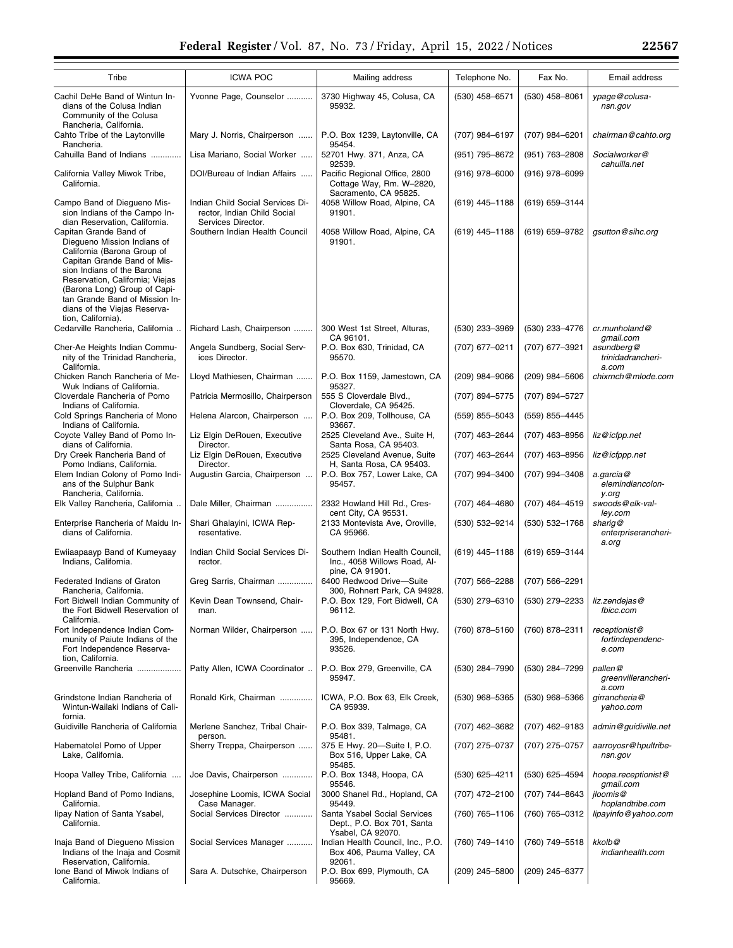| Tribe                                                                                                                                                                                                                                                                                  | <b>ICWA POC</b>                                                                       | Mailing address                                                                    | Telephone No.    | Fax No.            | Email address                              |
|----------------------------------------------------------------------------------------------------------------------------------------------------------------------------------------------------------------------------------------------------------------------------------------|---------------------------------------------------------------------------------------|------------------------------------------------------------------------------------|------------------|--------------------|--------------------------------------------|
| Cachil DeHe Band of Wintun In-<br>dians of the Colusa Indian<br>Community of the Colusa<br>Rancheria, California.                                                                                                                                                                      | Yvonne Page, Counselor                                                                | 3730 Highway 45, Colusa, CA<br>95932.                                              | (530) 458-6571   | (530) 458-8061     | ypage@colusa-<br>nsn.gov                   |
| Cahto Tribe of the Laytonville<br>Rancheria.                                                                                                                                                                                                                                           | Mary J. Norris, Chairperson                                                           | P.O. Box 1239, Laytonville, CA<br>95454.                                           | (707) 984-6197   | (707) 984-6201     | chairman@cahto.org                         |
| Cahuilla Band of Indians                                                                                                                                                                                                                                                               | Lisa Mariano, Social Worker                                                           | 52701 Hwy. 371, Anza, CA<br>92539.                                                 | (951) 795-8672   | $(951) 763 - 2808$ | Socialworker@<br>cahuilla.net              |
| California Valley Miwok Tribe,<br>California.                                                                                                                                                                                                                                          | DOI/Bureau of Indian Affairs                                                          | Pacific Regional Office, 2800<br>Cottage Way, Rm. W-2820,<br>Sacramento, CA 95825. | $(916)$ 978-6000 | $(916)$ 978-6099   |                                            |
| Campo Band of Diegueno Mis-<br>sion Indians of the Campo In-<br>dian Reservation. California.                                                                                                                                                                                          | Indian Child Social Services Di-<br>rector, Indian Child Social<br>Services Director. | 4058 Willow Road, Alpine, CA<br>91901.                                             | $(619)$ 445-1188 | $(619) 659 - 3144$ |                                            |
| Capitan Grande Band of<br>Diegueno Mission Indians of<br>California (Barona Group of<br>Capitan Grande Band of Mis-<br>sion Indians of the Barona<br>Reservation, California; Viejas<br>(Barona Long) Group of Capi-<br>tan Grande Band of Mission In-<br>dians of the Viejas Reserva- | Southern Indian Health Council                                                        | 4058 Willow Road, Alpine, CA<br>91901.                                             | $(619)$ 445-1188 | (619) 659-9782     | gsutton@sihc.org                           |
| tion, California).<br>Cedarville Rancheria, California.                                                                                                                                                                                                                                | Richard Lash, Chairperson                                                             | 300 West 1st Street, Alturas,<br>CA 96101.                                         | $(530)$ 233-3969 | (530) 233-4776     | $cr.$ munholand $@$<br>gmail.com           |
| Cher-Ae Heights Indian Commu-<br>nity of the Trinidad Rancheria,<br>California.                                                                                                                                                                                                        | Angela Sundberg, Social Serv-<br>ices Director.                                       | P.O. Box 630, Trinidad, CA<br>95570.                                               | (707) 677-0211   | (707) 677-3921     | asundberg@<br>trinidadrancheri-<br>a.com   |
| Chicken Ranch Rancheria of Me-<br>Wuk Indians of California.                                                                                                                                                                                                                           | Lloyd Mathiesen, Chairman                                                             | P.O. Box 1159, Jamestown, CA<br>95327.                                             | (209) 984-9066   | $(209)$ 984-5606   | chixrnch@mlode.com                         |
| Cloverdale Rancheria of Pomo<br>Indians of California.                                                                                                                                                                                                                                 | Patricia Mermosillo, Chairperson                                                      | 555 S Cloverdale Blvd.,<br>Cloverdale, CA 95425.                                   | (707) 894-5775   | (707) 894-5727     |                                            |
| Cold Springs Rancheria of Mono<br>Indians of California.                                                                                                                                                                                                                               | Helena Alarcon, Chairperson                                                           | P.O. Box 209, Tollhouse, CA<br>93667.                                              | $(559)$ 855-5043 | (559) 855-4445     |                                            |
| Coyote Valley Band of Pomo In-<br>dians of California.                                                                                                                                                                                                                                 | Liz Elgin DeRouen, Executive<br>Director.                                             | 2525 Cleveland Ave., Suite H,<br>Santa Rosa, CA 95403.                             | (707) 463-2644   | (707) 463-8956     | liz@icfpp.net                              |
| Dry Creek Rancheria Band of<br>Pomo Indians, California.                                                                                                                                                                                                                               | Liz Elgin DeRouen, Executive<br>Director.                                             | 2525 Cleveland Avenue, Suite<br>H, Santa Rosa, CA 95403.                           | (707) 463-2644   | (707) 463-8956     | liz@icfppp.net                             |
| Elem Indian Colony of Pomo Indi-<br>ans of the Sulphur Bank<br>Rancheria, California.                                                                                                                                                                                                  | Augustin Garcia, Chairperson                                                          | P.O. Box 757, Lower Lake, CA<br>95457.                                             | (707) 994-3400   | (707) 994-3408     | a.garcia@<br>elemindiancolon-<br>y.org     |
| Elk Valley Rancheria, California                                                                                                                                                                                                                                                       | Dale Miller, Chairman                                                                 | 2332 Howland Hill Rd., Cres-<br>cent City, CA 95531.                               | (707) 464-4680   | (707) 464-4519     | swoods@elk-val-<br>ley.com                 |
| Enterprise Rancheria of Maidu In-<br>dians of California.                                                                                                                                                                                                                              | Shari Ghalayini, ICWA Rep-<br>resentative.                                            | 2133 Montevista Ave, Oroville,<br>CA 95966.                                        | (530) 532-9214   | (530) 532-1768     | sharig@<br>enterpriserancheri-<br>a.org    |
| Ewiiaapaayp Band of Kumeyaay<br>Indians, California.                                                                                                                                                                                                                                   | Indian Child Social Services Di-<br>rector.                                           | Southern Indian Health Council,<br>Inc., 4058 Willows Road, Al-<br>pine, CA 91901. | $(619)$ 445-1188 | (619) 659-3144     |                                            |
| Federated Indians of Graton<br>Rancheria, California.                                                                                                                                                                                                                                  | Greg Sarris, Chairman                                                                 | 6400 Redwood Drive-Suite<br>300, Rohnert Park, CA 94928.                           | (707) 566-2288   | $(707)$ 566-2291   |                                            |
| Fort Bidwell Indian Community of<br>the Fort Bidwell Reservation of<br>California.                                                                                                                                                                                                     | Kevin Dean Townsend, Chair-<br>man.                                                   | P.O. Box 129, Fort Bidwell, CA<br>96112.                                           | (530) 279-6310   | (530) 279-2233     | liz.zendejas@<br>fbicc.com                 |
| Fort Independence Indian Com-<br>munity of Paiute Indians of the<br>Fort Independence Reserva-<br>tion, California.                                                                                                                                                                    | Norman Wilder, Chairperson                                                            | P.O. Box 67 or 131 North Hwy.<br>395, Independence, CA<br>93526.                   | (760) 878-5160   | (760) 878-2311     | receptionist@<br>fortindependenc-<br>e.com |
| Greenville Rancheria                                                                                                                                                                                                                                                                   | Patty Allen, ICWA Coordinator                                                         | P.O. Box 279, Greenville, CA<br>95947.                                             | (530) 284-7990   | (530) 284-7299     | pallen@<br>greenvillerancheri-<br>a.com    |
| Grindstone Indian Rancheria of<br>Wintun-Wailaki Indians of Cali-<br>fornia.                                                                                                                                                                                                           | Ronald Kirk, Chairman                                                                 | ICWA, P.O. Box 63, Elk Creek,<br>CA 95939.                                         | (530) 968-5365   | (530) 968-5366     | girrancheria@<br>yahoo.com                 |
| Guidiville Rancheria of California                                                                                                                                                                                                                                                     | Merlene Sanchez, Tribal Chair-<br>person.                                             | P.O. Box 339, Talmage, CA<br>95481.                                                | (707) 462-3682   | (707) 462-9183     | admin@guidiville.net                       |
| Habematolel Pomo of Upper<br>Lake, California.                                                                                                                                                                                                                                         | Sherry Treppa, Chairperson                                                            | 375 E Hwy. 20-Suite I, P.O.<br>Box 516, Upper Lake, CA<br>95485.                   | (707) 275-0737   | (707) 275-0757     | aarroyosr@hpultribe-<br>nsn.gov            |
| Hoopa Valley Tribe, California                                                                                                                                                                                                                                                         | Joe Davis, Chairperson                                                                | P.O. Box 1348, Hoopa, CA<br>95546.                                                 | (530) 625-4211   | $(530)$ 625-4594   | hoopa.receptionist@<br>gmail.com           |
| Hopland Band of Pomo Indians,<br>California.                                                                                                                                                                                                                                           | Josephine Loomis, ICWA Social<br>Case Manager.                                        | 3000 Shanel Rd., Hopland, CA<br>95449.                                             | (707) 472-2100   | (707) 744-8643     | jloomis@<br>hoplandtribe.com               |
| lipay Nation of Santa Ysabel,<br>California.                                                                                                                                                                                                                                           | Social Services Director                                                              | Santa Ysabel Social Services<br>Dept., P.O. Box 701, Santa<br>Ysabel, CA 92070.    | (760) 765-1106   | (760) 765-0312     | lipayinfo@yahoo.com                        |
| Inaja Band of Diegueno Mission<br>Indians of the Inaja and Cosmit<br>Reservation, California.                                                                                                                                                                                          | Social Services Manager                                                               | Indian Health Council, Inc., P.O.<br>Box 406, Pauma Valley, CA<br>92061.           | (760) 749-1410   | (760) 749-5518     | kkolb@<br>indianhealth.com                 |
| Ione Band of Miwok Indians of<br>California.                                                                                                                                                                                                                                           | Sara A. Dutschke, Chairperson                                                         | P.O. Box 699, Plymouth, CA<br>95669.                                               | $(209)$ 245-5800 | (209) 245-6377     |                                            |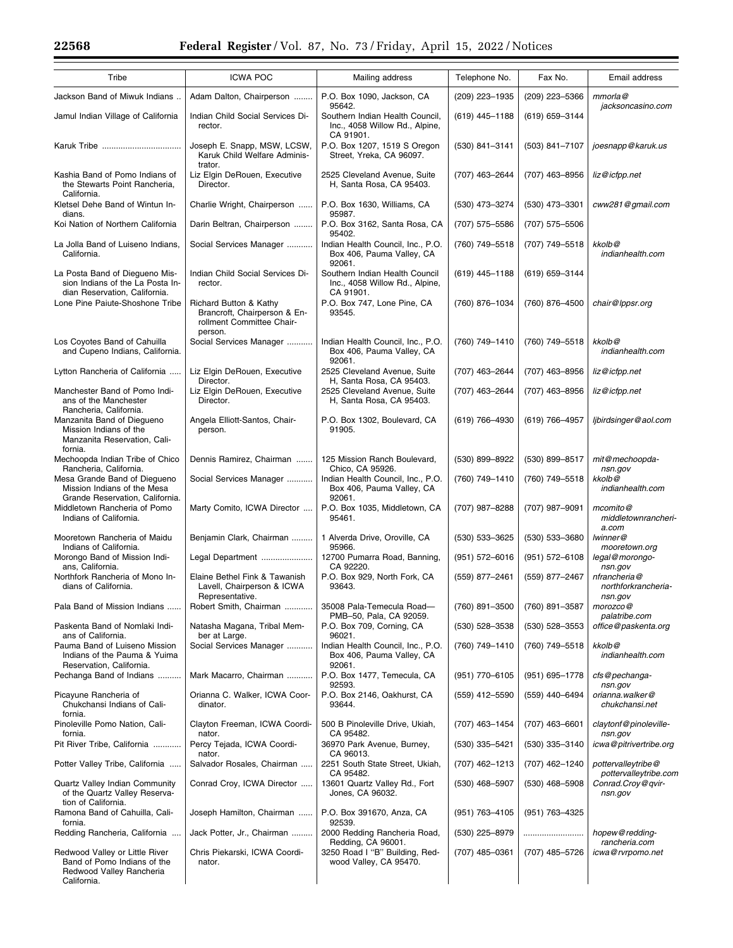| Tribe                                                                                                    | <b>ICWA POC</b>                                                                                | Mailing address                                                                    | Telephone No.      | Fax No.            | Email address                                         |
|----------------------------------------------------------------------------------------------------------|------------------------------------------------------------------------------------------------|------------------------------------------------------------------------------------|--------------------|--------------------|-------------------------------------------------------|
| Jackson Band of Miwuk Indians                                                                            | Adam Dalton, Chairperson                                                                       | P.O. Box 1090, Jackson, CA<br>95642.                                               | (209) 223-1935     | (209) 223-5366     | $mm$ orla $@$<br>jacksoncasino.com                    |
| Jamul Indian Village of California                                                                       | Indian Child Social Services Di-<br>rector.                                                    | Southern Indian Health Council,<br>Inc., 4058 Willow Rd., Alpine,<br>CA 91901.     | (619) 445-1188     | (619) 659-3144     |                                                       |
|                                                                                                          | Joseph E. Snapp, MSW, LCSW,<br>Karuk Child Welfare Adminis-<br>trator.                         | P.O. Box 1207, 1519 S Oregon<br>Street, Yreka, CA 96097.                           | (530) 841-3141     | (503) 841-7107     | joesnapp@karuk.us                                     |
| Kashia Band of Pomo Indians of<br>the Stewarts Point Rancheria,<br>California.                           | Liz Elgin DeRouen, Executive<br>Director.                                                      | 2525 Cleveland Avenue, Suite<br>H, Santa Rosa, CA 95403.                           | (707) 463-2644     | (707) 463-8956     | liz@icfpp.net                                         |
| Kletsel Dehe Band of Wintun In-<br>dians.                                                                | Charlie Wright, Chairperson                                                                    | P.O. Box 1630, Williams, CA<br>95987.                                              | (530) 473-3274     | (530) 473-3301     | cww281@gmail.com                                      |
| Koi Nation of Northern California                                                                        | Darin Beltran, Chairperson                                                                     | P.O. Box 3162, Santa Rosa, CA                                                      | (707) 575-5586     | (707) 575-5506     |                                                       |
| La Jolla Band of Luiseno Indians,<br>California.                                                         | Social Services Manager                                                                        | 95402.<br>Indian Health Council, Inc., P.O.<br>Box 406, Pauma Valley, CA<br>92061. | (760) 749-5518     | (707) 749-5518     | kkolb@<br>indianhealth.com                            |
| La Posta Band of Diegueno Mis-<br>sion Indians of the La Posta In-<br>dian Reservation, California.      | Indian Child Social Services Di-<br>rector.                                                    | Southern Indian Health Council<br>Inc., 4058 Willow Rd., Alpine,<br>CA 91901.      | (619) 445-1188     | (619) 659-3144     |                                                       |
| Lone Pine Paiute-Shoshone Tribe                                                                          | Richard Button & Kathy<br>Brancroft, Chairperson & En-<br>rollment Committee Chair-<br>person. | P.O. Box 747, Lone Pine, CA<br>93545.                                              | (760) 876-1034     | (760) 876-4500     | chair@lppsr.org                                       |
| Los Coyotes Band of Cahuilla<br>and Cupeno Indians, California.                                          | Social Services Manager                                                                        | Indian Health Council, Inc., P.O.<br>Box 406, Pauma Valley, CA<br>92061.           | (760) 749-1410     | (760) 749-5518     | kkolb@<br>indianhealth.com                            |
| Lytton Rancheria of California                                                                           | Liz Elgin DeRouen, Executive<br>Director.                                                      | 2525 Cleveland Avenue, Suite<br>H, Santa Rosa, CA 95403.                           | (707) 463-2644     | (707) 463-8956     | liz@icfpp.net                                         |
| Manchester Band of Pomo Indi-<br>ans of the Manchester<br>Rancheria, California.                         | Liz Elgin DeRouen, Executive<br>Director.                                                      | 2525 Cleveland Avenue. Suite<br>H, Santa Rosa, CA 95403.                           | (707) 463-2644     | (707) 463-8956     | liz@icfpp.net                                         |
| Manzanita Band of Diegueno<br>Mission Indians of the<br>Manzanita Reservation, Cali-<br>fornia.          | Angela Elliott-Santos, Chair-<br>person.                                                       | P.O. Box 1302, Boulevard, CA<br>91905.                                             | (619) 766-4930     | (619) 766-4957     | libirdsinger@aol.com                                  |
| Mechoopda Indian Tribe of Chico<br>Rancheria, California.                                                | Dennis Ramirez, Chairman                                                                       | 125 Mission Ranch Boulevard,<br>Chico, CA 95926.                                   | (530) 899-8922     | (530) 899-8517     | mit@mechoopda-                                        |
| Mesa Grande Band of Diegueno<br>Mission Indians of the Mesa                                              | Social Services Manager                                                                        | Indian Health Council, Inc., P.O.<br>Box 406, Pauma Valley, CA<br>92061.           | (760) 749-1410     | (760) 749-5518     | nsn.gov<br>kkolb@<br>indianhealth.com                 |
| Grande Reservation, California.<br>Middletown Rancheria of Pomo<br>Indians of California.                | Marty Comito, ICWA Director                                                                    | P.O. Box 1035, Middletown, CA<br>95461.                                            | (707) 987-8288     | (707) 987-9091     | mcomito@<br>middletownrancheri-                       |
| Mooretown Rancheria of Maidu                                                                             | Benjamin Clark, Chairman                                                                       | 1 Alverda Drive, Oroville, CA                                                      | (530) 533-3625     | (530) 533-3680     | a.com<br>lwinner@                                     |
| Indians of California.<br>Morongo Band of Mission Indi-                                                  | Legal Department                                                                               | 95966.<br>12700 Pumarra Road, Banning,                                             | $(951) 572 - 6016$ | $(951) 572 - 6108$ | mooretown.org<br>legal@morongo-                       |
| ans, California.<br>Northfork Rancheria of Mono In-<br>dians of California.                              | Elaine Bethel Fink & Tawanish<br>Lavell, Chairperson & ICWA                                    | CA 92220.<br>P.O. Box 929, North Fork, CA<br>93643.                                | (559) 877-2461     | (559) 877-2467     | nsn.gov<br>nfrancheria@<br>northforkrancheria-        |
| Pala Band of Mission Indians                                                                             | Representative.<br>Robert Smith, Chairman                                                      | 35008 Pala-Temecula Road-                                                          | (760) 891-3500     | (760) 891-3587     | nsn.gov<br>morozco@                                   |
| Paskenta Band of Nomlaki Indi-<br>ans of California.                                                     | Natasha Magana, Tribal Mem-<br>ber at Large.                                                   | PMB-50, Pala, CA 92059.<br>P.O. Box 709, Corning, CA<br>96021.                     | $(530)$ 528-3538   | $(530)$ 528-3553   | palatribe.com<br>office@paskenta.org                  |
| Pauma Band of Luiseno Mission<br>Indians of the Pauma & Yuima<br>Reservation, California.                | Social Services Manager                                                                        | Indian Health Council, Inc., P.O.<br>Box 406, Pauma Valley, CA<br>92061.           | (760) 749-1410     | (760) 749-5518     | kkolb@<br>indianhealth.com                            |
| Pechanga Band of Indians                                                                                 | Mark Macarro, Chairman                                                                         | P.O. Box 1477, Temecula, CA<br>92593.                                              | (951) 770-6105     | $(951)$ 695-1778   | cfs@pechanga-<br>nsn.gov                              |
| Picayune Rancheria of<br>Chukchansi Indians of Cali-<br>fornia.                                          | Orianna C. Walker, ICWA Coor-<br>dinator.                                                      | P.O. Box 2146, Oakhurst, CA<br>93644.                                              | (559) 412-5590     | (559) 440-6494     | orianna.walker@<br>chukchansi.net                     |
| Pinoleville Pomo Nation, Cali-<br>fornia.                                                                | Clayton Freeman, ICWA Coordi-<br>nator.                                                        | 500 B Pinoleville Drive, Ukiah,<br>CA 95482.                                       | (707) 463-1454     | $(707)$ 463-6601   | claytonf@pinoleville-<br>nsn.gov                      |
| Pit River Tribe, California                                                                              | Percy Tejada, ICWA Coordi-<br>nator.                                                           | 36970 Park Avenue, Burney,                                                         | (530) 335-5421     | $(530)$ 335-3140   | icwa@pitrivertribe.org                                |
| Potter Valley Tribe, California                                                                          | Salvador Rosales, Chairman                                                                     | CA 96013.<br>2251 South State Street, Ukiah,                                       | (707) 462-1213     | (707) 462-1240     | pottervalleytribe@                                    |
| Quartz Valley Indian Community<br>of the Quartz Valley Reserva-<br>tion of California.                   | Conrad Croy, ICWA Director                                                                     | CA 95482.<br>13601 Quartz Valley Rd., Fort<br>Jones, CA 96032.                     | $(530)$ 468-5907   | $(530)$ 468-5908   | pottervalleytribe.com<br>Conrad.Croy@qvir-<br>nsn.gov |
| Ramona Band of Cahuilla, Cali-<br>fornia.                                                                | Joseph Hamilton, Chairman                                                                      | P.O. Box 391670, Anza, CA<br>92539.                                                | (951) 763-4105     | (951) 763-4325     |                                                       |
| Redding Rancheria, California                                                                            | Jack Potter, Jr., Chairman                                                                     | 2000 Redding Rancheria Road,<br>Redding, CA 96001.                                 | (530) 225-8979     |                    | hopew@redding-<br>rancheria.com                       |
| Redwood Valley or Little River<br>Band of Pomo Indians of the<br>Redwood Valley Rancheria<br>California. | Chris Piekarski, ICWA Coordi-<br>nator.                                                        | 3250 Road I "B" Building, Red-<br>wood Valley, CA 95470.                           | (707) 485-0361     | (707) 485-5726     | icwa@rvrpomo.net                                      |
|                                                                                                          |                                                                                                |                                                                                    |                    |                    |                                                       |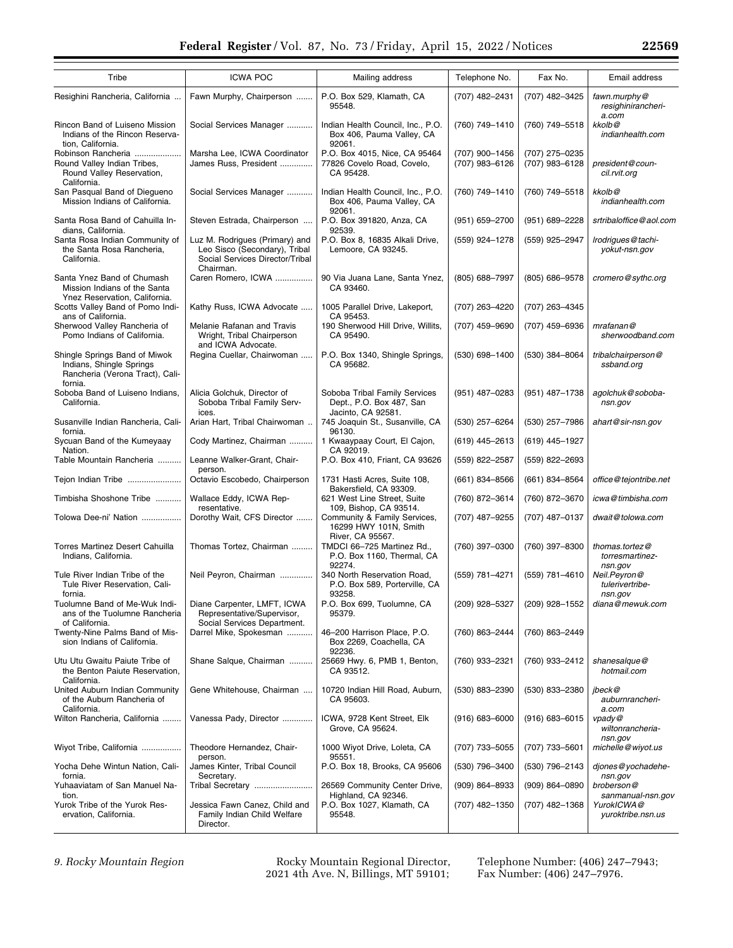| Tribe                                                                                                   | <b>ICWA POC</b>                                                                                                 | Mailing address                                                           | Telephone No.                    | Fax No.                          | Email address                                |
|---------------------------------------------------------------------------------------------------------|-----------------------------------------------------------------------------------------------------------------|---------------------------------------------------------------------------|----------------------------------|----------------------------------|----------------------------------------------|
| Resighini Rancheria, California                                                                         | Fawn Murphy, Chairperson                                                                                        | P.O. Box 529, Klamath, CA<br>95548.                                       | (707) 482-2431                   | (707) 482-3425                   | fawn.murphy@<br>resighinirancheri-<br>a.com  |
| Rincon Band of Luiseno Mission<br>Indians of the Rincon Reserva-<br>tion, California.                   | Social Services Manager                                                                                         | Indian Health Council, Inc., P.O.<br>Box 406, Pauma Valley, CA<br>92061.  | (760) 749-1410                   | (760) 749-5518                   | kkolb@<br>indianhealth.com                   |
| Robinson Rancheria<br>Round Valley Indian Tribes,<br>Round Valley Reservation,<br>California.           | Marsha Lee, ICWA Coordinator<br>James Russ, President                                                           | P.O. Box 4015, Nice, CA 95464<br>77826 Covelo Road, Covelo,<br>CA 95428.  | (707) 900-1456<br>(707) 983-6126 | (707) 275-0235<br>(707) 983-6128 | president@coun-<br>cil.rvit.org              |
| San Pasqual Band of Diegueno<br>Mission Indians of California.                                          | Social Services Manager                                                                                         | Indian Health Council, Inc., P.O.<br>Box 406, Pauma Valley, CA<br>92061.  | (760) 749-1410                   | (760) 749-5518                   | kkolb@<br>indianhealth.com                   |
| Santa Rosa Band of Cahuilla In-<br>dians, California.                                                   | Steven Estrada, Chairperson                                                                                     | P.O. Box 391820, Anza, CA<br>92539.                                       | (951) 659-2700                   | (951) 689-2228                   | srtribaloffice@aol.com                       |
| Santa Rosa Indian Community of<br>the Santa Rosa Rancheria,<br>California.                              | Luz M. Rodrigues (Primary) and<br>Leo Sisco (Secondary), Tribal<br>Social Services Director/Tribal<br>Chairman. | P.O. Box 8, 16835 Alkali Drive,<br>Lemoore, CA 93245.                     | (559) 924-1278                   | (559) 925-2947                   | Irodrigues@tachi-<br>yokut-nsn.gov           |
| Santa Ynez Band of Chumash<br>Mission Indians of the Santa<br>Ynez Reservation, California.             | Caren Romero, ICWA                                                                                              | 90 Via Juana Lane, Santa Ynez,<br>CA 93460.                               | (805) 688-7997                   | (805) 686-9578                   | cromero@sythc.org                            |
| Scotts Valley Band of Pomo Indi-<br>ans of California.                                                  | Kathy Russ, ICWA Advocate                                                                                       | 1005 Parallel Drive, Lakeport,<br>CA 95453.                               | (707) 263-4220                   | (707) 263-4345                   |                                              |
| Sherwood Valley Rancheria of<br>Pomo Indians of California.                                             | Melanie Rafanan and Travis<br>Wright, Tribal Chairperson<br>and ICWA Advocate.                                  | 190 Sherwood Hill Drive, Willits,<br>CA 95490.                            | (707) 459-9690                   | (707) 459-6936                   | mrafanan@<br>sherwoodband.com                |
| Shingle Springs Band of Miwok<br>Indians, Shingle Springs<br>Rancheria (Verona Tract), Cali-<br>fornia. | Regina Cuellar, Chairwoman                                                                                      | P.O. Box 1340, Shingle Springs,<br>CA 95682.                              | (530) 698-1400                   | (530) 384-8064                   | tribalchairperson@<br>ssband.org             |
| Soboba Band of Luiseno Indians,<br>California.                                                          | Alicia Golchuk, Director of<br>Soboba Tribal Family Serv-                                                       | Soboba Tribal Family Services<br>Dept., P.O. Box 487, San                 | (951) 487-0283                   | (951) 487-1738                   | agolchuk@soboba-<br>nsn.gov                  |
| Susanville Indian Rancheria, Cali-<br>fornia.                                                           | ices.<br>Arian Hart, Tribal Chairwoman                                                                          | Jacinto, CA 92581.<br>745 Joaquin St., Susanville, CA<br>96130.           | (530) 257-6264                   | (530) 257-7986                   | ahart@sir-nsn.gov                            |
| Sycuan Band of the Kumeyaay<br>Nation.                                                                  | Cody Martinez, Chairman                                                                                         | 1 Kwaaypaay Court, El Cajon,<br>CA 92019.                                 | $(619)$ 445-2613                 | (619) 445-1927                   |                                              |
| Table Mountain Rancheria                                                                                | Leanne Walker-Grant, Chair-                                                                                     | P.O. Box 410, Friant, CA 93626                                            | (559) 822-2587                   | (559) 822-2693                   |                                              |
| Tejon Indian Tribe                                                                                      | person.<br>Octavio Escobedo, Chairperson                                                                        | 1731 Hasti Acres, Suite 108,<br>Bakersfield, CA 93309.                    | $(661)$ 834-8566                 | (661) 834-8564                   | office@tejontribe.net                        |
| Timbisha Shoshone Tribe                                                                                 | Wallace Eddy, ICWA Rep-<br>resentative.                                                                         | 621 West Line Street, Suite<br>109, Bishop, CA 93514.                     | (760) 872-3614                   | (760) 872-3670                   | icwa@timbisha.com                            |
| Tolowa Dee-ni' Nation                                                                                   | Dorothy Wait, CFS Director                                                                                      | Community & Family Services,<br>16299 HWY 101N, Smith<br>River, CA 95567. | (707) 487-9255                   | (707) 487-0137                   | dwait@tolowa.com                             |
| <b>Torres Martinez Desert Cahuilla</b><br>Indians, California.                                          | Thomas Tortez, Chairman                                                                                         | TMDCI 66-725 Martinez Rd.,<br>P.O. Box 1160, Thermal, CA<br>92274.        | (760) 397-0300                   | (760) 397-8300                   | thomas.tortez@<br>torresmartinez-<br>nsn.gov |
| Tule River Indian Tribe of the<br>Tule River Reservation, Cali-<br>tornia.                              | Neil Peyron, Chairman                                                                                           | 340 North Reservation Road,<br>P.O. Box 589, Porterville, CA<br>93258.    | (559) 781-4271                   | (559) 781-4610                   | Neil.Peyron@<br>tulerivertribe-<br>nsn.gov   |
| Tuolumne Band of Me-Wuk Indi-<br>ans of the Tuolumne Rancheria<br>of California.                        | Diane Carpenter, LMFT, ICWA<br>Representative/Supervisor,<br>Social Services Department.                        | P.O. Box 699, Tuolumne, CA<br>95379.                                      | (209) 928-5327                   | (209) 928-1552                   | diana@mewuk.com                              |
| Twenty-Nine Palms Band of Mis-<br>sion Indians of California.                                           | Darrel Mike, Spokesman                                                                                          | 46-200 Harrison Place, P.O.<br>Box 2269, Coachella, CA<br>92236.          | (760) 863-2444                   | (760) 863-2449                   |                                              |
| Utu Utu Gwaitu Paiute Tribe of<br>the Benton Paiute Reservation,<br>California.                         | Shane Salque, Chairman                                                                                          | 25669 Hwy. 6, PMB 1, Benton,<br>CA 93512.                                 | (760) 933-2321                   | (760) 933-2412                   | shanesalque@<br>hotmail.com                  |
| United Auburn Indian Community<br>of the Auburn Rancheria of<br>California.                             | Gene Whitehouse, Chairman                                                                                       | 10720 Indian Hill Road, Auburn,<br>CA 95603.                              | (530) 883-2390                   | (530) 833-2380                   | ibeck@<br>auburnrancheri-<br>a.com           |
| Wilton Rancheria, California                                                                            | Vanessa Pady, Director                                                                                          | ICWA, 9728 Kent Street, Elk<br>Grove, CA 95624.                           | $(916) 683 - 6000$               | $(916) 683 - 6015$               | vpady@<br>wiltonrancheria-<br>nsn.gov        |
| Wiyot Tribe, California                                                                                 | Theodore Hernandez, Chair-<br>person.                                                                           | 1000 Wiyot Drive, Loleta, CA<br>95551.                                    | (707) 733-5055                   | (707) 733-5601                   | michelle@wiyot.us                            |
| Yocha Dehe Wintun Nation, Cali-<br>fornia.                                                              | James Kinter, Tribal Council<br>Secretary.                                                                      | P.O. Box 18, Brooks, CA 95606                                             | (530) 796-3400                   | (530) 796-2143                   | djones@yochadehe-<br>nsn.gov                 |
| Yuhaaviatam of San Manuel Na-<br>tion.                                                                  | Tribal Secretary                                                                                                | 26569 Community Center Drive,<br>Highland, CA 92346.                      | $(909) 864 - 8933$               | $(909) 864 - 0890$               | broberson@<br>sanmanual-nsn.gov              |
| Yurok Tribe of the Yurok Res-<br>ervation, California.                                                  | Jessica Fawn Canez, Child and<br>Family Indian Child Welfare<br>Director.                                       | P.O. Box 1027, Klamath, CA<br>95548.                                      | (707) 482-1350                   | (707) 482-1368                   | YurokICWA@<br>yuroktribe.nsn.us              |

*9. Rocky Mountain Region* Rocky Mountain Regional Director, 2021 4th Ave. N, Billings, MT 59101;

Telephone Number: (406) 247–7943; Fax Number: (406) 247–7976.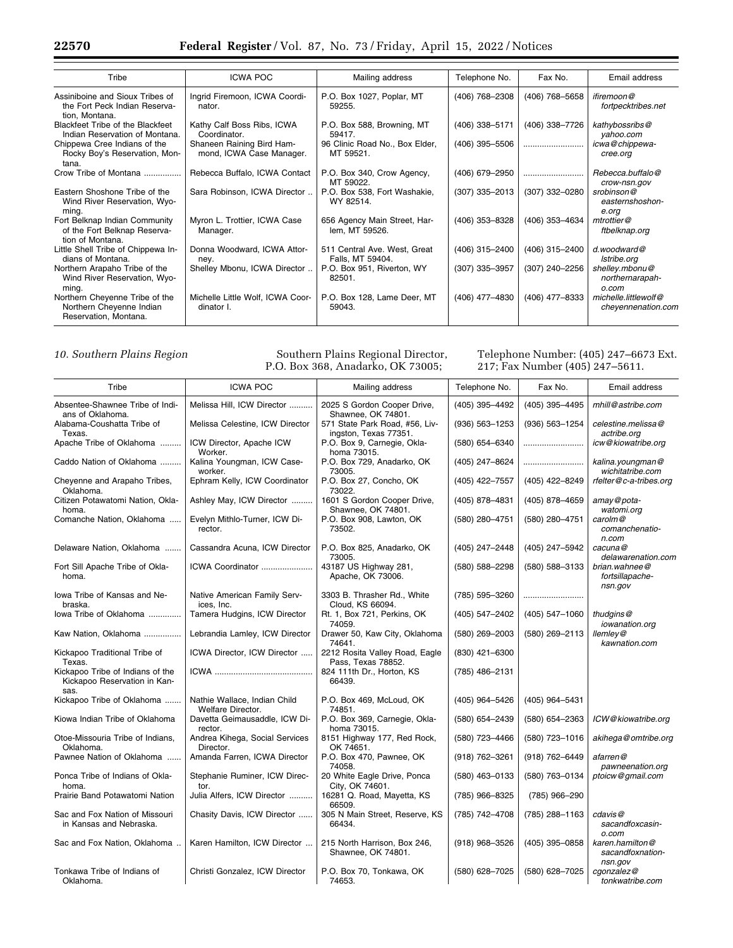| Tribe                                                                               | <b>ICWA POC</b>                                       | Mailing address                                  | Telephone No.    | Fax No.        | Email address                              |
|-------------------------------------------------------------------------------------|-------------------------------------------------------|--------------------------------------------------|------------------|----------------|--------------------------------------------|
| Assiniboine and Sioux Tribes of<br>the Fort Peck Indian Reserva-<br>tion, Montana.  | Ingrid Firemoon, ICWA Coordi-<br>nator.               | P.O. Box 1027, Poplar, MT<br>59255.              | (406) 768-2308   | (406) 768-5658 | ifiremoon@<br>fortpecktribes.net           |
| Blackfeet Tribe of the Blackfeet<br>Indian Reservation of Montana.                  | Kathy Calf Boss Ribs, ICWA<br>Coordinator.            | P.O. Box 588, Browning, MT<br>59417.             | (406) 338-5171   | (406) 338-7726 | kathybossribs@<br>yahoo.com                |
| Chippewa Cree Indians of the<br>Rocky Boy's Reservation, Mon-<br>tana.              | Shaneen Raining Bird Ham-<br>mond, ICWA Case Manager. | 96 Clinic Road No., Box Elder,<br>MT 59521.      | (406) 395-5506   |                | icwa@chippewa-<br>cree.org                 |
| Crow Tribe of Montana                                                               | Rebecca Buffalo, ICWA Contact                         | P.O. Box 340, Crow Agency,<br>MT 59022.          | (406) 679-2950   |                | Rebecca.buffalo@<br>crow-nsn.gov           |
| Eastern Shoshone Tribe of the<br>Wind River Reservation, Wyo-<br>ming.              | Sara Robinson, ICWA Director                          | P.O. Box 538, Fort Washakie,<br>WY 82514.        | $(307)$ 335-2013 | (307) 332-0280 | srobinson@<br>easternshoshon-<br>e.org     |
| Fort Belknap Indian Community<br>of the Fort Belknap Reserva-<br>tion of Montana.   | Myron L. Trottier, ICWA Case<br>Manager.              | 656 Agency Main Street, Har-<br>lem, MT 59526.   | (406) 353-8328   | (406) 353-4634 | mtrottier@<br>ftbelknap.org                |
| Little Shell Tribe of Chippewa In-<br>dians of Montana.                             | Donna Woodward, ICWA Attor-<br>ney.                   | 511 Central Ave. West, Great<br>Falls, MT 59404. | (406) 315-2400   | (406) 315–2400 | $d$ woodward $@$<br>Istribe.org            |
| Northern Arapaho Tribe of the<br>Wind River Reservation, Wyo-<br>ming.              | Shelley Mbonu, ICWA Director                          | P.O. Box 951, Riverton, WY<br>82501.             | (307) 335-3957   | (307) 240-2256 | shelley.mbonu@<br>northernarapah-<br>o.com |
| Northern Chevenne Tribe of the<br>Northern Cheyenne Indian<br>Reservation, Montana. | Michelle Little Wolf, ICWA Coor-<br>dinator I.        | P.O. Box 128, Lame Deer, MT<br>59043.            | (406) 477-4830   | (406) 477-8333 | michelle.littlewolf@<br>chevennenation.com |

# *10. Southern Plains Region* Southern Plains Regional Director, P.O. Box 368, Anadarko, OK 73005;

# Telephone Number: (405) 247–6673 Ext. 217; Fax Number (405) 247–5611.

| Tribe                                                                    | <b>ICWA POC</b>                                   | Mailing address                                         | Telephone No.      | Fax No.            | Email address                                  |
|--------------------------------------------------------------------------|---------------------------------------------------|---------------------------------------------------------|--------------------|--------------------|------------------------------------------------|
| Absentee-Shawnee Tribe of Indi-<br>ans of Oklahoma.                      | Melissa Hill, ICW Director                        | 2025 S Gordon Cooper Drive,<br>Shawnee, OK 74801.       | (405) 395-4492     | (405) 395-4495     | mhill@astribe.com                              |
| Alabama-Coushatta Tribe of<br>Texas.                                     | Melissa Celestine, ICW Director                   | 571 State Park Road, #56, Liv-<br>ingston, Texas 77351. | $(936) 563 - 1253$ | $(936) 563 - 1254$ | celestine.melissa@<br>actribe.org              |
| Apache Tribe of Oklahoma                                                 | ICW Director, Apache ICW<br>Worker.               | P.O. Box 9, Carnegie, Okla-<br>homa 73015.              | (580) 654-6340     |                    | icw@kiowatribe.org                             |
| Caddo Nation of Oklahoma                                                 | Kalina Youngman, ICW Case-<br>worker.             | P.O. Box 729, Anadarko, OK<br>73005.                    | (405) 247-8624     |                    | kalina.youngman@<br>wichitatribe.com           |
| Cheyenne and Arapaho Tribes,<br>Oklahoma.                                | Ephram Kelly, ICW Coordinator                     | P.O. Box 27, Concho, OK<br>73022.                       | (405) 422-7557     | (405) 422-8249     | rfelter@c-a-tribes.org                         |
| Citizen Potawatomi Nation, Okla-<br>homa.                                | Ashley May, ICW Director                          | 1601 S Gordon Cooper Drive,<br>Shawnee, OK 74801.       | (405) 878-4831     | (405) 878-4659     | amay@pota-<br>watomi.org                       |
| Comanche Nation, Oklahoma                                                | Evelyn Mithlo-Turner, ICW Di-<br>rector.          | P.O. Box 908, Lawton, OK<br>73502.                      | (580) 280-4751     | (580) 280-4751     | carolm@<br>comanchenatio-<br>$n$ .com          |
| Delaware Nation, Oklahoma                                                | Cassandra Acuna, ICW Director                     | P.O. Box 825, Anadarko, OK<br>73005.                    | (405) 247-2448     | (405) 247-5942     | cacuna@<br>delawarenation.com                  |
| Fort Sill Apache Tribe of Okla-<br>homa.                                 | ICWA Coordinator                                  | 43187 US Highway 281,<br>Apache, OK 73006.              | (580) 588-2298     | (580) 588-3133     | brian.wahnee@<br>fortsillapache-<br>nsn.gov    |
| lowa Tribe of Kansas and Ne-<br>braska.                                  | Native American Family Serv-<br>ices, Inc.        | 3303 B. Thrasher Rd., White<br>Cloud, KS 66094.         | (785) 595-3260     |                    |                                                |
| lowa Tribe of Oklahoma                                                   | Tamera Hudgins, ICW Director                      | Rt. 1, Box 721, Perkins, OK<br>74059.                   | (405) 547-2402     | (405) 547-1060     | thudgins@<br>iowanation.org                    |
| Kaw Nation, Oklahoma                                                     | Lebrandia Lamley, ICW Director                    | Drawer 50, Kaw City, Oklahoma<br>74641.                 | $(580)$ 269-2003   | (580) 269-2113     | $H$ emle $V$ @<br>kawnation.com                |
| Kickapoo Traditional Tribe of<br>Texas.                                  | ICWA Director, ICW Director                       | 2212 Rosita Valley Road, Eagle<br>Pass. Texas 78852.    | (830) 421-6300     |                    |                                                |
| Kickapoo Tribe of Indians of the<br>Kickapoo Reservation in Kan-<br>sas. |                                                   | 824 111th Dr., Horton, KS<br>66439.                     | (785) 486-2131     |                    |                                                |
| Kickapoo Tribe of Oklahoma                                               | Nathie Wallace, Indian Child<br>Welfare Director. | P.O. Box 469, McLoud, OK<br>74851.                      | (405) 964-5426     | (405) 964-5431     |                                                |
| Kiowa Indian Tribe of Oklahoma                                           | Davetta Geimausaddle, ICW Di-<br>rector.          | P.O. Box 369, Carnegie, Okla-<br>homa 73015.            | (580) 654-2439     | (580) 654-2363     | ICW@kiowatribe.org                             |
| Otoe-Missouria Tribe of Indians,<br>Oklahoma.                            | Andrea Kihega, Social Services<br>Director.       | 8151 Highway 177, Red Rock,<br>OK 74651.                | (580) 723-4466     | (580) 723-1016     | akihega@omtribe.org                            |
| Pawnee Nation of Oklahoma                                                | Amanda Farren, ICWA Director                      | P.O. Box 470, Pawnee, OK<br>74058.                      | $(918) 762 - 3261$ | (918) 762-6449     | afarren@<br>pawneenation.org                   |
| Ponca Tribe of Indians of Okla-<br>homa.                                 | Stephanie Ruminer, ICW Direc-<br>tor.             | 20 White Eagle Drive, Ponca<br>City, OK 74601.          | $(580)$ 463-0133   | (580) 763-0134     | ptoicw@gmail.com                               |
| Prairie Band Potawatomi Nation                                           | Julia Alfers, ICW Director                        | 16281 Q. Road, Mayetta, KS<br>66509.                    | (785) 966-8325     | (785) 966-290      |                                                |
| Sac and Fox Nation of Missouri<br>in Kansas and Nebraska.                | Chasity Davis, ICW Director                       | 305 N Main Street, Reserve, KS<br>66434.                | (785) 742-4708     | (785) 288-1163     | cdavis@<br>sacandfoxcasin-<br>o.com            |
| Sac and Fox Nation, Oklahoma                                             | Karen Hamilton, ICW Director                      | 215 North Harrison, Box 246,<br>Shawnee, OK 74801.      | $(918)$ 968-3526   | $(405)$ 395-0858   | karen.hamilton@<br>sacandfoxnation-<br>nsn.gov |
| Tonkawa Tribe of Indians of<br>Oklahoma.                                 | Christi Gonzalez, ICW Director                    | P.O. Box 70, Tonkawa, OK<br>74653.                      | (580) 628-7025     | (580) 628-7025     | cgonzalez@<br>tonkwatribe.com                  |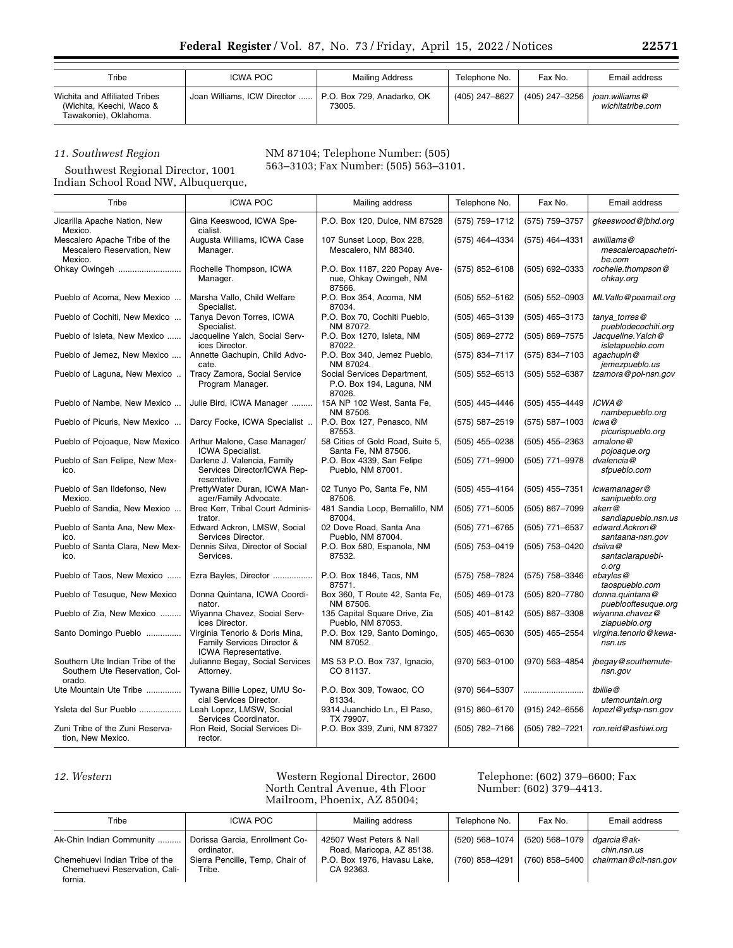| Tribe                                                                              | ICWA POC                                                  | Mailing Address | Telephone No.  | Fax No.        | Email address                      |
|------------------------------------------------------------------------------------|-----------------------------------------------------------|-----------------|----------------|----------------|------------------------------------|
| Wichita and Affiliated Tribes<br>(Wichita, Keechi, Waco &<br>Tawakonie), Oklahoma. | Joan Williams, ICW Director    P.O. Box 729. Anadarko, OK | 73005.          | (405) 247-8627 | (405) 247-3256 | ioan.williams@<br>wichitatribe.com |

# *11. Southwest Region*

NM 87104; Telephone Number: (505) 563–3103; Fax Number: (505) 563–3101.

Southwest Regional Director, 1001 Indian School Road NW, Albuquerque,

| Tribe                                                                        | <b>ICWA POC</b>                                                                      | Mailing address                                                   | Telephone No.      | Fax No.            | Email address                               |
|------------------------------------------------------------------------------|--------------------------------------------------------------------------------------|-------------------------------------------------------------------|--------------------|--------------------|---------------------------------------------|
| Jicarilla Apache Nation, New<br>Mexico.                                      | Gina Keeswood, ICWA Spe-<br>cialist.                                                 | P.O. Box 120, Dulce, NM 87528                                     | (575) 759-1712     | (575) 759-3757     | gkeeswood@jbhd.org                          |
| Mescalero Apache Tribe of the<br>Mescalero Reservation, New<br>Mexico.       | Augusta Williams, ICWA Case<br>Manager.                                              | 107 Sunset Loop, Box 228,<br>Mescalero, NM 88340.                 | (575) 464-4334     | (575) 464-4331     | awilliams@<br>mescaleroapachetri-<br>be.com |
| Ohkay Owingeh                                                                | Rochelle Thompson, ICWA<br>Manager.                                                  | P.O. Box 1187, 220 Popay Ave-<br>nue, Ohkay Owingeh, NM<br>87566. | $(575)$ 852-6108   | $(505)$ 692-0333   | rochelle.thompson@<br>ohkay.org             |
| Pueblo of Acoma, New Mexico                                                  | Marsha Vallo, Child Welfare<br>Specialist.                                           | P.O. Box 354, Acoma, NM<br>87034.                                 | $(505) 552 - 5162$ | $(505) 552 - 0903$ | MLVallo@poamail.org                         |
| Pueblo of Cochiti, New Mexico                                                | Tanya Devon Torres, ICWA<br>Specialist.                                              | P.O. Box 70, Cochiti Pueblo,<br>NM 87072.                         | $(505)$ 465-3139   | (505) 465-3173     | tanya torres@<br>pueblodecochiti.org        |
| Pueblo of Isleta, New Mexico                                                 | Jacqueline Yalch, Social Serv-<br>ices Director.                                     | P.O. Box 1270, Isleta, NM<br>87022.                               | (505) 869-2772     | (505) 869-7575     | Jacqueline. Yalch@<br>isletapueblo.com      |
| Pueblo of Jemez, New Mexico                                                  | Annette Gachupin, Child Advo-<br>cate.                                               | P.O. Box 340, Jemez Pueblo,<br>NM 87024.                          | (575) 834-7117     | (575) 834-7103     | agachupin@<br>jemezpueblo.us                |
| Pueblo of Laguna, New Mexico                                                 | Tracy Zamora, Social Service<br>Program Manager.                                     | Social Services Department,<br>P.O. Box 194, Laguna, NM<br>87026. | $(505) 552 - 6513$ | $(505) 552 - 6387$ | tzamora@pol-nsn.gov                         |
| Pueblo of Nambe, New Mexico                                                  | Julie Bird, ICWA Manager                                                             | 15A NP 102 West, Santa Fe,<br>NM 87506.                           | (505) 445-4446     | (505) 455-4449     | ICWA@<br>nambepueblo.org                    |
| Pueblo of Picuris, New Mexico                                                | Darcy Focke, ICWA Specialist                                                         | P.O. Box 127, Penasco, NM<br>87553.                               | (575) 587-2519     | $(575) 587 - 1003$ | icwa@<br>picurispueblo.org                  |
| Pueblo of Pojoaque, New Mexico                                               | Arthur Malone, Case Manager/<br><b>ICWA Specialist.</b>                              | 58 Cities of Gold Road, Suite 5,<br>Santa Fe, NM 87506.           | $(505)$ 455-0238   | $(505)$ 455-2363   | amalone@<br>pojoaque.org                    |
| Pueblo of San Felipe, New Mex-<br>ico.                                       | Darlene J. Valencia, Family<br>Services Director/ICWA Rep-<br>resentative.           | P.O. Box 4339, San Felipe<br>Pueblo, NM 87001.                    | (505) 771-9900     | (505) 771-9978     | dvalencia@<br>sfpueblo.com                  |
| Pueblo of San Ildefonso, New<br>Mexico.                                      | PrettyWater Duran, ICWA Man-<br>ager/Family Advocate.                                | 02 Tunyo Po, Santa Fe, NM<br>87506.                               | $(505)$ 455-4164   | $(505)$ 455-7351   | icwamanager@<br>sanipueblo.org              |
| Pueblo of Sandia, New Mexico                                                 | Bree Kerr, Tribal Court Adminis-<br>trator.                                          | 481 Sandia Loop, Bernalillo, NM<br>87004.                         | (505) 771-5005     | (505) 867-7099     | akerr@<br>sandiapueblo.nsn.us               |
| Pueblo of Santa Ana, New Mex-<br>ico.                                        | Edward Ackron, LMSW, Social<br>Services Director.                                    | 02 Dove Road, Santa Ana<br>Pueblo, NM 87004.                      | (505) 771-6765     | $(505)$ 771-6537   | edward.Ackron@<br>santaana-nsn.gov          |
| Pueblo of Santa Clara, New Mex-<br>ico.                                      | Dennis Silva, Director of Social<br>Services.                                        | P.O. Box 580, Espanola, NM<br>87532.                              | (505) 753-0419     | (505) 753-0420     | dsilva@<br>santaclarapuebl-<br>o.org        |
| Pueblo of Taos, New Mexico                                                   | Ezra Bayles, Director                                                                | P.O. Box 1846, Taos, NM<br>87571.                                 | (575) 758-7824     | (575) 758-3346     | ebayles@<br>taospueblo.com                  |
| Pueblo of Tesuque, New Mexico                                                | Donna Quintana, ICWA Coordi-<br>nator.                                               | Box 360, T Route 42, Santa Fe,<br>NM 87506.                       | $(505)$ 469-0173   | (505) 820-7780     | donna.quintana@<br>pueblooftesuque.org      |
| Pueblo of Zia, New Mexico                                                    | Wiyanna Chavez, Social Serv-<br>ices Director.                                       | 135 Capital Square Drive, Zia<br>Pueblo, NM 87053.                | (505) 401-8142     | (505) 867-3308     | wiyanna.chavez@<br>ziapueblo.org            |
| Santo Domingo Pueblo                                                         | Virginia Tenorio & Doris Mina,<br>Family Services Director &<br>ICWA Representative. | P.O. Box 129, Santo Domingo,<br>NM 87052.                         | $(505)$ 465-0630   | (505) 465-2554     | virgina.tenorio@kewa-<br>nsn.us             |
| Southern Ute Indian Tribe of the<br>Southern Ute Reservation, Col-<br>orado. | Julianne Begay, Social Services<br>Attorney.                                         | MS 53 P.O. Box 737, Ignacio,<br>CO 81137.                         | $(970) 563 - 0100$ | (970) 563-4854     | jbegay@southemute-<br>nsn.gov               |
| Ute Mountain Ute Tribe                                                       | Tywana Billie Lopez, UMU So-<br>cial Services Director.                              | P.O. Box 309, Towaoc, CO<br>81334.                                | (970) 564-5307     |                    | tbillie@<br>utemountain.org                 |
| Ysleta del Sur Pueblo                                                        | Leah Lopez, LMSW, Social<br>Services Coordinator.                                    | 9314 Juanchido Ln., El Paso,<br>TX 79907.                         | $(915) 860 - 6170$ | $(915)$ 242-6556   | lopezl@ydsp-nsn.gov                         |
| Zuni Tribe of the Zuni Reserva-<br>tion, New Mexico.                         | Ron Reid, Social Services Di-<br>rector.                                             | P.O. Box 339, Zuni, NM 87327                                      | (505) 782-7166     | (505) 782-7221     | ron.reid@ashiwi.org                         |

*12. Western* Western Regional Director, 2600 North Central Avenue, 4th Floor Mailroom, Phoenix, AZ 85004;

# Telephone: (602) 379–6600; Fax Number: (602) 379–4413.

| Tribe                                                                      | ICWA POC                                     | Mailing address                                       | Telephone No.  | Fax No.        | Email address              |
|----------------------------------------------------------------------------|----------------------------------------------|-------------------------------------------------------|----------------|----------------|----------------------------|
| Ak-Chin Indian Community                                                   | Dorissa Garcia, Enrollment Co-<br>ordinator. | 42507 West Peters & Nall<br>Road, Maricopa, AZ 85138. | (520) 568-1074 | (520) 568-1079 | dgarcia@ak-<br>chin.nsn.us |
| Chemehuevi Indian Tribe of the<br>Chemehuevi Reservation, Cali-<br>fornia. | Sierra Pencille, Temp, Chair of<br>Tribe.    | P.O. Box 1976. Havasu Lake.<br>CA 92363.              | (760) 858-4291 | (760) 858-5400 | chairman@cit-nsn.gov       |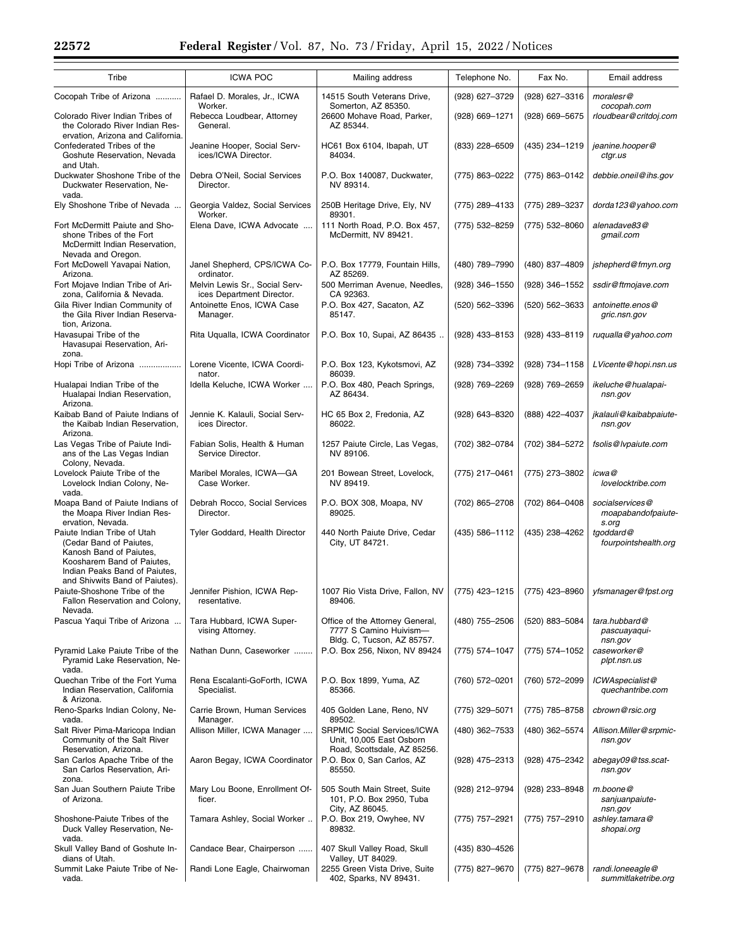| Tribe                                                                                                                                                                              | <b>ICWA POC</b>                                                     | Mailing address                                                                                    | Telephone No.    | Fax No.        | Email address                                  |
|------------------------------------------------------------------------------------------------------------------------------------------------------------------------------------|---------------------------------------------------------------------|----------------------------------------------------------------------------------------------------|------------------|----------------|------------------------------------------------|
| Cocopah Tribe of Arizona                                                                                                                                                           | Rafael D. Morales, Jr., ICWA                                        | 14515 South Veterans Drive,                                                                        | (928) 627-3729   | (928) 627-3316 | moralesr@                                      |
| Colorado River Indian Tribes of<br>the Colorado River Indian Res-<br>ervation, Arizona and California.                                                                             | Worker.<br>Rebecca Loudbear, Attorney<br>General.                   | Somerton, AZ 85350.<br>26600 Mohave Road, Parker,<br>AZ 85344.                                     | (928) 669-1271   | (928) 669-5675 | cocopah.com<br>rloudbear@critdoj.com           |
| Confederated Tribes of the<br>Goshute Reservation, Nevada<br>and Utah.                                                                                                             | Jeanine Hooper, Social Serv-<br>ices/ICWA Director.                 | HC61 Box 6104, Ibapah, UT<br>84034.                                                                | (833) 228-6509   | (435) 234-1219 | jeanine.hooper@<br>ctgr.us                     |
| Duckwater Shoshone Tribe of the<br>Duckwater Reservation, Ne-<br>vada.                                                                                                             | Debra O'Neil, Social Services<br>Director.                          | P.O. Box 140087, Duckwater,<br>NV 89314.                                                           | (775) 863-0222   | (775) 863-0142 | debbie.oneil@ihs.gov                           |
| Ely Shoshone Tribe of Nevada                                                                                                                                                       | Georgia Valdez, Social Services                                     | 250B Heritage Drive, Ely, NV<br>89301.                                                             | (775) 289-4133   | (775) 289-3237 | dorda123@yahoo.com                             |
| Fort McDermitt Paiute and Sho-<br>shone Tribes of the Fort<br>McDermitt Indian Reservation,<br>Nevada and Oregon.                                                                  | Worker.<br>Elena Dave, ICWA Advocate                                | 111 North Road, P.O. Box 457,<br>McDermitt, NV 89421.                                              | (775) 532-8259   | (775) 532-8060 | alenadave83@<br>gmail.com                      |
| Fort McDowell Yavapai Nation,<br>Arizona.                                                                                                                                          | Janel Shepherd, CPS/ICWA Co-<br>ordinator.                          | P.O. Box 17779, Fountain Hills,<br>AZ 85269.                                                       | (480) 789-7990   | (480) 837-4809 | jshepherd@fmyn.org                             |
| Fort Mojave Indian Tribe of Ari-                                                                                                                                                   | Melvin Lewis Sr., Social Serv-                                      | 500 Merriman Avenue, Needles,                                                                      | (928) 346-1550   | (928) 346-1552 | ssdir@ftmojave.com                             |
| zona, California & Nevada.<br>Gila River Indian Community of<br>the Gila River Indian Reserva-<br>tion, Arizona.                                                                   | ices Department Director.<br>Antoinette Enos, ICWA Case<br>Manager. | CA 92363.<br>P.O. Box 427, Sacaton, AZ<br>85147.                                                   | (520) 562-3396   | (520) 562-3633 | antoinette.enos@<br>gric.nsn.gov               |
| Havasupai Tribe of the<br>Havasupai Reservation, Ari-<br>zona.                                                                                                                     | Rita Uqualla, ICWA Coordinator                                      | P.O. Box 10, Supai, AZ 86435                                                                       | $(928)$ 433-8153 | (928) 433-8119 | ruqualla@yahoo.com                             |
| Hopi Tribe of Arizona                                                                                                                                                              | Lorene Vicente, ICWA Coordi-<br>nator.                              | P.O. Box 123, Kykotsmovi, AZ<br>86039.                                                             | (928) 734-3392   | (928) 734-1158 | LVicente@hopi.nsn.us                           |
| Hualapai Indian Tribe of the<br>Hualapai Indian Reservation,<br>Arizona.                                                                                                           | Idella Keluche, ICWA Worker                                         | P.O. Box 480, Peach Springs,<br>AZ 86434.                                                          | (928) 769-2269   | (928) 769-2659 | ikeluche@hualapai-<br>nsn.gov                  |
| Kaibab Band of Paiute Indians of<br>the Kaibab Indian Reservation,<br>Arizona.                                                                                                     | Jennie K. Kalauli, Social Serv-<br>ices Director.                   | HC 65 Box 2, Fredonia, AZ<br>86022.                                                                | (928) 643-8320   | (888) 422-4037 | jkalauli@kaibabpaiute-<br>nsn.gov              |
| Las Vegas Tribe of Paiute Indi-<br>ans of the Las Vegas Indian<br>Colony, Nevada.                                                                                                  | Fabian Solis, Health & Human<br>Service Director.                   | 1257 Paiute Circle, Las Vegas,<br>NV 89106.                                                        | (702) 382-0784   | (702) 384-5272 | fsolis@lvpaiute.com                            |
| Lovelock Paiute Tribe of the<br>Lovelock Indian Colony, Ne-<br>vada.                                                                                                               | Maribel Morales, ICWA-GA<br>Case Worker.                            | 201 Bowean Street, Lovelock,<br>NV 89419.                                                          | (775) 217-0461   | (775) 273-3802 | icwa@<br>lovelocktribe.com                     |
| Moapa Band of Paiute Indians of<br>the Moapa River Indian Res-<br>ervation, Nevada.                                                                                                | Debrah Rocco, Social Services<br>Director.                          | P.O. BOX 308, Moapa, NV<br>89025.                                                                  | (702) 865-2708   | (702) 864-0408 | socialservices@<br>moapabandofpaiute-<br>s.org |
| Paiute Indian Tribe of Utah<br>(Cedar Band of Paiutes,<br>Kanosh Band of Paiutes,<br>Koosharem Band of Paiutes,<br>Indian Peaks Band of Paiutes,<br>and Shivwits Band of Paiutes). | Tyler Goddard, Health Director                                      | 440 North Paiute Drive, Cedar<br>City, UT 84721.                                                   | (435) 586-1112   | (435) 238-4262 | tgoddard@<br>fourpointshealth.org              |
| Paiute-Shoshone Tribe of the<br>Fallon Reservation and Colony,<br>Nevada.                                                                                                          | Jennifer Pishion, ICWA Rep-<br>resentative.                         | 1007 Rio Vista Drive, Fallon, NV   (775) 423-1215   (775) 423-8960   yfsmanager@fpst.org<br>89406. |                  |                |                                                |
| Pascua Yaqui Tribe of Arizona                                                                                                                                                      | Tara Hubbard, ICWA Super-<br>vising Attorney.                       | Office of the Attorney General,<br>7777 S Camino Huivism-<br>Bldg. C, Tucson, AZ 85757.            | (480) 755-2506   | (520) 883-5084 | tara.hubbard@<br>pascuayaqui-<br>nsn.gov       |
| Pyramid Lake Paiute Tribe of the<br>Pyramid Lake Reservation, Ne-<br>vada.                                                                                                         | Nathan Dunn, Caseworker                                             | P.O. Box 256, Nixon, NV 89424                                                                      | (775) 574-1047   | (775) 574-1052 | caseworker@<br>plpt.nsn.us                     |
| Quechan Tribe of the Fort Yuma<br>Indian Reservation, California<br>& Arizona.                                                                                                     | Rena Escalanti-GoForth, ICWA<br>Specialist.                         | P.O. Box 1899, Yuma, AZ<br>85366.                                                                  | $(760)$ 572-0201 | (760) 572-2099 | ICWAspecialist@<br>quechantribe.com            |
| Reno-Sparks Indian Colony, Ne-<br>vada.                                                                                                                                            | Carrie Brown, Human Services<br>Manager.                            | 405 Golden Lane, Reno, NV<br>89502.                                                                | (775) 329-5071   | (775) 785-8758 | cbrown@rsic.org                                |
| Salt River Pima-Maricopa Indian<br>Community of the Salt River                                                                                                                     | Allison Miller, ICWA Manager                                        | <b>SRPMIC Social Services/ICWA</b><br>Unit, 10,005 East Osborn                                     | (480) 362-7533   | (480) 362-5574 | Allison.Miller@srpmic-<br>nsn.gov              |
| Reservation, Arizona.<br>San Carlos Apache Tribe of the<br>San Carlos Reservation, Ari-<br>zona.                                                                                   | Aaron Begay, ICWA Coordinator                                       | Road, Scottsdale, AZ 85256.<br>P.O. Box 0, San Carlos, AZ<br>85550.                                | (928) 475-2313   | (928) 475-2342 | abegay09@tss.scat-<br>nsn.gov                  |
| San Juan Southern Paiute Tribe<br>of Arizona.                                                                                                                                      | Mary Lou Boone, Enrollment Of-<br>ficer.                            | 505 South Main Street, Suite<br>101, P.O. Box 2950, Tuba<br>City, AZ 86045.                        | (928) 212-9794   | (928) 233–8948 | $m$ .boone@<br>sanjuanpaiute-<br>nsn.gov       |
| Shoshone-Paiute Tribes of the<br>Duck Valley Reservation, Ne-<br>vada.                                                                                                             | Tamara Ashley, Social Worker                                        | P.O. Box 219, Owyhee, NV<br>89832.                                                                 | (775) 757-2921   | (775) 757-2910 | ashley.tamara@<br>shopai.org                   |
| Skull Valley Band of Goshute In-<br>dians of Utah.                                                                                                                                 | Candace Bear, Chairperson                                           | 407 Skull Valley Road, Skull<br>Valley, UT 84029.                                                  | (435) 830-4526   |                |                                                |
| Summit Lake Paiute Tribe of Ne-<br>vada.                                                                                                                                           | Randi Lone Eagle, Chairwoman                                        | 2255 Green Vista Drive, Suite<br>402, Sparks, NV 89431.                                            | (775) 827-9670   | (775) 827-9678 | randi.loneeagle@<br>summitlaketribe.org        |